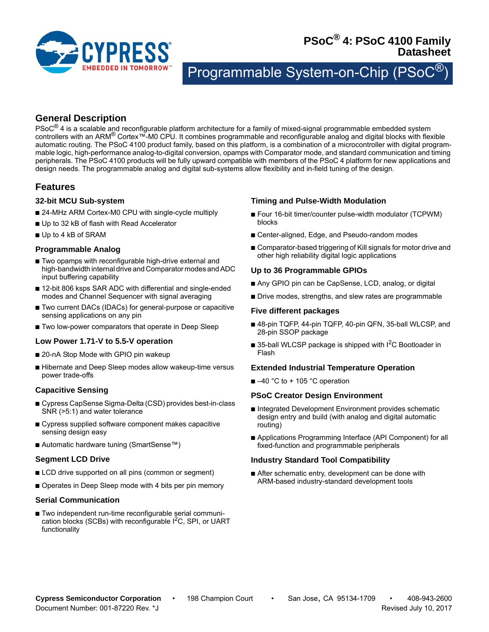

# **PSoC® 4: PSoC 4100 Family Datasheet**

Programmable System-on-Chip (PSo

# **General Description**

 $PSoC^{\circledR}$  4 is a scalable and reconfigurable platform architecture for a family of mixed-signal programmable embedded system controllers with an ARM® Cortex™-M0 CPU. It combines programmable and reconfigurable analog and digital blocks with flexible automatic routing. The PSoC 4100 product family, based on this platform, is a combination of a microcontroller with digital programmable logic, high-performance analog-to-digital conversion, opamps with Comparator mode, and standard communication and timing peripherals. The PSoC 4100 products will be fully upward compatible with members of the PSoC 4 platform for new applications and design needs. The programmable analog and digital sub-systems allow flexibility and in-field tuning of the design.

# <span id="page-0-0"></span>**Features**

#### **32-bit MCU Sub-system**

- 24-MHz ARM Cortex-M0 CPU with single-cycle multiply
- Up to 32 kB of flash with Read Accelerator
- Up to 4 kB of SRAM

# **Programmable Analog**

- Two opamps with reconfigurable high-drive external and high-bandwidth internal drive and Comparator modes and ADC input buffering capability
- 12-bit 806 ksps SAR ADC with differential and single-ended modes and Channel Sequencer with signal averaging
- Two current DACs (IDACs) for general-purpose or capacitive sensing applications on any pin
- Two low-power comparators that operate in Deep Sleep

# **Low Power 1.71-V to 5.5-V operation**

- 20-nA Stop Mode with GPIO pin wakeup
- Hibernate and Deep Sleep modes allow wakeup-time versus power trade-offs

# **Capacitive Sensing**

- Cypress CapSense Sigma-Delta (CSD) provides best-in-class SNR (>5:1) and water tolerance
- Cypress supplied software component makes capacitive sensing design easy
- Automatic hardware tuning (SmartSense™)

# **Segment LCD Drive**

- LCD drive supported on all pins (common or segment)
- Operates in Deep Sleep mode with 4 bits per pin memory

#### **Serial Communication**

■ Two independent run-time reconfigurable serial communication blocks (SCBs) with reconfigurable  $I<sup>2</sup>C$ , SPI, or UART functionality

# **Timing and Pulse-Width Modulation**

- Four 16-bit timer/counter pulse-width modulator (TCPWM) blocks
- Center-aligned, Edge, and Pseudo-random modes
- Comparator-based triggering of Kill signals for motor drive and other high reliability digital logic applications

# **Up to 36 Programmable GPIOs**

- Any GPIO pin can be CapSense, LCD, analog, or digital
- Drive modes, strengths, and slew rates are programmable

#### **Five different packages**

- 48-pin TQFP, 44-pin TQFP, 40-pin QFN, 35-ball WLCSP, and 28-pin SSOP package
- $\blacksquare$  35-ball WLCSP package is shipped with I<sup>2</sup>C Bootloader in Flash

#### **Extended Industrial Temperature Operation**

 $\blacksquare$  –40 °C to + 105 °C operation

#### **PSoC Creator Design Environment**

- Integrated Development Environment provides schematic design entry and build (with analog and digital automatic routing)
- Applications Programming Interface (API Component) for all fixed-function and programmable peripherals

#### **Industry Standard Tool Compatibility**

■ After schematic entry, development can be done with ARM-based industry-standard development tools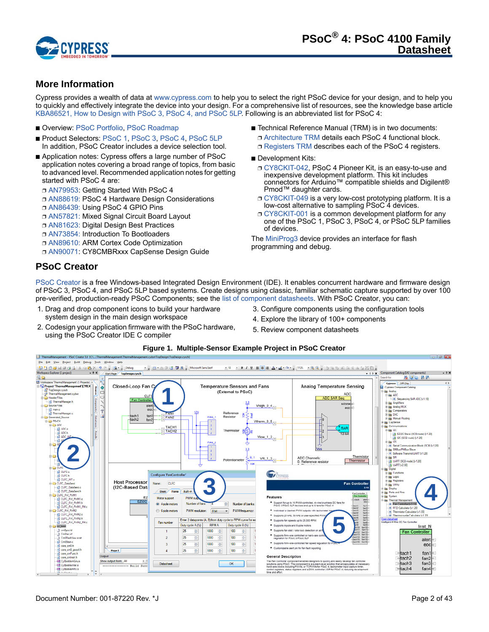

# <span id="page-1-0"></span>**More Information**

Cypress provides a wealth of data at [www.cypress.com](http://www.cypress.com/?source=PSoC5LP_Datasheet) to help you to select the right PSoC device for your design, and to help you to quickly and effectively integrate the device into your design. For a comprehensive list of resources, see the knowledge base article [KBA86521, How to Design with PSoC 3, PSoC 4, and PSoC 5LP.](http://www.cypress.com/?id=4&rID=77024&source=PSoC5LP_Datasheet) Following is an abbreviated list for PSoC 4:

- Overview: [PSoC Portfolio,](http://www.cypress.com/psoc/?source=PSoC5LP_Datasheet) [PSoC Roadmap](http://www.cypress.com/?rID=86788&source=PSoC5LP_Datasheet)
- Product Selectors: [PSoC 1,](http://www.cypress.com/?id=1573&source=PSoC5LP_Datasheet) [PSoC 3,](http://www.cypress.com/?id=5041&source=PSoC5LP_Datasheet) [PSoC 4,](http://www.cypress.com/?id=4976&source=PSoC5LP_Datasheet) [PSoC 5LP](http://www.cypress.com/?id=5044&source=PSoC5LP_Datasheet) In addition, PSoC Creator includes a device selection tool.
- Application notes: Cypress offers a large number of PSoC application notes covering a broad range of topics, from basic to advanced level. Recommended application notes for getting started with PSoC 4 are:
	- ❐ [AN79953](http://www.cypress.com/go/an79953): Getting Started With PSoC 4
	- ❐ [AN88619:](http://www.cypress.com/go/an88619) PSoC 4 Hardware Design Considerations
	- ❐ [AN86439:](http://www.cypress.com/go/an86439) Using PSoC 4 GPIO Pins
	- ❐ [AN57821:](http://www.cypress.com/go/an57821) Mixed Signal Circuit Board Layout
	- ❐ [AN81623:](http://www.cypress.com/go/an81623) Digital Design Best Practices
	- ❐ [AN73854:](http://www.cypress.com/go/an73854) Introduction To Bootloaders
	- ❐ [AN89610:](http://www.cypress.com/go/an89610) ARM Cortex Code Optimization
	- ❐ [AN90071](http://www.cypress.com/documentation/application-notes/an90071-cy8cmbr3xxx-capsense-design-guide?source=search&keywords=AN90071): CY8CMBRxxx CapSense Design Guide
- Technical Reference Manual (TRM) is in two documents: ❐ [Architecture TRM](http://www.cypress.com/?rID=78684) details each PSoC 4 functional block.
	- □ [Registers TRM](http://www.cypress.com/?rID=78807) describes each of the PSoC 4 registers.
- Development Kits:
	- ❐ [CY8CKIT-042](http://www.cypress.com/go/cy8ckit-042), PSoC 4 Pioneer Kit, is an easy-to-use and inexpensive development platform. This kit includes connectors for Arduino™ compatible shields and Digilent® Pmod™ daughter cards.
	- [CY8CKIT-049](http://www.cypress.com/?rID=92146) is a very low-cost prototyping platform. It is a low-cost alternative to sampling PSoC 4 devices.
	- ❐ [CY8CKIT-001](http://www.cypress.com/go/cy8ckit-001) is a common development platform for any one of the PSoC 1, PSoC 3, PSoC 4, or PSoC 5LP families of devices.

The [MiniProg3](http://www.cypress.com/go/cy8ckit-002) device provides an interface for flash programming and debug.

# **PSoC Creator**

[PSoC Creator](http://www.cypress.com/psoccreator/?source=PSoC5LP_Datasheet) is a free Windows-based Integrated Design Environment (IDE). It enables concurrent hardware and firmware design of PSoC 3, PSoC 4, and PSoC 5LP based systems. Create designs using classic, familiar schematic capture supported by over 100 pre-verified, production-ready PSoC Components; see the [list of component datasheets.](http://www.cypress.com/?app=search&searchType=advanced&keyword=&rtID=377&id=4749&applicationID=0&l=0) With PSoC Creator, you can:

- 1. Drag and drop component icons to build your hardware system design in the main design workspace
- 2. Codesign your application firmware with the PSoC hardware, using the PSoC Creator IDE C compiler
- 3. Configure components using the configuration tools
- 4. Explore the library of 100+ components
- 5. Review component datasheets

#### **Figure 1. Multiple-Sensor Example Project in PSoC Creator**

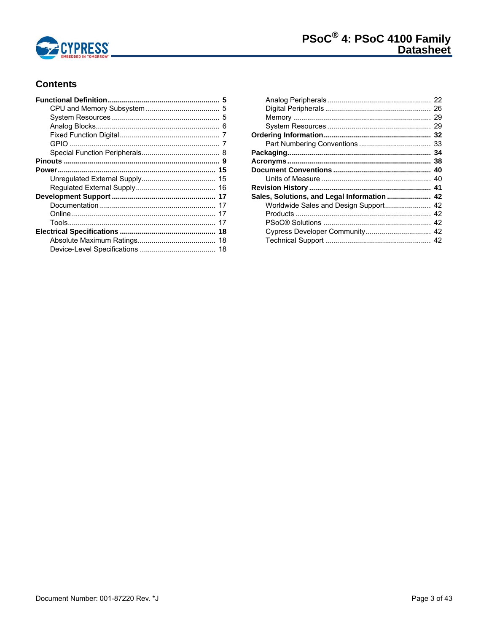

# **Contents**

| Sales, Solutions, and Legal Information  42 |  |
|---------------------------------------------|--|
| Worldwide Sales and Design Support 42       |  |
|                                             |  |
|                                             |  |
|                                             |  |
|                                             |  |
|                                             |  |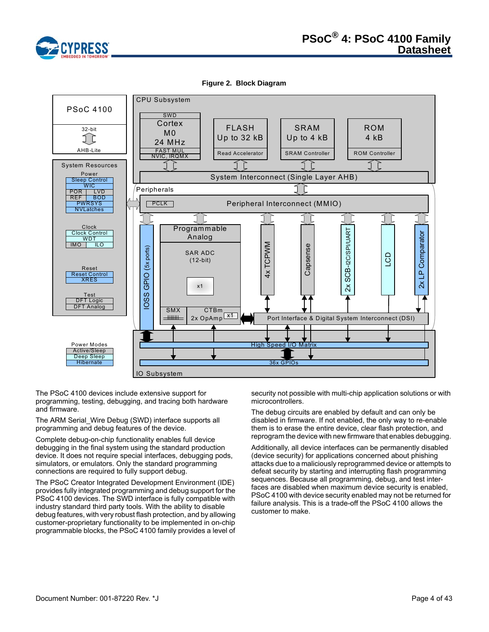

**Figure 2. [Block Diagram](#page-3-0)**

<span id="page-3-0"></span>

The PSoC 4100 devices include extensive support for programming, testing, debugging, and tracing both hardware and firmware.

The ARM Serial\_Wire Debug (SWD) interface supports all programming and debug features of the device.

Complete debug-on-chip functionality enables full device debugging in the final system using the standard production device. It does not require special interfaces, debugging pods, simulators, or emulators. Only the standard programming connections are required to fully support debug.

The PSoC Creator Integrated Development Environment (IDE) provides fully integrated programming and debug support for the PSoC 4100 devices. The SWD interface is fully compatible with industry standard third party tools. With the ability to disable debug features, with very robust flash protection, and by allowing customer-proprietary functionality to be implemented in on-chip programmable blocks, the PSoC 4100 family provides a level of security not possible with multi-chip application solutions or with microcontrollers.

The debug circuits are enabled by default and can only be disabled in firmware. If not enabled, the only way to re-enable them is to erase the entire device, clear flash protection, and reprogram the device with new firmware that enables debugging.

Additionally, all device interfaces can be permanently disabled (device security) for applications concerned about phishing attacks due to a maliciously reprogrammed device or attempts to defeat security by starting and interrupting flash programming sequences. Because all programming, debug, and test interfaces are disabled when maximum device security is enabled, PSoC 4100 with device security enabled may not be returned for failure analysis. This is a trade-off the PSoC 4100 allows the customer to make.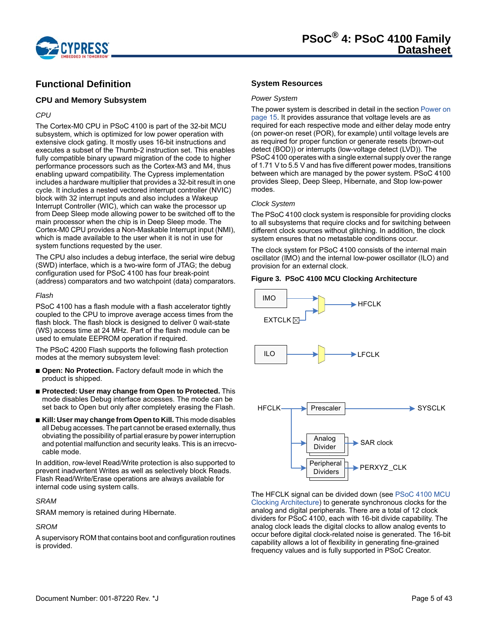

# <span id="page-4-0"></span>**Functional Definition**

#### <span id="page-4-1"></span>**CPU and Memory Subsystem**

#### *CPU*

The Cortex-M0 CPU in PSoC 4100 is part of the 32-bit MCU subsystem, which is optimized for low power operation with extensive clock gating. It mostly uses 16-bit instructions and executes a subset of the Thumb-2 instruction set. This enables fully compatible binary upward migration of the code to higher performance processors such as the Cortex-M3 and M4, thus enabling upward compatibility. The Cypress implementation includes a hardware multiplier that provides a 32-bit result in one cycle. It includes a nested vectored interrupt controller (NVIC) block with 32 interrupt inputs and also includes a Wakeup Interrupt Controller (WIC), which can wake the processor up from Deep Sleep mode allowing power to be switched off to the main processor when the chip is in Deep Sleep mode. The Cortex-M0 CPU provides a Non-Maskable Interrupt input (NMI), which is made available to the user when it is not in use for system functions requested by the user.

The CPU also includes a debug interface, the serial wire debug (SWD) interface, which is a two-wire form of JTAG; the debug configuration used for PSoC 4100 has four break-point (address) comparators and two watchpoint (data) comparators.

#### <span id="page-4-4"></span>*Flash*

PSoC 4100 has a flash module with a flash accelerator tightly coupled to the CPU to improve average access times from the flash block. The flash block is designed to deliver 0 wait-state (WS) access time at 24 MHz. Part of the flash module can be used to emulate EEPROM operation if required.

The PSoC 4200 Flash supports the following flash protection modes at the memory subsystem level:

- **Open: No Protection.** Factory default mode in which the product is shipped.
- **Protected: User may change from Open to Protected.** This mode disables Debug interface accesses. The mode can be set back to Open but only after completely erasing the Flash.
- **Kill: User may change from Open to Kill.** This mode disables all Debug accesses. The part cannot be erased externally, thus obviating the possibility of partial erasure by power interruption and potential malfunction and security leaks. This is an irrecvocable mode.

In addition, row-level Read/Write protection is also supported to prevent inadvertent Writes as well as selectively block Reads. Flash Read/Write/Erase operations are always available for internal code using system calls.

# *SRAM*

SRAM memory is retained during Hibernate.

# *SROM*

A supervisory ROM that contains boot and configuration routines is provided.

## <span id="page-4-2"></span>**System Resources**

#### *Power System*

The power system is described in detail in the section [Power on](#page-14-0)  [page 15](#page-14-0). It provides assurance that voltage levels are as required for each respective mode and either delay mode entry (on power-on reset (POR), for example) until voltage levels are as required for proper function or generate resets (brown-out detect (BOD)) or interrupts (low-voltage detect (LVD)). The PSoC 4100 operates with a single external supply over the range of 1.71 V to 5.5 V and has five different power modes, transitions between which are managed by the power system. PSoC 4100 provides Sleep, Deep Sleep, Hibernate, and Stop low-power modes.

#### *Clock System*

The PSoC 4100 clock system is responsible for providing clocks to all subsystems that require clocks and for switching between different clock sources without glitching. In addition, the clock system ensures that no metastable conditions occur.

The clock system for PSoC 4100 consists of the internal main oscillator (IMO) and the internal low-power oscillator (ILO) and provision for an external clock.

#### <span id="page-4-3"></span>**Figure 3. PSoC 4100 MCU Clocking Architecture**



The HFCLK signal can be divided down (see [PSoC 4100 MCU](#page-4-3)  [Clocking Architecture\)](#page-4-3) to generate synchronous clocks for the analog and digital peripherals. There are a total of 12 clock dividers for PSoC 4100, each with 16-bit divide capability. The analog clock leads the digital clocks to allow analog events to occur before digital clock-related noise is generated. The 16-bit capability allows a lot of flexibility in generating fine-grained frequency values and is fully supported in PSoC Creator.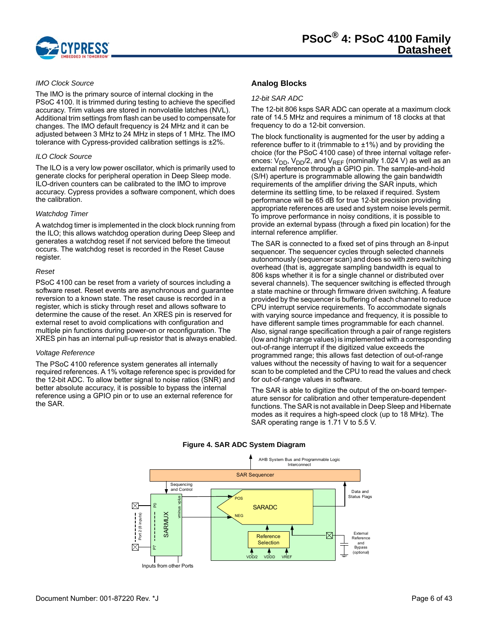

#### *IMO Clock Source*

The IMO is the primary source of internal clocking in the PSoC 4100. It is trimmed during testing to achieve the specified accuracy. Trim values are stored in nonvolatile latches (NVL). Additional trim settings from flash can be used to compensate for changes. The IMO default frequency is 24 MHz and it can be adjusted between 3 MHz to 24 MHz in steps of 1 MHz. The IMO tolerance with Cypress-provided calibration settings is ±2%.

#### *ILO Clock Source*

The ILO is a very low power oscillator, which is primarily used to generate clocks for peripheral operation in Deep Sleep mode. ILO-driven counters can be calibrated to the IMO to improve accuracy. Cypress provides a software component, which does the calibration.

#### *Watchdog Timer*

A watchdog timer is implemented in the clock block running from the ILO; this allows watchdog operation during Deep Sleep and generates a watchdog reset if not serviced before the timeout occurs. The watchdog reset is recorded in the Reset Cause register.

#### <span id="page-5-1"></span>*Reset*

PSoC 4100 can be reset from a variety of sources including a software reset. Reset events are asynchronous and guarantee reversion to a known state. The reset cause is recorded in a register, which is sticky through reset and allows software to determine the cause of the reset. An XRES pin is reserved for external reset to avoid complications with configuration and multiple pin functions during power-on or reconfiguration. The XRES pin has an internal pull-up resistor that is always enabled.

#### *Voltage Reference*

The PSoC 4100 reference system generates all internally required references. A 1% voltage reference spec is provided for the 12-bit ADC. To allow better signal to noise ratios (SNR) and better absolute accuracy, it is possible to bypass the internal reference using a GPIO pin or to use an external reference for the SAR.

# <span id="page-5-0"></span>**Analog Blocks**

#### *12-bit SAR ADC*

The 12-bit 806 ksps SAR ADC can operate at a maximum clock rate of 14.5 MHz and requires a minimum of 18 clocks at that frequency to do a 12-bit conversion.

The block functionality is augmented for the user by adding a reference buffer to it (trimmable to  $\pm 1\%$ ) and by providing the choice (for the PSoC 4100 case) of three internal voltage references:  $V_{DD}$ ,  $V_{DD}/2$ , and  $V_{REF}$  (nominally 1.024 V) as well as an external reference through a GPIO pin. The sample-and-hold (S/H) aperture is programmable allowing the gain bandwidth requirements of the amplifier driving the SAR inputs, which determine its settling time, to be relaxed if required. System performance will be 65 dB for true 12-bit precision providing appropriate references are used and system noise levels permit. To improve performance in noisy conditions, it is possible to provide an external bypass (through a fixed pin location) for the internal reference amplifier.

The SAR is connected to a fixed set of pins through an 8-input sequencer. The sequencer cycles through selected channels autonomously (sequencer scan) and does so with zero switching overhead (that is, aggregate sampling bandwidth is equal to 806 ksps whether it is for a single channel or distributed over several channels). The sequencer switching is effected through a state machine or through firmware driven switching. A feature provided by the sequencer is buffering of each channel to reduce CPU interrupt service requirements. To accommodate signals with varying source impedance and frequency, it is possible to have different sample times programmable for each channel. Also, signal range specification through a pair of range registers (low and high range values) is implemented with a corresponding out-of-range interrupt if the digitized value exceeds the programmed range; this allows fast detection of out-of-range values without the necessity of having to wait for a sequencer scan to be completed and the CPU to read the values and check for out-of-range values in software.

The SAR is able to digitize the output of the on-board temperature sensor for calibration and other temperature-dependent functions. The SAR is not available in Deep Sleep and Hibernate modes as it requires a high-speed clock (up to 18 MHz). The SAR operating range is 1.71 V to 5.5 V.



#### **Figure 4. SAR ADC System Diagram**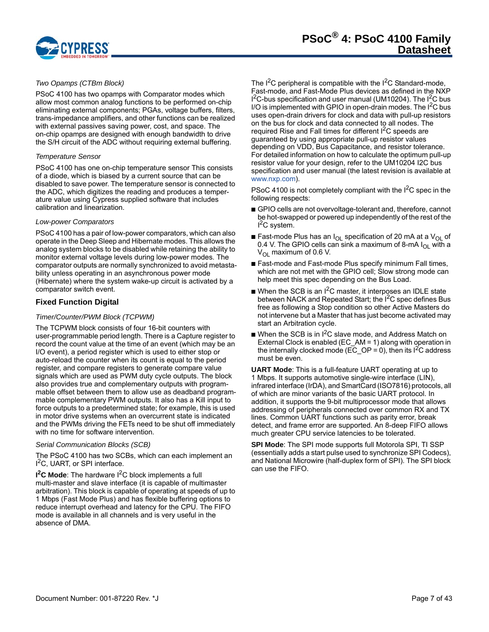

#### *Two Opamps (CTBm Block)*

PSoC 4100 has two opamps with Comparator modes which allow most common analog functions to be performed on-chip eliminating external components; PGAs, voltage buffers, filters, trans-impedance amplifiers, and other functions can be realized with external passives saving power, cost, and space. The on-chip opamps are designed with enough bandwidth to drive the S/H circuit of the ADC without requiring external buffering.

#### *Temperature Sensor*

PSoC 4100 has one on-chip temperature sensor This consists of a diode, which is biased by a current source that can be disabled to save power. The temperature sensor is connected to the ADC, which digitizes the reading and produces a temperature value using Cypress supplied software that includes calibration and linearization.

#### *Low-power Comparators*

PSoC 4100 has a pair of low-power comparators, which can also operate in the Deep Sleep and Hibernate modes. This allows the analog system blocks to be disabled while retaining the ability to monitor external voltage levels during low-power modes. The comparator outputs are normally synchronized to avoid metastability unless operating in an asynchronous power mode (Hibernate) where the system wake-up circuit is activated by a comparator switch event.

#### <span id="page-6-0"></span>**Fixed Function Digital**

#### *Timer/Counter/PWM Block (TCPWM)*

The TCPWM block consists of four 16-bit counters with user-programmable period length. There is a Capture register to record the count value at the time of an event (which may be an I/O event), a period register which is used to either stop or auto-reload the counter when its count is equal to the period register, and compare registers to generate compare value signals which are used as PWM duty cycle outputs. The block also provides true and complementary outputs with programmable offset between them to allow use as deadband programmable complementary PWM outputs. It also has a Kill input to force outputs to a predetermined state; for example, this is used in motor drive systems when an overcurrent state is indicated and the PWMs driving the FETs need to be shut off immediately with no time for software intervention.

#### *Serial Communication Blocks (SCB)*

The PSoC 4100 has two SCBs, which can each implement an I<sup>2</sup>C, UART, or SPI interface.

**I<sup>2</sup>C Mode**: The hardware I<sup>2</sup>C block implements a full multi-master and slave interface (it is capable of multimaster arbitration). This block is capable of operating at speeds of up to 1 Mbps (Fast Mode Plus) and has flexible buffering options to reduce interrupt overhead and latency for the CPU. The FIFO mode is available in all channels and is very useful in the absence of DMA.

The  $I^2C$  peripheral is compatible with the  $I^2C$  Standard-mode, Fast-mode, and Fast-Mode Plus devices as defined in the NXP  $I^2C$ -bus specification and user manual (UM10204). The  $I^2C$  bus I/O is implemented with GPIO in open-drain modes. The  $I^2C$  bus uses open-drain drivers for clock and data with pull-up resistors on the bus for clock and data connected to all nodes. The required Rise and Fall times for different I<sup>2</sup>C speeds are guaranteed by using appropriate pull-up resistor values depending on VDD, Bus Capacitance, and resistor tolerance. For detailed information on how to calculate the optimum pull-up resistor value for your design, refer to the UM10204 I2C bus specification and user manual (the latest revision is available at <www.nxp.com>).

PSoC 4100 is not completely compliant with the  $1<sup>2</sup>C$  spec in the following respects:

- GPIO cells are not overvoltage-tolerant and, therefore, cannot be hot-swapped or powered up independently of the rest of the <sup>2</sup>C system.
- Fast-mode Plus has an  $I_{OL}$  specification of 20 mA at a  $V_{OL}$  of 0.4 V. The GPIO cells can sink a maximum of 8-mA  $I_{OL}$  with a  $V_{\text{OI}}$  maximum of 0.6 V.
- Fast-mode and Fast-mode Plus specify minimum Fall times, which are not met with the GPIO cell; Slow strong mode can help meet this spec depending on the Bus Load.
- $\blacksquare$  When the SCB is an I<sup>2</sup>C master, it interposes an IDLE state between NACK and Repeated Start; the I<sup>2</sup>C spec defines Bus free as following a Stop condition so other Active Masters do not intervene but a Master that has just become activated may start an Arbitration cycle.
- When the SCB is in  $1^2C$  slave mode, and Address Match on External Clock is enabled (EC\_AM = 1) along with operation in the internally clocked mode ( $\overline{EC}$  OP = 0), then its  $1^2C$  address must be even.

**UART Mode**: This is a full-feature UART operating at up to 1 Mbps. It supports automotive single-wire interface (LIN), infrared interface (IrDA), and SmartCard (ISO7816) protocols, all of which are minor variants of the basic UART protocol. In addition, it supports the 9-bit multiprocessor mode that allows addressing of peripherals connected over common RX and TX lines. Common UART functions such as parity error, break detect, and frame error are supported. An 8-deep FIFO allows much greater CPU service latencies to be tolerated.

**SPI Mode**: The SPI mode supports full Motorola SPI, TI SSP (essentially adds a start pulse used to synchronize SPI Codecs), and National Microwire (half-duplex form of SPI). The SPI block can use the FIFO.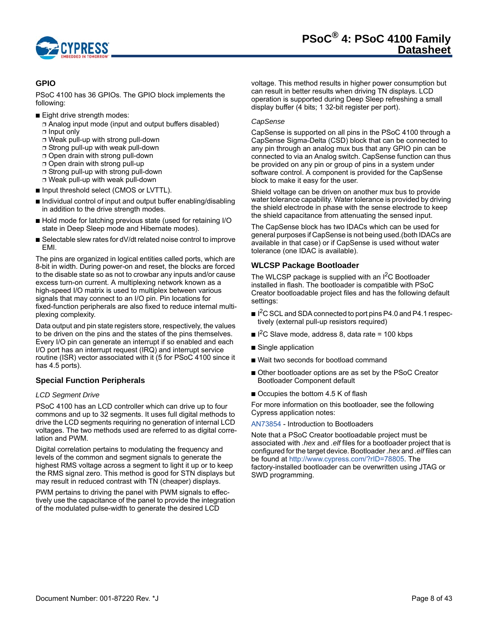

# <span id="page-7-0"></span>**GPIO**

PSoC 4100 has 36 GPIOs. The GPIO block implements the following:

- Eight drive strength modes:
	- ❐ Analog input mode (input and output buffers disabled) ❐ Input only
	- ❐ Weak pull-up with strong pull-down
	- ❐ Strong pull-up with weak pull-down
	- ❐ Open drain with strong pull-down
	- ❐ Open drain with strong pull-up
	- ❐ Strong pull-up with strong pull-down
	- ❐ Weak pull-up with weak pull-down
- Input threshold select (CMOS or LVTTL).
- Individual control of input and output buffer enabling/disabling in addition to the drive strength modes.
- Hold mode for latching previous state (used for retaining I/O state in Deep Sleep mode and Hibernate modes).
- Selectable slew rates for dV/dt related noise control to improve EMI.

The pins are organized in logical entities called ports, which are 8-bit in width. During power-on and reset, the blocks are forced to the disable state so as not to crowbar any inputs and/or cause excess turn-on current. A multiplexing network known as a high-speed I/O matrix is used to multiplex between various signals that may connect to an I/O pin. Pin locations for fixed-function peripherals are also fixed to reduce internal multiplexing complexity.

Data output and pin state registers store, respectively, the values to be driven on the pins and the states of the pins themselves. Every I/O pin can generate an interrupt if so enabled and each I/O port has an interrupt request (IRQ) and interrupt service routine (ISR) vector associated with it (5 for PSoC 4100 since it has 4.5 ports).

# <span id="page-7-1"></span>**Special Function Peripherals**

#### *LCD Segment Drive*

PSoC 4100 has an LCD controller which can drive up to four commons and up to 32 segments. It uses full digital methods to drive the LCD segments requiring no generation of internal LCD voltages. The two methods used are referred to as digital correlation and PWM.

Digital correlation pertains to modulating the frequency and levels of the common and segment signals to generate the highest RMS voltage across a segment to light it up or to keep the RMS signal zero. This method is good for STN displays but may result in reduced contrast with TN (cheaper) displays.

PWM pertains to driving the panel with PWM signals to effectively use the capacitance of the panel to provide the integration of the modulated pulse-width to generate the desired LCD

voltage. This method results in higher power consumption but can result in better results when driving TN displays. LCD operation is supported during Deep Sleep refreshing a small display buffer (4 bits; 1 32-bit register per port).

#### *CapSense*

CapSense is supported on all pins in the PSoC 4100 through a CapSense Sigma-Delta (CSD) block that can be connected to any pin through an analog mux bus that any GPIO pin can be connected to via an Analog switch. CapSense function can thus be provided on any pin or group of pins in a system under software control. A component is provided for the CapSense block to make it easy for the user.

Shield voltage can be driven on another mux bus to provide water tolerance capability. Water tolerance is provided by driving the shield electrode in phase with the sense electrode to keep the shield capacitance from attenuating the sensed input.

The CapSense block has two IDACs which can be used for general purposes if CapSense is not being used.(both IDACs are available in that case) or if CapSense is used without water tolerance (one IDAC is available).

# **WLCSP Package Bootloader**

The WLCSP package is supplied with an I<sup>2</sup>C Bootloader installed in flash. The bootloader is compatible with PSoC Creator bootloadable project files and has the following default settings:

- I<sup>2</sup>C SCL and SDA connected to port pins P4.0 and P4.1 respectively (external pull-up resistors required)
- $\blacksquare$  I<sup>2</sup>C Slave mode, address 8, data rate = 100 kbps
- Single application
- Wait two seconds for bootload command
- Other bootloader options are as set by the PSoC Creator Bootloader Component default
- Occupies the bottom 4.5 K of flash

For more information on this bootloader, see the following Cypress application notes:

#### [AN73854](http://www.cypress.com/go/an73854) - Introduction to Bootloaders

Note that a PSoC Creator bootloadable project must be associated with *.hex* and *.elf* files for a bootloader project that is configured for the target device. Bootloader *.hex* and *.elf* files can be found at<http://www.cypress.com/?rID=78805>. The factory-installed bootloader can be overwritten using JTAG or SWD programming.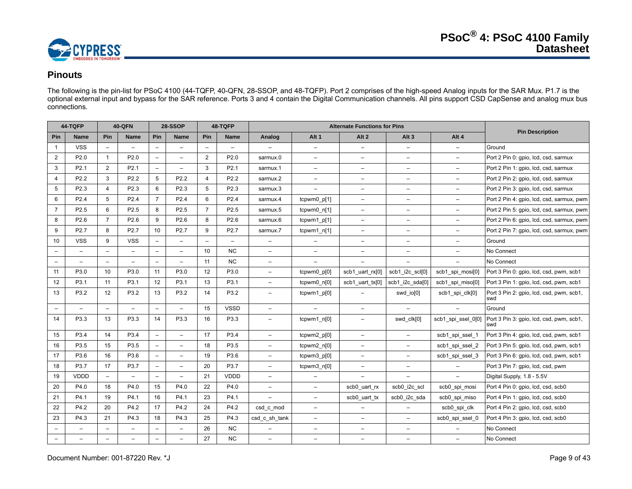

# **Pinouts**

The following is the pin-list for PSoC 4100 (44-TQFP, 40-QFN, 28-SSOP, and 48-TQFP). Port 2 comprises of the high-speed Analog inputs for the SAR Mux. P1.7 is the optional external input and bypass for the SAR reference. Ports 3 and 4 contain the Digital Communication channels. All pins support CSD CapSense and analog mux bus connections.

<span id="page-8-0"></span>

|                          | 44-TQFP                  |                          | <b>40-QFN</b>            |                          | 28-SSOP                  |                   | 48-TQFP                  |                          |                          | <b>Alternate Functions for Pins</b> |                          |                          |                                                 |
|--------------------------|--------------------------|--------------------------|--------------------------|--------------------------|--------------------------|-------------------|--------------------------|--------------------------|--------------------------|-------------------------------------|--------------------------|--------------------------|-------------------------------------------------|
| Pin                      | Name                     | Pin                      | <b>Name</b>              | Pin                      | <b>Name</b>              | Pin               | Name                     | Analog                   | Alt <sub>1</sub>         | Alt <sub>2</sub>                    | Alt <sub>3</sub>         | Alt 4                    | <b>Pin Description</b>                          |
| $\overline{1}$           | <b>VSS</b>               | $\qquad \qquad -$        | $\overline{\phantom{a}}$ | $\overline{\phantom{a}}$ | $\overline{\phantom{0}}$ | $\qquad \qquad -$ | $\overline{\phantom{a}}$ |                          | $\overline{\phantom{0}}$ | $\overline{\phantom{a}}$            | $\overline{\phantom{a}}$ | $\overline{\phantom{0}}$ | Ground                                          |
| $\overline{2}$           | P <sub>2.0</sub>         | $\mathbf{1}$             | P <sub>2.0</sub>         | $\overline{\phantom{a}}$ | L.                       | $\overline{2}$    | P2.0                     | sarmux.0                 | $\overline{\phantom{0}}$ | $\equiv$                            | $\equiv$                 | $\overline{a}$           | Port 2 Pin 0: gpio, lcd, csd, sarmux            |
| 3                        | P <sub>2.1</sub>         | $\overline{2}$           | P <sub>2.1</sub>         | $\overline{\phantom{0}}$ | $\overline{\phantom{0}}$ | 3                 | P2.1                     | sarmux.1                 | -                        | $\equiv$                            | $\qquad \qquad -$        | $\qquad \qquad -$        | Port 2 Pin 1: gpio, lcd, csd, sarmux            |
| $\overline{4}$           | P2.2                     | 3                        | P2.2                     | 5                        | P2.2                     | 4                 | P2.2                     | sarmux.2                 | $\overline{\phantom{0}}$ | $\equiv$                            | $\qquad \qquad -$        | $\qquad \qquad -$        | Port 2 Pin 2: gpio, Icd, csd, sarmux            |
| 5                        | P <sub>2.3</sub>         | $\overline{4}$           | P2.3                     | 6                        | P2.3                     | 5                 | P2.3                     | sarmux.3                 | $\overline{\phantom{0}}$ | $\overline{\phantom{a}}$            | $\qquad \qquad -$        | $\overline{\phantom{0}}$ | Port 2 Pin 3: gpio, lcd, csd, sarmux            |
| 6                        | P <sub>2.4</sub>         | 5                        | P <sub>2.4</sub>         | $\overline{7}$           | P <sub>2.4</sub>         | 6                 | P2.4                     | sarmux.4                 | tcpwm0 p[1]              | $\overline{\phantom{a}}$            | $\qquad \qquad -$        | $\qquad \qquad -$        | Port 2 Pin 4: gpio, lcd, csd, sarmux, pwm       |
| $\overline{7}$           | P2.5                     | 6                        | P2.5                     | 8                        | P2.5                     | $\overline{7}$    | P2.5                     | sarmux.5                 | tcpwm0_n[1]              | $\equiv$                            | $\overline{a}$           | $\overline{\phantom{0}}$ | Port 2 Pin 5: gpio, lcd, csd, sarmux, pwm       |
| 8                        | P <sub>2.6</sub>         | $\overline{7}$           | P <sub>2.6</sub>         | 9                        | P <sub>2.6</sub>         | 8                 | P2.6                     | sarmux.6                 | tcpwm1_p[1]              | $\overline{\phantom{a}}$            | $\overline{\phantom{a}}$ | $\qquad \qquad -$        | Port 2 Pin 6: gpio, lcd, csd, sarmux, pwm       |
| 9                        | P2.7                     | 8                        | P2.7                     | 10                       | P2.7                     | 9                 | P2.7                     | sarmux.7                 | tcpwm1 $n[1]$            | $\overline{\phantom{0}}$            | $\overline{\phantom{0}}$ | $\qquad \qquad -$        | Port 2 Pin 7: gpio, lcd, csd, sarmux, pwm       |
| 10                       | <b>VSS</b>               | 9                        | <b>VSS</b>               | $\overline{\phantom{0}}$ | $\overline{\phantom{0}}$ | $\qquad \qquad -$ | $\overline{\phantom{0}}$ | $\qquad \qquad -$        | $\overline{\phantom{0}}$ | $\overline{\phantom{0}}$            | $\qquad \qquad -$        | $\qquad \qquad -$        | Ground                                          |
| $\overline{\phantom{m}}$ | $\overline{\phantom{0}}$ | $\overline{\phantom{0}}$ | $\equiv$                 | $\overline{\phantom{m}}$ | $\overline{\phantom{m}}$ | 10                | <b>NC</b>                | $\overline{\phantom{m}}$ | $\overline{\phantom{0}}$ | $\overline{\phantom{a}}$            | $\qquad \qquad -$        | $\qquad \qquad -$        | No Connect                                      |
| $\overline{\phantom{m}}$ |                          | $\overline{a}$           | $\overline{a}$           | $\overline{\phantom{a}}$ | $\overline{\phantom{0}}$ | 11                | NC                       | $\overline{\phantom{0}}$ |                          | $\overline{a}$                      |                          | $\overline{a}$           | No Connect                                      |
| 11                       | P3.0                     | 10                       | P3.0                     | 11                       | P3.0                     | 12                | P3.0                     | $\overline{\phantom{0}}$ | tcpwm0_p[0]              | scb1_uart_rx[0]                     | scb1_i2c_scl[0]          | scb1_spi_mosi[0]         | Port 3 Pin 0: gpio, lcd, csd, pwm, scb1         |
| 12                       | P3.1                     | 11                       | P <sub>3.1</sub>         | 12                       | P3.1                     | 13                | P3.1                     | $\qquad \qquad -$        | tcpwm0 n[0]              | scb1 uart tx[0]                     | scb1 i2c sda[0]          | scb1 spi miso[0]         | Port 3 Pin 1: gpio, lcd, csd, pwm, scb1         |
| 13                       | P3.2                     | 12                       | P3.2                     | 13                       | P3.2                     | 14                | P3.2                     | -                        | tcpwm1 p[0]              |                                     | swd_io[0]                | scb1_spi_clk[0]          | Port 3 Pin 2: gpio, Icd, csd, pwm, scb1,<br>swd |
| $\overline{\phantom{a}}$ |                          | $\overline{\phantom{a}}$ | $-$                      | $\overline{\phantom{a}}$ | $\overline{a}$           | 15                | <b>VSSD</b>              | $\overline{\phantom{0}}$ | $\overline{\phantom{0}}$ | $\overline{\phantom{a}}$            | $\overline{\phantom{m}}$ |                          | Ground                                          |
| 14                       | P3.3                     | 13                       | P3.3                     | 14                       | P3.3                     | 16                | P3.3                     | -                        | tcpwm1_n[0]              | $\qquad \qquad -$                   | swd clk[0]               | scb1 spi ssel 0[0]       | Port 3 Pin 3: gpio, Icd, csd, pwm, scb1,<br>swd |
| 15                       | P3.4                     | 14                       | P3.4                     | $\overline{\phantom{a}}$ | $\overline{a}$           | 17                | P3.4                     | $\equiv$                 | tcpwm2_p[0]              | $\equiv$                            | $\overline{\phantom{0}}$ | scb1_spi_ssel_1          | Port 3 Pin 4: gpio, lcd, csd, pwm, scb1         |
| 16                       | P3.5                     | 15                       | P3.5                     | $\overline{\phantom{m}}$ | $\overline{\phantom{0}}$ | 18                | P3.5                     | $\qquad \qquad -$        | tcpwm2_n[0]              | $\qquad \qquad -$                   | $\overline{\phantom{0}}$ | scb1 spi ssel 2          | Port 3 Pin 5: gpio, Icd, csd, pwm, scb1         |
| 17                       | P3.6                     | 16                       | P3.6                     | $\overline{\phantom{a}}$ | $\qquad \qquad -$        | 19                | P3.6                     | $\overline{\phantom{0}}$ | tcpwm3 p[0]              | $\overline{\phantom{a}}$            | $\overline{\phantom{0}}$ | scb1_spi_ssel_3          | Port 3 Pin 6: gpio, Icd, csd, pwm, scb1         |
| 18                       | P3.7                     | 17                       | P3.7                     | $\overline{\phantom{m}}$ | $\overline{\phantom{0}}$ | 20                | P3.7                     | $\overline{\phantom{0}}$ | tcpwm3_n[0]              | $\overline{\phantom{0}}$            | -                        | $\equiv$                 | Port 3 Pin 7: gpio, Icd, csd, pwm               |
| 19                       | VDDD                     | $\overline{a}$           | $-$                      | $\overline{\phantom{a}}$ | $\overline{\phantom{0}}$ | 21                | VDDD                     | $-$                      | $-$                      | $\qquad \qquad -$                   | $\overline{\phantom{0}}$ | $\overline{\phantom{0}}$ | Digital Supply, 1.8 - 5.5V                      |
| 20                       | P4.0                     | 18                       | P4.0                     | 15                       | P4.0                     | 22                | P4.0                     | $\overline{\phantom{0}}$ | $\overline{\phantom{0}}$ | scb0_uart_rx                        | scb0 i2c scl             | scb0 spi mosi            | Port 4 Pin 0: gpio, lcd, csd, scb0              |
| 21                       | P4.1                     | 19                       | P4.1                     | 16                       | P4.1                     | 23                | P4.1                     |                          | $\overline{\phantom{0}}$ | scb0_uart_tx                        | scb0_i2c_sda             | scb0_spi_miso            | Port 4 Pin 1: gpio, Icd, csd, scb0              |
| 22                       | P4.2                     | 20                       | P4.2                     | 17                       | P4.2                     | 24                | P4.2                     | csd c mod                | -                        | $\overline{\phantom{0}}$            |                          | scb0_spi_clk             | Port 4 Pin 2: gpio, Icd, csd, scb0              |
| 23                       | P4.3                     | 21                       | P4.3                     | 18                       | P4.3                     | 25                | P4.3                     | csd_c_sh_tank            | $\overline{\phantom{0}}$ | $\overline{\phantom{0}}$            | $\overline{\phantom{0}}$ | scb0 spi ssel 0          | Port 4 Pin 3: gpio, Icd, csd, scb0              |
| $\overline{\phantom{a}}$ | $\overline{\phantom{0}}$ | $\overline{\phantom{a}}$ | $\overline{\phantom{a}}$ | $\overline{\phantom{0}}$ | $\qquad \qquad -$        | 26                | <b>NC</b>                | $\overline{\phantom{m}}$ | $\overline{\phantom{0}}$ | $\overline{\phantom{a}}$            | $\overline{\phantom{a}}$ | $\qquad \qquad -$        | No Connect                                      |
| $\overline{\phantom{m}}$ | $\overline{\phantom{0}}$ | $\overline{\phantom{0}}$ | $\overline{\phantom{0}}$ | $\overline{\phantom{0}}$ | $\overline{\phantom{0}}$ | 27                | <b>NC</b>                | $\overline{\phantom{0}}$ | $\overline{\phantom{0}}$ | $\overline{\phantom{0}}$            | $\qquad \qquad -$        | $\equiv$                 | No Connect                                      |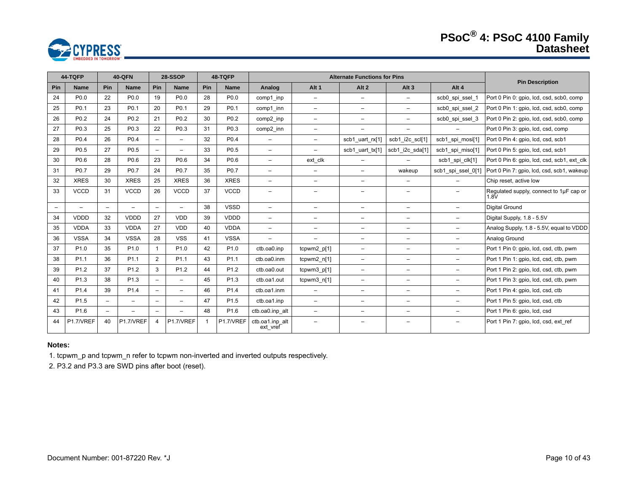# **PSoC® 4: PSoC 4100 Family Datasheet**



|                          | 44-TQFP                  | <b>40-QFN</b>            |                  | 28-SSOP<br>48-TQFP       |                          |     |                  |                             | <b>Alternate Functions for Pins</b> |                          |                          |                          |                                                 | <b>Pin Description</b> |
|--------------------------|--------------------------|--------------------------|------------------|--------------------------|--------------------------|-----|------------------|-----------------------------|-------------------------------------|--------------------------|--------------------------|--------------------------|-------------------------------------------------|------------------------|
| Pin                      | <b>Name</b>              | Pin                      | <b>Name</b>      | Pin                      | <b>Name</b>              | Pin | <b>Name</b>      | Analog                      | Alt <sub>1</sub>                    | Alt <sub>2</sub>         | Alt $3$                  | Alt 4                    |                                                 |                        |
| 24                       | P <sub>0.0</sub>         | 22                       | P <sub>0.0</sub> | 19                       | P <sub>0.0</sub>         | 28  | P <sub>0.0</sub> | comp1 inp                   | $-$                                 | $\overline{\phantom{0}}$ | $\overline{\phantom{0}}$ | scb0 spi ssel 1          | Port 0 Pin 0: gpio, lcd, csd, scb0, comp        |                        |
| 25                       | P <sub>0.1</sub>         | 23                       | P <sub>0.1</sub> | 20                       | P <sub>0.1</sub>         | 29  | P <sub>0.1</sub> | comp1 inn                   | $\qquad \qquad -$                   | $\overline{\phantom{m}}$ | -                        | scb0_spi_ssel_2          | Port 0 Pin 1: gpio, lcd, csd, scb0, comp        |                        |
| 26                       | P <sub>0.2</sub>         | 24                       | P <sub>0.2</sub> | 21                       | P <sub>0.2</sub>         | 30  | P <sub>0.2</sub> | comp2 inp                   | $-$                                 | -                        | -                        | scb0 spi ssel 3          | Port 0 Pin 2: gpio, lcd, csd, scb0, comp        |                        |
| 27                       | P <sub>0.3</sub>         | 25                       | P <sub>0.3</sub> | 22                       | P <sub>0.3</sub>         | 31  | P <sub>0.3</sub> | comp2_inn                   | $\equiv$                            | $\qquad \qquad -$        | $-$                      | $-$                      | Port 0 Pin 3: gpio, lcd, csd, comp              |                        |
| 28                       | P <sub>0.4</sub>         | 26                       | P <sub>0.4</sub> | $-$                      | $-$                      | 32  | P <sub>0.4</sub> | $\overline{\phantom{0}}$    | $\overline{\phantom{0}}$            | scb1 uart rx[1]          | scb1_i2c_scl[1]          | scb1 spi mosi[1]         | Port 0 Pin 4: qpio, lcd, csd, scb1              |                        |
| 29                       | P <sub>0.5</sub>         | 27                       | P <sub>0.5</sub> | $-$                      | $\qquad \qquad -$        | 33  | P <sub>0.5</sub> | $\overline{\phantom{0}}$    | $-$                                 | scb1 uart tx[1]          | scb1_i2c_sda[1]          | scb1 spi miso[1]         | Port 0 Pin 5: gpio, lcd, csd, scb1              |                        |
| 30                       | P <sub>0.6</sub>         | 28                       | P <sub>0.6</sub> | 23                       | P <sub>0.6</sub>         | 34  | P0.6             | $-$                         | ext clk                             | $\overline{\phantom{0}}$ |                          | scb1_spi_clk[1]          | Port 0 Pin 6: gpio, Icd, csd, scb1, ext clk     |                        |
| 31                       | P <sub>0.7</sub>         | 29                       | P0.7             | 24                       | P0.7                     | 35  | P0.7             | $-$                         | $\overline{\phantom{0}}$            | $\overline{\phantom{0}}$ | wakeup                   | scb1_spi_ssel_0[1]       | Port 0 Pin 7: gpio, lcd, csd, scb1, wakeup      |                        |
| 32                       | <b>XRES</b>              | 30                       | <b>XRES</b>      | 25                       | <b>XRES</b>              | 36  | <b>XRES</b>      | $\overline{\phantom{0}}$    | $\overline{\phantom{0}}$            | $\qquad \qquad -$        | Ξ.                       | $\qquad \qquad -$        | Chip reset, active low                          |                        |
| 33                       | <b>VCCD</b>              | 31                       | <b>VCCD</b>      | 26                       | <b>VCCD</b>              | 37  | <b>VCCD</b>      | $\overline{\phantom{0}}$    | $\overline{\phantom{0}}$            | $\overline{\phantom{0}}$ | -                        |                          | Regulated supply, connect to 1µF cap or<br>1.8V |                        |
| $\overline{\phantom{a}}$ | $\overline{\phantom{a}}$ | $\overline{a}$           |                  | $\overline{\phantom{a}}$ | $\equiv$                 | 38  | <b>VSSD</b>      | $\overline{\phantom{0}}$    | $\overline{\phantom{0}}$            | $\equiv$                 | $\overline{\phantom{0}}$ | $-$                      | <b>Digital Ground</b>                           |                        |
| 34                       | <b>VDDD</b>              | 32                       | <b>VDDD</b>      | 27                       | <b>VDD</b>               | 39  | <b>VDDD</b>      | $\overline{\phantom{0}}$    | $\qquad \qquad -$                   | $\qquad \qquad -$        | $\overline{\phantom{0}}$ | $\overline{\phantom{m}}$ | Digital Supply, 1.8 - 5.5V                      |                        |
| 35                       | <b>VDDA</b>              | 33                       | <b>VDDA</b>      | 27                       | <b>VDD</b>               | 40  | <b>VDDA</b>      | $\overline{\phantom{0}}$    | $\overline{\phantom{m}}$            | $\overline{\phantom{0}}$ | $\overline{\phantom{0}}$ | $-$                      | Analog Supply, 1.8 - 5.5V, equal to VDDD        |                        |
| 36                       | <b>VSSA</b>              | 34                       | <b>VSSA</b>      | 28                       | <b>VSS</b>               | 41  | <b>VSSA</b>      | $\overline{\phantom{0}}$    | $\overline{\phantom{0}}$            | $\overline{\phantom{0}}$ | -                        | $-$                      | Analog Ground                                   |                        |
| 37                       | P <sub>1.0</sub>         | 35                       | P <sub>1.0</sub> | $\mathbf{1}$             | P <sub>1.0</sub>         | 42  | P <sub>1.0</sub> | ctb.oa0.inp                 | tcpwm2_p[1]                         | $\overline{\phantom{0}}$ | Ξ.                       | $\overline{\phantom{a}}$ | Port 1 Pin 0: gpio, lcd, csd, ctb, pwm          |                        |
| 38                       | P <sub>1.1</sub>         | 36                       | P <sub>1.1</sub> | 2                        | P <sub>1.1</sub>         | 43  | P <sub>1.1</sub> | ctb.oa0.inm                 | tcpwm2_n[1]                         | $\qquad \qquad -$        | -                        | $\overline{\phantom{m}}$ | Port 1 Pin 1: gpio, lcd, csd, ctb, pwm          |                        |
| 39                       | P <sub>1.2</sub>         | 37                       | P <sub>1.2</sub> | 3                        | P <sub>1.2</sub>         | 44  | P <sub>1.2</sub> | ctb.oa0.out                 | tcpwm3_p[1]                         | $\qquad \qquad -$        | -                        | $\overline{\phantom{a}}$ | Port 1 Pin 2: gpio, Icd, csd, ctb, pwm          |                        |
| 40                       | P <sub>1.3</sub>         | 38                       | P <sub>1.3</sub> | $\overline{\phantom{0}}$ | $\overline{\phantom{m}}$ | 45  | P <sub>1.3</sub> | ctb.oa1.out                 | tcpwm3_n[1]                         | $\overline{\phantom{0}}$ | Ξ.                       | $-$                      | Port 1 Pin 3: gpio, lcd, csd, ctb, pwm          |                        |
| 41                       | P <sub>1.4</sub>         | 39                       | P <sub>1.4</sub> | $\overline{\phantom{0}}$ | $\overline{\phantom{m}}$ | 46  | P <sub>1.4</sub> | ctb.oa1.inm                 | $\overline{\phantom{m}}$            | $\overline{\phantom{0}}$ | $\overline{\phantom{0}}$ | $-$                      | Port 1 Pin 4: gpio, Icd, csd, ctb               |                        |
| 42                       | P <sub>1.5</sub>         | $\overline{\phantom{0}}$ |                  | $\overline{\phantom{0}}$ | $\qquad \qquad -$        | 47  | P <sub>1.5</sub> | ctb.oa1.inp                 | $\qquad \qquad -$                   | $\overline{\phantom{0}}$ | —                        | $\overline{\phantom{a}}$ | Port 1 Pin 5: gpio, Icd, csd, ctb               |                        |
| 43                       | P <sub>1.6</sub>         | -                        |                  | $\overline{\phantom{a}}$ |                          | 48  | P <sub>1.6</sub> | ctb.oa0.inp alt             | -                                   | -                        | -                        |                          | Port 1 Pin 6: gpio, lcd, csd                    |                        |
| 44                       | P1.7/VREF                | 40                       | P1.7/VREF        | $\overline{4}$           | P1.7/VREF                |     | P1.7/VREF        | ctb.oa1.inp_alt<br>ext_vref | $\equiv$                            | $\equiv$                 | -                        | $\overline{\phantom{a}}$ | Port 1 Pin 7: gpio, lcd, csd, ext ref           |                        |

#### **Notes:**

1. tcpwm\_p and tcpwm\_n refer to tcpwm non-inverted and inverted outputs respectively.

2. P3.2 and P3.3 are SWD pins after boot (reset).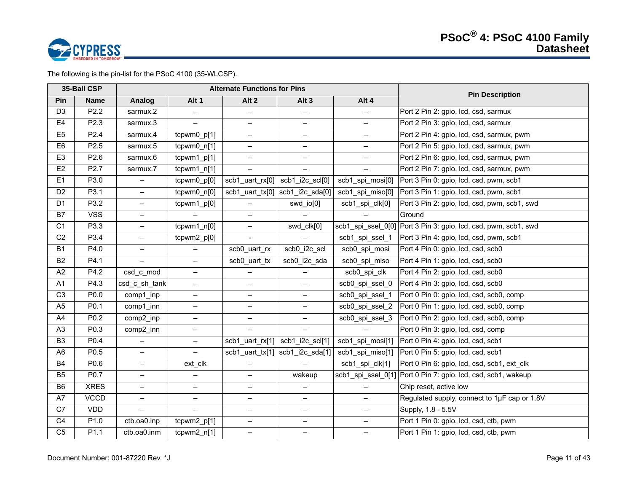

The following is the pin-list for the PSoC 4100 (35-WLCSP).

|                | 35-Ball CSP      |                          |                                  | <b>Alternate Functions for Pins</b> |                                                 |                          | <b>Pin Description</b>                                          |
|----------------|------------------|--------------------------|----------------------------------|-------------------------------------|-------------------------------------------------|--------------------------|-----------------------------------------------------------------|
| Pin            | <b>Name</b>      | Analog                   | Alt 1                            | Alt <sub>2</sub>                    | Alt <sub>3</sub>                                | Alt 4                    |                                                                 |
| D <sub>3</sub> | P2.2             | sarmux.2                 |                                  | $\qquad \qquad -$                   |                                                 | $\overline{\phantom{0}}$ | Port 2 Pin 2: gpio, Icd, csd, sarmux                            |
| E4             | P2.3             | sarmux.3                 | $\equiv$                         | $\overline{\phantom{0}}$            | $-$                                             | $\overline{\phantom{0}}$ | Port 2 Pin 3: gpio, Icd, csd, sarmux                            |
| E <sub>5</sub> | P <sub>2.4</sub> | sarmux.4                 | tcpwm0_p[1]                      | $\qquad \qquad -$                   | $-$                                             | $-$                      | Port 2 Pin 4: gpio, lcd, csd, sarmux, pwm                       |
| E <sub>6</sub> | P <sub>2.5</sub> | sarmux.5                 | tcpwm0_n[1]                      | $\qquad \qquad -$                   | $-$                                             | $\qquad \qquad -$        | Port 2 Pin 5: gpio, lcd, csd, sarmux, pwm                       |
| E <sub>3</sub> | P2.6             | sarmux.6                 | $\overline{\text{tcpwm1\_p[1]}}$ | $\qquad \qquad -$                   | $-$                                             | $-$                      | Port 2 Pin 6: gpio, lcd, csd, sarmux, pwm                       |
| E <sub>2</sub> | P2.7             | sarmux.7                 | tcpwm1_n[1]                      |                                     |                                                 |                          | Port 2 Pin 7: gpio, lcd, csd, sarmux, pwm                       |
| E <sub>1</sub> | P3.0             | $\overline{\phantom{0}}$ | tcpwm0_p[0]                      |                                     | $scb1_$ uart_rx $[0]$   $scb1_$ $2c$ _ $scI[0]$ | scb1_spi_mosi[0]         | Port 3 Pin 0: gpio, lcd, csd, pwm, scb1                         |
| D <sub>2</sub> | P3.1             | $\equiv$                 | tcpwm0_n[0]                      |                                     | scb1_uart_tx[0] $ $ scb1_i2c_sda[0] $ $         | scb1_spi_miso[0]         | Port 3 Pin 1: gpio, Icd, csd, pwm, scb1                         |
| D <sub>1</sub> | P3.2             | $-$                      | tcpwm1_p[0]                      | $\overline{\phantom{0}}$            | swd_io[0]                                       | scb1_spi_clk[0]          | Port 3 Pin 2: gpio, lcd, csd, pwm, scb1, swd                    |
| <b>B7</b>      | <b>VSS</b>       | $\equiv$                 |                                  | $\qquad \qquad -$                   |                                                 |                          | Ground                                                          |
| C1             | P3.3             | $\qquad \qquad -$        | $tcpwm1_n[0]$                    | $\qquad \qquad -$                   | swd_clk[0]                                      |                          | scb1 spi ssel 0[0] Port 3 Pin 3: gpio, lcd, csd, pwm, scb1, swd |
| C <sub>2</sub> | P3.4             | $\overline{\phantom{0}}$ | tcpwm2_p[0]                      | $\sim$                              |                                                 | scb1_spi_ssel_1          | Port 3 Pin 4: gpio, lcd, csd, pwm, scb1                         |
| <b>B1</b>      | P4.0             | $\equiv$                 |                                  | scb0_uart_rx                        | scb0_i2c_scl                                    | scb0_spi_mosi            | Port 4 Pin 0: gpio, Icd, csd, scb0                              |
| <b>B2</b>      | P4.1             | $\equiv$                 | $\overline{\phantom{0}}$         | scb0 uart tx                        | scb0_i2c_sda                                    | scb0 spi miso            | Port 4 Pin 1: gpio, lcd, csd, scb0                              |
| A2             | P4.2             | csd_c_mod                | $\qquad \qquad -$                |                                     |                                                 | scb0 spi clk             | Port 4 Pin 2: gpio, Icd, csd, scb0                              |
| A1             | P4.3             | csd c sh tank            | $\qquad \qquad -$                | $\qquad \qquad -$                   | $\overline{\phantom{0}}$                        | scb0 spi ssel 0          | Port 4 Pin 3: gpio, Icd, csd, scb0                              |
| C <sub>3</sub> | P0.0             | comp1_inp                | $\qquad \qquad -$                | $\overline{\phantom{0}}$            | $-$                                             | scb0_spi_ssel_1          | Port 0 Pin 0: gpio, lcd, csd, scb0, comp                        |
| A <sub>5</sub> | P0.1             | comp1_inn                | $\qquad \qquad -$                | $\overline{\phantom{0}}$            | $-$                                             | scb0 spi ssel 2          | Port 0 Pin 1: gpio, Icd, csd, scb0, comp                        |
| A4             | P0.2             | comp2 inp                | $\qquad \qquad -$                | $\overline{\phantom{0}}$            | $-$                                             | scb0 spi ssel 3          | Port 0 Pin 2: gpio, Icd, csd, scb0, comp                        |
| A <sub>3</sub> | P0.3             | comp2_inn                | $\qquad \qquad -$                | $\equiv$                            |                                                 |                          | Port 0 Pin 3: gpio, lcd, csd, comp                              |
| B <sub>3</sub> | P0.4             | $\overline{\phantom{0}}$ | $\overline{\phantom{m}}$         |                                     | scb1_uart_rx[1] $\vert$ scb1_i2c_scl[1]         | scb1_spi_mosi[1]         | Port 0 Pin 4: gpio, Icd, csd, scb1                              |
| A <sub>6</sub> | P0.5             | $\overline{\phantom{0}}$ | $\equiv$                         |                                     | $scb1_$ uart_tx[1] $ scb1_$ i2c_sda[1] $ $      | scb1_spi_miso[1]         | Port 0 Pin 5: gpio, Icd, csd, scb1                              |
| <b>B4</b>      | P0.6             | $-$                      | ext_clk                          | $\qquad \qquad -$                   |                                                 | scb1_spi_clk[1]          | Port 0 Pin 6: gpio, Icd, csd, scb1, ext clk                     |
| B <sub>5</sub> | P0.7             | $\overline{\phantom{0}}$ | $\qquad \qquad -$                | $-$                                 | wakeup                                          | scb1_spi_ssel_0[1]       | Port 0 Pin 7: gpio, lcd, csd, scb1, wakeup                      |
| B <sub>6</sub> | <b>XRES</b>      | $\overline{\phantom{0}}$ | $\qquad \qquad -$                | $\overline{\phantom{0}}$            | $-$                                             |                          | Chip reset, active low                                          |
| A7             | <b>VCCD</b>      | $\overline{\phantom{0}}$ | $\overline{\phantom{0}}$         | $\overline{\phantom{0}}$            | $-$                                             | $\overline{\phantom{0}}$ | Regulated supply, connect to 1µF cap or 1.8V                    |
| C7             | <b>VDD</b>       | $\overline{\phantom{0}}$ | $\equiv$                         | $\overline{\phantom{0}}$            | $\overline{\phantom{0}}$                        | $-$                      | Supply, 1.8 - 5.5V                                              |
| C <sub>4</sub> | P1.0             | ctb.oa0.inp              | tcpwm2_p[1]                      | $\qquad \qquad -$                   | $-$                                             | $\qquad \qquad -$        | Port 1 Pin 0: gpio, lcd, csd, ctb, pwm                          |
| C <sub>5</sub> | P1.1             | ctb.oa0.inm              | $tcpwm2_n[1]$                    | $\overline{\phantom{0}}$            | $\overline{\phantom{0}}$                        | $-$                      | Port 1 Pin 1: gpio, lcd, csd, ctb, pwm                          |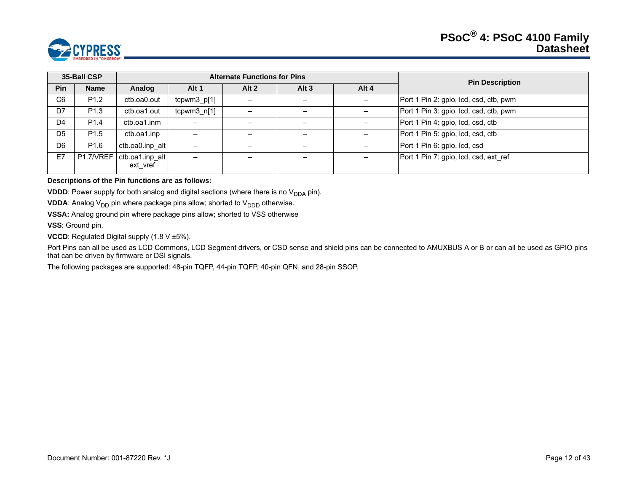

|                | 35-Ball CSP      |                                           |                          | <b>Alternate Functions for Pins</b> |         |                   | <b>Pin Description</b>                 |
|----------------|------------------|-------------------------------------------|--------------------------|-------------------------------------|---------|-------------------|----------------------------------------|
| <b>Pin</b>     | <b>Name</b>      | Analog                                    | Alt 1                    | Alt $2$                             | Alt $3$ | Alt 4             |                                        |
| C <sub>6</sub> | P <sub>1.2</sub> | ctb.oa0.out                               | $tcpwm3_p[1]$            | $\qquad \qquad$                     |         | $\qquad \qquad -$ | Port 1 Pin 2: gpio, lcd, csd, ctb, pwm |
| D7             | P <sub>1.3</sub> | ctb.oa1.out                               | $tcpwm3_n[1]$            |                                     |         |                   | Port 1 Pin 3: gpio, lcd, csd, ctb, pwm |
| D <sub>4</sub> | P <sub>1.4</sub> | ctb.oa1.inm                               | $\overline{\phantom{0}}$ |                                     |         |                   | Port 1 Pin 4: gpio, Icd, csd, ctb      |
| D <sub>5</sub> | P <sub>1.5</sub> | ctb.oa1.inp                               | $\overline{\phantom{m}}$ |                                     |         |                   | Port 1 Pin 5: gpio, Icd, csd, ctb      |
| D6             | P <sub>1.6</sub> | ctb.oa0.inp alt                           | -                        |                                     |         |                   | Port 1 Pin 6: gpio, Icd, csd           |
| E7             |                  | P1.7/VREF   ctb.oa1.inp alt  <br>ext vref | $\overline{\phantom{0}}$ |                                     |         |                   | Port 1 Pin 7: gpio, Icd, csd, ext ref  |

#### **Descriptions of the Pin functions are as follows:**

**VDDD**: Power supply for both analog and digital sections (where there is no  $V_{DDA}$  pin).

**VDDA**: Analog  $V_{DD}$  pin where package pins allow; shorted to  $V_{DDD}$  otherwise.

**VSSA:** Analog ground pin where package pins allow; shorted to VSS otherwise

**VSS**: Ground pin.

**VCCD**: Regulated Digital supply (1.8 V ±5%).

Port Pins can all be used as LCD Commons, LCD Segment drivers, or CSD sense and shield pins can be connected to AMUXBUS A or B or can all be used as GPIO pins that can be driven by firmware or DSI signals.

The following packages are supported: 48-pin TQFP, 44-pin TQFP, 40-pin QFN, and 28-pin SSOP.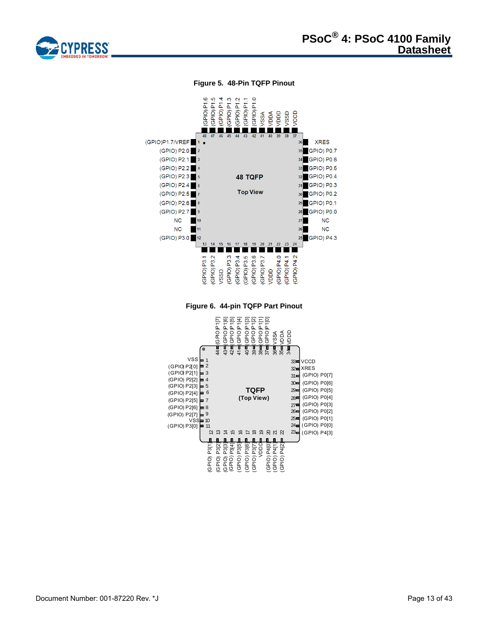

#### **Figure 5. 48-Pin TQFP Pinout**

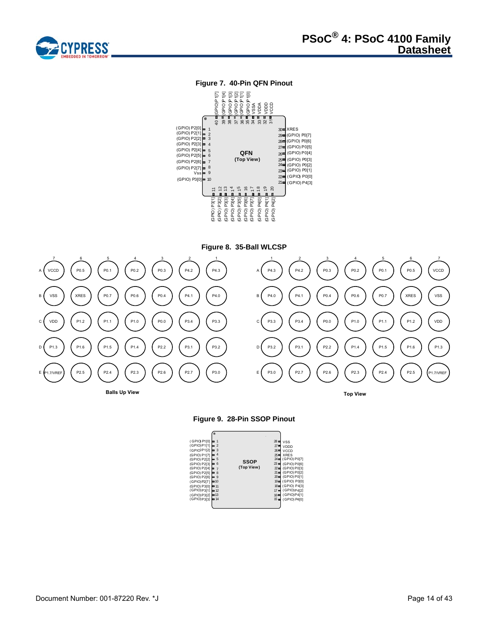

# **Figure 7. 40-Pin QFN Pinout**



**Figure 8. 35-Ball WLCSP**





| (GPIO) P1[0]<br>(GPIO)P1[1]<br>(GP1O)P1[2]<br>(GPIO) P1[7]<br>(GPIO) P2[2]<br>(GPIO) P2[3]<br>(GPIO) P2[4]<br>(GPIO) P2[5]<br>(GPIO) P2[6]<br>(GPIO)P2[7]<br>(GPIO) P3[0] = 11 | ۲<br>∍ 9<br>$=10$ | 3<br>4<br>5<br>6<br>$\overline{7}$<br>8 | <b>SSOP</b><br>(Top View) | 28<br>$27 =$<br>$26 \blacksquare$<br>$25 =$<br>$23 =$<br>$22 =$ | <b>VSS</b><br>VDDD<br>VCCD<br><b>XRES</b><br>24 (GPIO) P0[7]<br>(GPIO) P0[6]<br>(GPIO) P0[3]<br>$21 = (GPIO) P0[2]$<br>20 (GPIO) P0[1]<br>19 (GPIO) P0[0]<br>18 (GPIO) P4[3] |
|--------------------------------------------------------------------------------------------------------------------------------------------------------------------------------|-------------------|-----------------------------------------|---------------------------|-----------------------------------------------------------------|------------------------------------------------------------------------------------------------------------------------------------------------------------------------------|
| (GPIO)P3[1] = 12<br>(GPIO)P3[2] = 13                                                                                                                                           |                   |                                         |                           | $17 =$<br>$16 \blacksquare$                                     | (GPIO)P4[2]<br>(GPIO)P4[1]                                                                                                                                                   |
| (GPIO) P3[3]                                                                                                                                                                   |                   | $=14$                                   |                           | $15 =$                                                          | (GPIO) P4[0]                                                                                                                                                                 |
|                                                                                                                                                                                |                   |                                         |                           |                                                                 |                                                                                                                                                                              |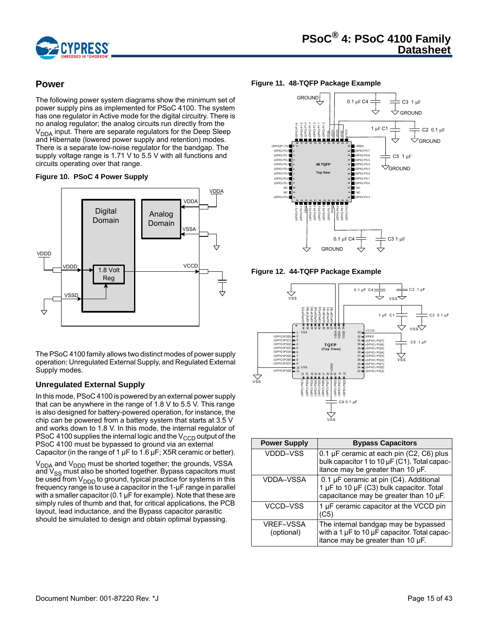

# <span id="page-14-0"></span>**Power**

The following power system diagrams show the minimum set of power supply pins as implemented for PSoC 4100. The system has one regulator in Active mode for the digital circuitry. There is no analog regulator; the analog circuits run directly from the  $V<sub>DDA</sub>$  input. There are separate regulators for the Deep Sleep and Hibernate (lowered power supply and retention) modes. There is a separate low-noise regulator for the bandgap. The supply voltage range is 1.71 V to 5.5 V with all functions and circuits operating over that range.

<span id="page-14-2"></span>



The PSoC 4100 family allows two distinct modes of power supply operation: Unregulated External Supply, and Regulated External Supply modes.

# <span id="page-14-1"></span>**Unregulated External Supply**

In this mode, PSoC 4100 is powered by an external power supply that can be anywhere in the range of 1.8 V to 5.5 V. This range is also designed for battery-powered operation, for instance, the chip can be powered from a battery system that starts at 3.5 V and works down to 1.8 V. In this mode, the internal regulator of PSoC 4100 supplies the internal logic and the  $V_{\text{CCD}}$  output of the PSoC 4100 must be bypassed to ground via an external Capacitor (in the range of 1  $\mu$ F to 1.6  $\mu$ F; X5R ceramic or better).

V<sub>DDA</sub> and V<sub>DDD</sub> must be shorted together; the grounds, VSSA and V<sub>SS</sub> must also be shorted together. Bypass capacitors must be used from V<sub>DDD</sub> to ground, typical practice for systems in this frequency range is to use a capacitor in the 1-µF range in parallel with a smaller capacitor (0.1 µF for example). Note that these are simply rules of thumb and that, for critical applications, the PCB layout, lead inductance, and the Bypass capacitor parasitic should be simulated to design and obtain optimal bypassing.

#### **Figure 11. 48-TQFP Package Example**



<span id="page-14-3"></span>**Figure 12. 44-TQFP Package Example**



| <b>Power Supply</b>            | <b>Bypass Capacitors</b>                                                                                                           |
|--------------------------------|------------------------------------------------------------------------------------------------------------------------------------|
| VDDD-VSS                       | 0.1 $\mu$ F ceramic at each pin (C2, C6) plus<br>bulk capacitor 1 to 10 µF (C1). Total capac-<br>itance may be greater than 10 µF. |
| <b>VDDA-VSSA</b>               | 0.1 µF ceramic at pin (C4). Additional<br>1 µF to 10 µF (C3) bulk capacitor. Total<br>capacitance may be greater than 10 µF.       |
| VCCD-VSS                       | 1 µF ceramic capacitor at the VCCD pin<br>(C5)                                                                                     |
| <b>VREF-VSSA</b><br>(optional) | The internal bandgap may be bypassed<br>with a 1 µF to 10 µF capacitor. Total capac-<br>itance may be greater than 10 µF.          |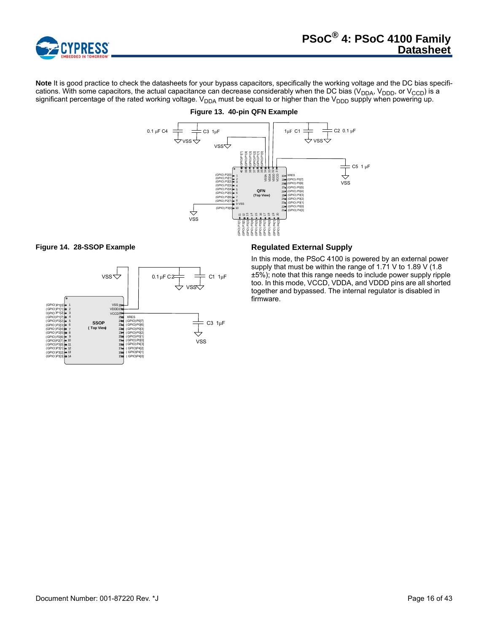

**Note** It is good practice to check the datasheets for your bypass capacitors, specifically the working voltage and the DC bias specifications. With some capacitors, the actual capacitance can decrease considerably when the DC bias (V<sub>DDA</sub>, V<sub>DDD</sub>, or V<sub>CCD</sub>) is a significant percentage of the rated working voltage. V<sub>DDA</sub> must be equal to or higher than the V<sub>DDD</sub> supply when powering up.



# **Figure 13. 40-pin QFN Example**





<span id="page-15-0"></span>In this mode, the PSoC 4100 is powered by an external power supply that must be within the range of 1.71 V to 1.89 V (1.8) ±5%); note that this range needs to include power supply ripple too. In this mode, VCCD, VDDA, and VDDD pins are all shorted together and bypassed. The internal regulator is disabled in firmware.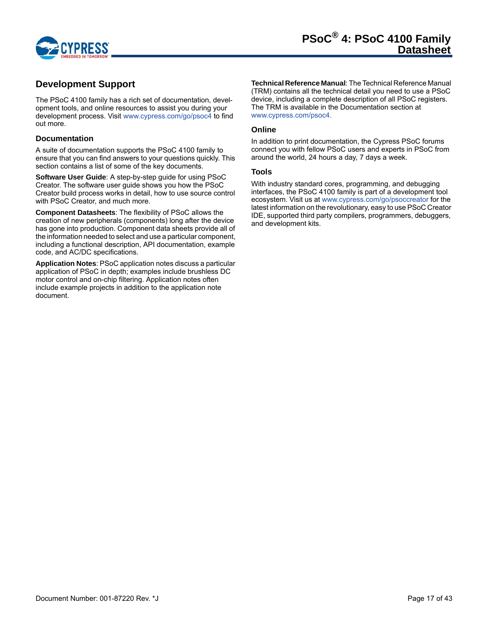

# <span id="page-16-0"></span>**Development Support**

The PSoC 4100 family has a rich set of documentation, development tools, and online resources to assist you during your development process. Visit<www.cypress.com/go/psoc4> to find out more.

## <span id="page-16-1"></span>**Documentation**

A suite of documentation supports the PSoC 4100 family to ensure that you can find answers to your questions quickly. This section contains a list of some of the key documents.

**Software User Guide**: A step-by-step guide for using PSoC Creator. The software user guide shows you how the PSoC Creator build process works in detail, how to use source control with PSoC Creator, and much more.

**Component Datasheets**: The flexibility of PSoC allows the creation of new peripherals (components) long after the device has gone into production. Component data sheets provide all of the information needed to select and use a particular component, including a functional description, API documentation, example code, and AC/DC specifications.

**Application Notes**: PSoC application notes discuss a particular application of PSoC in depth; examples include brushless DC motor control and on-chip filtering. Application notes often include example projects in addition to the application note document.

**Technical Reference Manual**: The Technical Reference Manual (TRM) contains all the technical detail you need to use a PSoC device, including a complete description of all PSoC registers. The TRM is available in the Documentation section at [www.cypress.com/psoc4.](www.cypress.com/psoc4)

#### <span id="page-16-2"></span>**Online**

In addition to print documentation, the Cypress PSoC forums connect you with fellow PSoC users and experts in PSoC from around the world, 24 hours a day, 7 days a week.

#### <span id="page-16-3"></span>**Tools**

With industry standard cores, programming, and debugging interfaces, the PSoC 4100 family is part of a development tool ecosystem. Visit us at<www.cypress.com/go/psoccreator>for the latest information on the revolutionary, easy to use PSoC Creator IDE, supported third party compilers, programmers, debuggers, and development kits.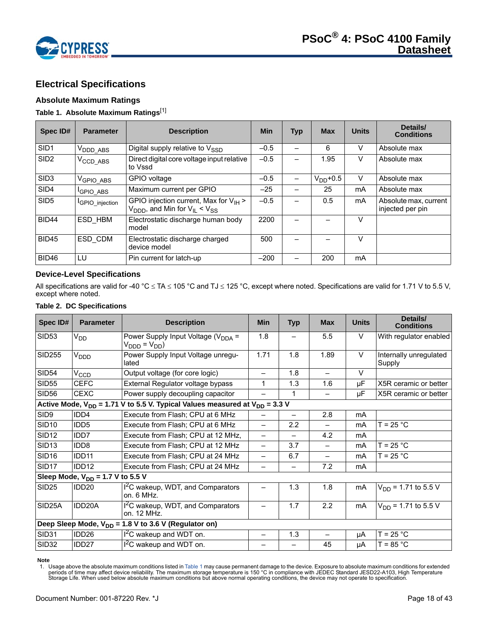

# <span id="page-17-0"></span>**Electrical Specifications**

# <span id="page-17-1"></span>**Absolute Maximum Ratings**

## <span id="page-17-4"></span>**Table 1. Absolute Maximum Ratings**[\[1](#page-17-3)]

| Spec ID#         | <b>Parameter</b>             | <b>Description</b>                                                                                          | <b>Min</b> | <b>Typ</b> | <b>Max</b>    | <b>Units</b> | Details/<br><b>Conditions</b>             |
|------------------|------------------------------|-------------------------------------------------------------------------------------------------------------|------------|------------|---------------|--------------|-------------------------------------------|
| SID <sub>1</sub> | V <sub>DDD</sub> _ABS        | Digital supply relative to V <sub>SSD</sub>                                                                 | $-0.5$     |            | 6             | v            | Absolute max                              |
| SID <sub>2</sub> | $V_{\text{CCD}\_\text{ABS}}$ | Direct digital core voltage input relative<br>to Vssd                                                       | $-0.5$     |            | 1.95          | v            | Absolute max                              |
| SID <sub>3</sub> | V <sub>GPIO ABS</sub>        | GPIO voltage                                                                                                | $-0.5$     |            | $V_{DD}$ +0.5 | $\vee$       | Absolute max                              |
| SID4             | <b>GPIO ABS</b>              | Maximum current per GPIO                                                                                    | $-25$      |            | 25            | mA           | Absolute max                              |
| SID <sub>5</sub> | <b>IGPIO</b> injection       | GPIO injection current, Max for $V_{H}$ ><br>$V_{\text{DDD}}$ , and Min for $V_{\text{IL}} < V_{\text{SS}}$ | $-0.5$     |            | 0.5           | mA           | Absolute max, current<br>injected per pin |
| BID44            | ESD HBM                      | Electrostatic discharge human body<br>model                                                                 | 2200       |            |               | V            |                                           |
| <b>BID45</b>     | ESD CDM                      | Electrostatic discharge charged<br>device model                                                             | 500        |            |               | v            |                                           |
| BID46            | LU                           | Pin current for latch-up                                                                                    | $-200$     |            | 200           | mA           |                                           |

# <span id="page-17-2"></span>**Device-Level Specifications**

All specifications are valid for -40 °C  $\leq$  TA  $\leq$  105 °C and TJ  $\leq$  125 °C, except where noted. Specifications are valid for 1.71 V to 5.5 V, except where noted.

#### <span id="page-17-5"></span>**Table 2. DC Specifications**

| Spec ID#          | <b>Parameter</b>                                                                     | <b>Description</b>                                                                  | <b>Min</b>               | <b>Typ</b>               | <b>Max</b>               | <b>Units</b> | Details/<br><b>Conditions</b>    |  |  |  |  |
|-------------------|--------------------------------------------------------------------------------------|-------------------------------------------------------------------------------------|--------------------------|--------------------------|--------------------------|--------------|----------------------------------|--|--|--|--|
| <b>SID53</b>      | $V_{DD}$                                                                             | Power Supply Input Voltage ( $V_{\text{DDA}}$ =<br>$V_{\text{DDD}} = V_{\text{DD}}$ | 1.8                      |                          | 5.5                      | V            | With regulator enabled           |  |  |  |  |
| <b>SID255</b>     | V <sub>DDD</sub>                                                                     | Power Supply Input Voltage unregu-<br>lated                                         | 1.71                     | 1.8                      | 1.89                     | $\vee$       | Internally unregulated<br>Supply |  |  |  |  |
| <b>SID54</b>      | $V_{CCD}$                                                                            | Output voltage (for core logic)                                                     |                          | 1.8                      |                          | $\vee$       |                                  |  |  |  |  |
| <b>SID55</b>      | <b>CEFC</b>                                                                          | External Regulator voltage bypass                                                   |                          | 1.3                      | 1.6                      | μF           | X5R ceramic or better            |  |  |  |  |
| <b>SID56</b>      | <b>CEXC</b>                                                                          | Power supply decoupling capacitor                                                   |                          | 1                        |                          | μF           | X5R ceramic or better            |  |  |  |  |
|                   | Active Mode, $V_{DD}$ = 1.71 V to 5.5 V. Typical Values measured at $V_{DD}$ = 3.3 V |                                                                                     |                          |                          |                          |              |                                  |  |  |  |  |
| SID9              | IDD4                                                                                 | Execute from Flash; CPU at 6 MHz                                                    |                          |                          | 2.8                      | mA           |                                  |  |  |  |  |
| <b>SID10</b>      | IDD <sub>5</sub>                                                                     | Execute from Flash; CPU at 6 MHz                                                    | $\overline{\phantom{0}}$ | 2.2                      | $\overline{\phantom{0}}$ | mA           | $T = 25 °C$                      |  |  |  |  |
| <b>SID12</b>      | IDD <sub>7</sub>                                                                     | Execute from Flash; CPU at 12 MHz,                                                  | —                        | $\overline{\phantom{0}}$ | 4.2                      | mA           |                                  |  |  |  |  |
| SID <sub>13</sub> | IDD <sub>8</sub>                                                                     | Execute from Flash; CPU at 12 MHz                                                   |                          | 3.7                      |                          | mA           | $T = 25 °C$                      |  |  |  |  |
| <b>SID16</b>      | IDD11                                                                                | Execute from Flash; CPU at 24 MHz                                                   |                          | 6.7                      | $\overline{\phantom{0}}$ | mA           | $T = 25 °C$                      |  |  |  |  |
| SID <sub>17</sub> | IDD <sub>12</sub>                                                                    | Execute from Flash; CPU at 24 MHz                                                   |                          | -                        | 7.2                      | mA           |                                  |  |  |  |  |
|                   | Sleep Mode, $V_{DD} = 1.7 V$ to 5.5 V                                                |                                                                                     |                          |                          |                          |              |                                  |  |  |  |  |
| <b>SID25</b>      | IDD <sub>20</sub>                                                                    | I <sup>2</sup> C wakeup, WDT, and Comparators<br>on. 6 MHz.                         |                          | 1.3                      | 1.8                      | mA           | $V_{DD}$ = 1.71 to 5.5 V         |  |  |  |  |
| SID25A            | IDD20A                                                                               | I <sup>2</sup> C wakeup, WDT, and Comparators<br>on. 12 MHz.                        |                          | 1.7                      | 2.2                      | mA           | $V_{DD}$ = 1.71 to 5.5 V         |  |  |  |  |
|                   |                                                                                      | Deep Sleep Mode, $V_{DD}$ = 1.8 V to 3.6 V (Regulator on)                           |                          |                          |                          |              |                                  |  |  |  |  |
| <b>SID31</b>      | IDD <sub>26</sub>                                                                    | $12C$ wakeup and WDT on.                                                            |                          | 1.3                      |                          | μA           | $T = 25 °C$                      |  |  |  |  |
| <b>SID32</b>      | IDD27                                                                                | I <sup>2</sup> C wakeup and WDT on.                                                 |                          |                          | 45                       | μA           | $T = 85 °C$                      |  |  |  |  |

#### **Note**

<span id="page-17-3"></span>1. Usage above the absolute maximum conditions listed in [Table 1](#page-17-4) may cause permanent damage to the device. Exposure to absolute maximum conditions for extended<br>periods of time may affect device reliability. The maximum sto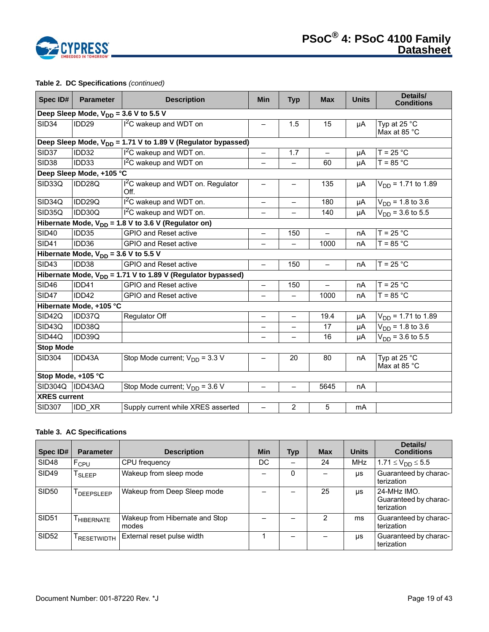

# **Table 2. DC Specifications** *(continued)*

| Spec ID#            | <b>Parameter</b>                                                         | <b>Description</b>                                               | <b>Min</b>               | <b>Typ</b>               | <b>Max</b>               | <b>Units</b> | Details/<br><b>Conditions</b>  |  |  |  |  |
|---------------------|--------------------------------------------------------------------------|------------------------------------------------------------------|--------------------------|--------------------------|--------------------------|--------------|--------------------------------|--|--|--|--|
|                     | Deep Sleep Mode, $V_{DD}$ = 3.6 V to 5.5 V                               |                                                                  |                          |                          |                          |              |                                |  |  |  |  |
| <b>SID34</b>        | IDD <sub>29</sub>                                                        | <sup>12</sup> C wakeup and WDT on                                |                          | 1.5                      | 15                       | μA           | Typ at 25 °C<br>Max at 85 °C   |  |  |  |  |
|                     | Deep Sleep Mode, V <sub>DD</sub> = 1.71 V to 1.89 V (Regulator bypassed) |                                                                  |                          |                          |                          |              |                                |  |  |  |  |
| SID37               | IDD32                                                                    | $I2C$ wakeup and WDT on.                                         | $\qquad \qquad -$        | 1.7                      | $\overline{\phantom{m}}$ | μA           | $T = 25 °C$                    |  |  |  |  |
| <b>SID38</b>        | IDD33                                                                    | I <sup>2</sup> C wakeup and WDT on                               |                          |                          | 60                       | μA           | $T = 85 °C$                    |  |  |  |  |
|                     | Deep Sleep Mode, +105 °C                                                 |                                                                  |                          |                          |                          |              |                                |  |  |  |  |
| SID33Q              | IDD28Q                                                                   | I <sup>2</sup> C wakeup and WDT on. Regulator<br>Off.            | —                        |                          | 135                      | μA           | $V_{DD}$ = 1.71 to 1.89        |  |  |  |  |
| SID34Q              | IDD29Q                                                                   | I <sup>2</sup> C wakeup and WDT on.                              |                          |                          | 180                      | μA           | $V_{DD}$ = 1.8 to 3.6          |  |  |  |  |
| SID35Q              | IDD30Q                                                                   | $12C$ wakeup and WDT on.                                         | $\overline{\phantom{0}}$ |                          | 140                      | μA           | $V_{DD}$ = 3.6 to 5.5          |  |  |  |  |
|                     |                                                                          | Hibernate Mode, $V_{DD}$ = 1.8 V to 3.6 V (Regulator on)         |                          |                          |                          |              |                                |  |  |  |  |
| <b>SID40</b>        | IDD35                                                                    | <b>GPIO and Reset active</b>                                     | $\overline{\phantom{0}}$ | 150                      |                          | nA           | $T = 25 °C$                    |  |  |  |  |
| <b>SID41</b>        | IDD36                                                                    | <b>GPIO and Reset active</b>                                     | $\overline{\phantom{0}}$ | $\equiv$                 | 1000                     | nA           | $T = 85 °C$                    |  |  |  |  |
|                     | Hibernate Mode, $V_{DD} = 3.6 V$ to 5.5 V                                |                                                                  |                          |                          |                          |              |                                |  |  |  |  |
| <b>SID43</b>        | IDD38                                                                    | <b>GPIO and Reset active</b>                                     | $\qquad \qquad -$        | 150                      | $\overline{\phantom{0}}$ | nA           | $T = 25 °C$                    |  |  |  |  |
|                     |                                                                          | Hibernate Mode, $V_{DD}$ = 1.71 V to 1.89 V (Regulator bypassed) |                          |                          |                          |              |                                |  |  |  |  |
| <b>SID46</b>        | IDD41                                                                    | <b>GPIO and Reset active</b>                                     | $\overline{\phantom{0}}$ | 150                      |                          | nA           | $T = 25 °C$                    |  |  |  |  |
| <b>SID47</b>        | IDD42                                                                    | <b>GPIO and Reset active</b>                                     | $\overline{\phantom{0}}$ | $\overline{\phantom{0}}$ | 1000                     | nA           | $T = 85 °C$                    |  |  |  |  |
|                     | Hibernate Mode, +105 °C                                                  |                                                                  |                          |                          |                          |              |                                |  |  |  |  |
| SID42Q              | IDD37Q                                                                   | Regulator Off                                                    | $\overline{\phantom{0}}$ | $\qquad \qquad -$        | 19.4                     | μA           | $V_{DD}$ = 1.71 to 1.89        |  |  |  |  |
| SID43Q              | IDD38Q                                                                   |                                                                  |                          |                          | 17                       | μA           | $V_{DD} = 1.8 \text{ to } 3.6$ |  |  |  |  |
| SID44Q              | IDD39Q                                                                   |                                                                  |                          |                          | 16                       | μA           | $V_{DD}$ = 3.6 to 5.5          |  |  |  |  |
| <b>Stop Mode</b>    |                                                                          |                                                                  |                          |                          |                          |              |                                |  |  |  |  |
| <b>SID304</b>       | IDD43A                                                                   | Stop Mode current; $V_{DD} = 3.3 V$                              |                          | 20                       | 80                       | nA           | Typ at 25 °C<br>Max at 85 °C   |  |  |  |  |
| Stop Mode, +105 °C  |                                                                          |                                                                  |                          |                          |                          |              |                                |  |  |  |  |
| SID304Q             | IDD43AQ                                                                  | Stop Mode current; $V_{DD}$ = 3.6 V                              | $\overline{\phantom{0}}$ | $\qquad \qquad -$        | 5645                     | nA           |                                |  |  |  |  |
| <b>XRES</b> current |                                                                          |                                                                  |                          |                          |                          |              |                                |  |  |  |  |
| <b>SID307</b>       | IDD_XR                                                                   | Supply current while XRES asserted                               | $\overline{\phantom{0}}$ | 2                        | 5                        | mA           |                                |  |  |  |  |

## **Table 3. AC Specifications**

| Spec ID#          | <b>Parameter</b>   | <b>Description</b>                      | <b>Min</b> | <b>Typ</b> | <b>Max</b> | <b>Units</b> | Details/<br><b>Conditions</b>                      |
|-------------------|--------------------|-----------------------------------------|------------|------------|------------|--------------|----------------------------------------------------|
| <b>SID48</b>      | F <sub>CPU</sub>   | CPU frequency                           | DC         |            | 24         | <b>MHz</b>   | $1.71 \le V_{DD} \le 5.5$                          |
| <b>SID49</b>      | <sup>I</sup> SLEEP | Wakeup from sleep mode                  |            | 0          |            | μs           | Guaranteed by charac-<br>terization                |
| <b>SID50</b>      | DEEPSLEEP          | Wakeup from Deep Sleep mode             |            |            | 25         | <b>US</b>    | 24-MHz IMO.<br>Guaranteed by charac-<br>terization |
| <b>SID51</b>      | <b>HIBERNATE</b>   | Wakeup from Hibernate and Stop<br>modes |            |            | 2          | ms           | Guaranteed by charac-<br>terization                |
| SID <sub>52</sub> | RESETWIDTH         | External reset pulse width              |            |            |            | μs           | Guaranteed by charac-<br>terization                |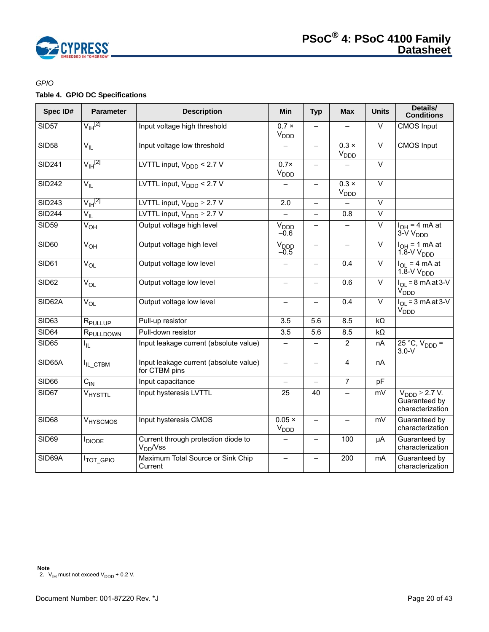

# *GPIO*

# **Table 4. GPIO DC Specifications**

<span id="page-19-0"></span>

| Spec ID#      | <b>Parameter</b>      | <b>Description</b>                                      | Min                               | <b>Typ</b>               | <b>Max</b>                             | <b>Units</b>      | Details/<br><b>Conditions</b>                                     |
|---------------|-----------------------|---------------------------------------------------------|-----------------------------------|--------------------------|----------------------------------------|-------------------|-------------------------------------------------------------------|
| <b>SID57</b>  | $V_{\text{IH}}^{[2]}$ | Input voltage high threshold                            | $0.7 \times$<br>$V_{\text{DDD}}$  | $\equiv$                 |                                        | $\overline{\vee}$ | <b>CMOS</b> Input                                                 |
| <b>SID58</b>  | $V_{IL}$              | Input voltage low threshold                             |                                   | $\qquad \qquad -$        | $0.3 \times$<br><b>V<sub>DDD</sub></b> | $\overline{\vee}$ | <b>CMOS</b> Input                                                 |
| <b>SID241</b> | $V_{\text{IH}}^{[2]}$ | LVTTL input, $V_{\text{DDD}}$ < 2.7 V                   | $0.7\times$<br>V <sub>DDD</sub>   | $\equiv$                 |                                        | $\vee$            |                                                                   |
| <b>SID242</b> | $V_{IL}$              | LVTTL input, $V_{\text{DDD}}$ < 2.7 V                   |                                   | $\qquad \qquad -$        | $0.3 \times$<br>V <sub>DDD</sub>       | $\overline{\vee}$ |                                                                   |
| <b>SID243</b> | $V_{\text{IH}}^{[2]}$ | LVTTL input, $V_{\text{DDD}} \geq 2.7 \text{ V}$        | 2.0                               | $\qquad \qquad -$        |                                        | $\overline{\vee}$ |                                                                   |
| <b>SID244</b> | $V_{IL}$              | LVTTL input, $V_{\text{DDD}} \ge 2.7 \text{ V}$         |                                   | $\overline{\phantom{0}}$ | 0.8                                    | $\overline{\vee}$ |                                                                   |
| <b>SID59</b>  | V <sub>OH</sub>       | Output voltage high level                               | V <sub>DDD</sub><br>$-0.6$        | $\overline{\phantom{0}}$ |                                        | $\overline{\vee}$ | $I_{OH} = 4 mA$<br>3-V V <sub>DDD</sub>                           |
| <b>SID60</b>  | V <sub>OH</sub>       | Output voltage high level                               | V <sub>DDD</sub><br>$-0.5$        | $\overline{\phantom{0}}$ |                                        | $\overline{\vee}$ | $I_{OH}$ = 1 mA at<br>$1.8-VVDDD$                                 |
| <b>SID61</b>  | $V_{OL}$              | Output voltage low level                                |                                   | $\qquad \qquad -$        | 0.4                                    | $\vee$            | $I_{OL}$ = 4 mA at<br>$1.8-VV_{DDD}$                              |
| SID62         | $V_{OL}$              | Output voltage low level                                |                                   | —                        | 0.6                                    | $\vee$            | $I_{\Omega}$ = 8 mA at 3-V<br>V <sub>DDD</sub>                    |
| SID62A        | $V_{OL}$              | Output voltage low level                                |                                   | $\qquad \qquad -$        | 0.4                                    | $\overline{\vee}$ | $I_{OL}$ = 3 mA at 3-V<br>V <sub>DDD</sub>                        |
| SID63         | R <sub>PULLUP</sub>   | Pull-up resistor                                        | 3.5                               | 5.6                      | 8.5                                    | $k\Omega$         |                                                                   |
| <b>SID64</b>  | R <sub>PULLDOWN</sub> | Pull-down resistor                                      | 3.5                               | 5.6                      | 8.5                                    | $k\Omega$         |                                                                   |
| <b>SID65</b>  | I <sub>IL</sub>       | Input leakage current (absolute value)                  |                                   |                          | 2                                      | nA                | $25 °C$ , $V_{DDD} =$<br>$3.0-V$                                  |
| SID65A        | IL_CTBM               | Input leakage current (absolute value)<br>for CTBM pins | $\qquad \qquad -$                 | $\qquad \qquad -$        | $\overline{4}$                         | nA                |                                                                   |
| SID66         | $C_{IN}$              | Input capacitance                                       |                                   | $\overline{\phantom{0}}$ | $\overline{7}$                         | pF                |                                                                   |
| SID67         | VHYSTTL               | Input hysteresis LVTTL                                  | 25                                | 40                       |                                        | mV                | $V_{\text{DDD}} \geq 2.7 V.$<br>Guaranteed by<br>characterization |
| <b>SID68</b>  | VHYSCMOS              | Input hysteresis CMOS                                   | $0.05 \times$<br>V <sub>DDD</sub> | $\qquad \qquad -$        |                                        | mV                | Guaranteed by<br>characterization                                 |
| <b>SID69</b>  | <b>I</b> DIODE        | Current through protection diode to<br>$V_{DD}$ /Vss    |                                   | —                        | 100                                    | μA                | Guaranteed by<br>characterization                                 |
| SID69A        | <b>ITOT_GPIO</b>      | Maximum Total Source or Sink Chip<br>Current            |                                   |                          | 200                                    | mA                | Guaranteed by<br>characterization                                 |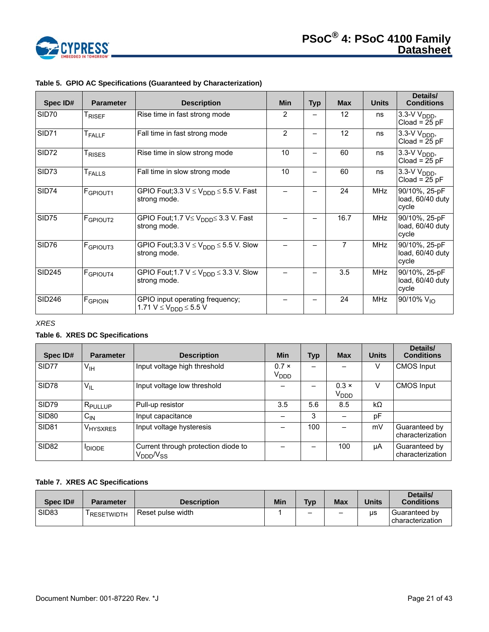

| Spec ID#      | <b>Parameter</b>     | <b>Description</b>                                                       | <b>Min</b> | <b>Typ</b> | <b>Max</b>      | <b>Units</b> | Details/<br><b>Conditions</b>                 |
|---------------|----------------------|--------------------------------------------------------------------------|------------|------------|-----------------|--------------|-----------------------------------------------|
| SID70         | <sup>I</sup> RISEF   | Rise time in fast strong mode                                            | 2          |            | 12 <sup>2</sup> | ns           | $3.3-V$ $V_{\text{DDD}}$ ,<br>$Cloud = 25 pF$ |
| SID71         | <b>T</b> FALLF       | Fall time in fast strong mode                                            | 2          |            | 12              | ns           | $3.3-V$ $V_{\text{DDD}}$<br>Cload = $25$ pF   |
| SID72         | T <sub>RISES</sub>   | Rise time in slow strong mode                                            | 10         |            | 60              | ns           | $3.3-V$ $V_{\text{DDD}}$ ,<br>$Cloud = 25 pF$ |
| SID73         | <b>T</b> FALLS       | Fall time in slow strong mode                                            | 10         |            | 60              | ns           | $3.3-V$ $V_{\text{DDD}}$ ,<br>$Cloud = 25 pF$ |
| <b>SID74</b>  | F <sub>GPIOUT1</sub> | GPIO Fout;3.3 $V \leq V_{\text{DDD}} \leq 5.5$ V. Fast<br>strong mode.   |            |            | 24              | <b>MHz</b>   | 90/10%, 25-pF<br>load, 60/40 duty<br>cycle    |
| SID75         | F <sub>GPIOUT2</sub> | GPIO Fout;1.7 V≤ V <sub>DDD</sub> ≤ 3.3 V. Fast<br>strong mode.          |            | —          | 16.7            | <b>MHz</b>   | 90/10%, 25-pF<br>load, 60/40 duty<br>cycle    |
| SID76         | <b>F</b> GPIOUT3     | GPIO Fout;3.3 $V \leq V_{\text{DDD}} \leq 5.5$ V. Slow<br>strong mode.   |            |            | 7               | <b>MHz</b>   | 90/10%, 25-pF<br>load, 60/40 duty<br>cycle    |
| <b>SID245</b> | F <sub>GPIOUT4</sub> | GPIO Fout; 1.7 $V \leq V_{\text{DDD}} \leq 3.3$ V. Slow<br>strong mode.  |            |            | 3.5             | <b>MHz</b>   | 90/10%, 25-pF<br>load, 60/40 duty<br>cycle    |
| <b>SID246</b> | FGPIOIN              | GPIO input operating frequency;<br>1.71 $V \le V_{\text{DDD}} \le 5.5 V$ |            |            | 24              | <b>MHz</b>   | 90/10% $V_{10}$                               |

# **Table 5. GPIO AC Specifications (Guaranteed by Characterization)**

*XRES* 

# **Table 6. XRES DC Specifications**

| Spec ID#          | <b>Parameter</b>      | <b>Description</b>                                       | <b>Min</b>                       | <b>Typ</b> | <b>Max</b>                       | <b>Units</b> | Details/<br><b>Conditions</b>     |
|-------------------|-----------------------|----------------------------------------------------------|----------------------------------|------------|----------------------------------|--------------|-----------------------------------|
| SID77             | $V_{\text{IH}}$       | Input voltage high threshold                             | $0.7 \times$<br>V <sub>DDD</sub> |            |                                  | V            | <b>CMOS Input</b>                 |
| SID78             | $V_{IL}$              | Input voltage low threshold                              |                                  |            | $0.3 \times$<br>V <sub>DDD</sub> | V            | <b>CMOS Input</b>                 |
| SID79             | I R <sub>PULLUP</sub> | Pull-up resistor                                         | 3.5                              | 5.6        | 8.5                              | $k\Omega$    |                                   |
| <b>SID80</b>      | $C_{IN}$              | Input capacitance                                        |                                  | 3          |                                  | pF           |                                   |
| <b>SID81</b>      | V <sub>HYSXRES</sub>  | Input voltage hysteresis                                 |                                  | 100        |                                  | mV           | Guaranteed by<br>characterization |
| SID <sub>82</sub> | <b>IDIODE</b>         | Current through protection diode to<br>$\rm V_{DDD}$ Nss |                                  |            | 100                              | μA           | Guaranteed by<br>characterization |

# **Table 7. XRES AC Specifications**

| Spec ID#          | <b>Parameter</b>        | <b>Description</b> | Min | <b>Tvp</b> | Max | <b>Units</b> | Details/<br><b>Conditions</b>     |
|-------------------|-------------------------|--------------------|-----|------------|-----|--------------|-----------------------------------|
| SID <sub>83</sub> | <sup>I</sup> RESETWIDTH | Reset pulse width  |     | -          | -   | us           | Guaranteed by<br>characterization |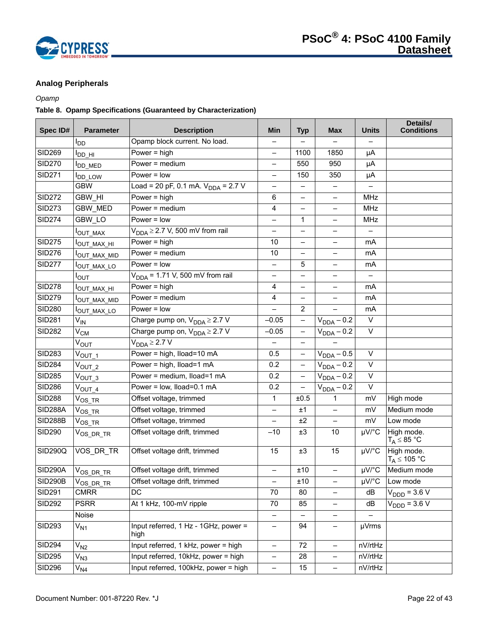

# <span id="page-21-0"></span>**Analog Peripherals**

# *Opamp*

# **Table 8. Opamp Specifications (Guaranteed by Characterization)**

| Spec ID#       | <b>Parameter</b>         | <b>Description</b>                           | Min                      | <b>Typ</b>               | <b>Max</b>               | <b>Units</b>             | Details/<br><b>Conditions</b>          |
|----------------|--------------------------|----------------------------------------------|--------------------------|--------------------------|--------------------------|--------------------------|----------------------------------------|
|                | l <sub>DD</sub>          | Opamp block current. No load.                |                          |                          |                          |                          |                                        |
| <b>SID269</b>  | I <sub>DD_HI</sub>       | Power = $high$                               | —                        | 1100                     | 1850                     | μA                       |                                        |
| <b>SID270</b>  | <b>I</b> DD_MED          | Power = medium                               | $\overline{\phantom{0}}$ | 550                      | 950                      | μA                       |                                        |
| <b>SID271</b>  | <b>DD_LOW</b>            | $Power = low$                                | $\overline{\phantom{0}}$ | 150                      | 350                      | μA                       |                                        |
|                | <b>GBW</b>               | Load = 20 pF, 0.1 mA. $V_{DDA}$ = 2.7 V      | $\overline{\phantom{0}}$ | -                        | $\qquad \qquad -$        |                          |                                        |
| <b>SID272</b>  | <b>GBW HI</b>            | Power = $high$                               | 6                        | $\overline{\phantom{0}}$ | ÷.                       | <b>MHz</b>               |                                        |
| <b>SID273</b>  | <b>GBW MED</b>           | Power = medium                               | 4                        |                          |                          | MHz                      |                                        |
| <b>SID274</b>  | GBW_LO                   | Power $=$ low                                | $\overline{\phantom{0}}$ | 1                        | $\overline{\phantom{0}}$ | <b>MHz</b>               |                                        |
|                | OUT_MAX                  | $V_{DDA} \geq 2.7$ V, 500 mV from rail       | $\overline{\phantom{0}}$ | $\overline{\phantom{0}}$ |                          | $\overline{\phantom{0}}$ |                                        |
| <b>SID275</b>  | I <sub>OUT_MAX_HI</sub>  | Power = $high$                               | 10                       | —                        |                          | mA                       |                                        |
| <b>SID276</b>  | <sup>I</sup> OUT_MAX_MID | Power = medium                               | $10$                     | —                        | —                        | mA                       |                                        |
| <b>SID277</b>  | <sup>I</sup> OUT_MAX_LO  | $Power = low$                                | $\overline{\phantom{0}}$ | 5                        | $\overline{\phantom{0}}$ | mA                       |                                        |
|                | Ι <sub>ΟUΤ</sub>         | $V_{DDA}$ = 1.71 V, 500 mV from rail         | —                        |                          |                          |                          |                                        |
| <b>SID278</b>  | <sup>Ι</sup> ΟUT_MAX_HI  | Power = $high$                               | 4                        | —                        | $\overline{\phantom{0}}$ | mA                       |                                        |
| <b>SID279</b>  | OUT_MAX_MID              | Power = $median$                             | 4                        | $\overline{\phantom{0}}$ |                          | mA                       |                                        |
| <b>SID280</b>  | I <sub>OUT_MAX_LO</sub>  | $Power = low$                                |                          | $\overline{2}$           |                          | mA                       |                                        |
| <b>SID281</b>  | V <sub>IN</sub>          | Charge pump on, $V_{DDA} \geq 2.7 V$         | $-0.05$                  | $\overline{\phantom{0}}$ | $V_{DDA} - 0.2$          | V                        |                                        |
| <b>SID282</b>  | $V_{CM}$                 | Charge pump on, $V_{DDA} \geq 2.7$ V         | $-0.05$                  | $\qquad \qquad -$        | $V_{DDA} - 0.2$          | $\vee$                   |                                        |
|                | $V_{\text{OUT}}$         | $V_{DDA} \geq 2.7 V$                         |                          | -                        |                          |                          |                                        |
| <b>SID283</b>  | $V_{\text{OUT\_1}}$      | Power = high, Iload=10 mA                    | 0.5                      | $\qquad \qquad -$        | $V_{DDA} - 0.5$          | $\vee$                   |                                        |
| <b>SID284</b>  | $V_{OUT_2}$              | Power = high, Iload=1 mA                     | 0.2                      | $\overline{\phantom{0}}$ | $V_{DDA} - 0.2$          | $\vee$                   |                                        |
| <b>SID285</b>  | $V_{OUT_3}$              | Power = medium, Iload=1 mA                   | 0.2                      | $\qquad \qquad -$        | $V_{DDA} - 0.2$          | $\vee$                   |                                        |
| <b>SID286</b>  | $V_{\text{OUT\_4}}$      | Power = low, lload=0.1 mA                    | 0.2                      | $\overline{\phantom{0}}$ | $V_{DDA} - 0.2$          | $\vee$                   |                                        |
| <b>SID288</b>  | $V_{OS\_TR}$             | Offset voltage, trimmed                      | $\mathbf 1$              | ±0.5                     | 1                        | mV                       | High mode                              |
| <b>SID288A</b> | $\mathrm{V_{OS\_TR}}$    | Offset voltage, trimmed                      | $\overline{\phantom{0}}$ | ±1                       |                          | mV                       | Medium mode                            |
| <b>SID288B</b> | $\mathrm{V_{OS\_TR}}$    | Offset voltage, trimmed                      | —                        | ±2                       | $\overline{\phantom{0}}$ | mV                       | Low mode                               |
| <b>SID290</b>  | $V_{OS\_DR\_TR}$         | Offset voltage drift, trimmed                | $-10$                    | ±3                       | 10                       | µV/°C                    | High mode.<br>$T_A \leq 85 \text{ °C}$ |
| SID290Q        | VOS_DR_TR                | Offset voltage drift, trimmed                | 15                       | ±3                       | 15                       | µV/°C                    | High mode.<br>$T_A \leq 105 °C$        |
| SID290A        | $V_{OS\_DR\_TR}$         | Offset voltage drift, trimmed                | $\qquad \qquad -$        | ±10                      | $\overline{\phantom{0}}$ | $\mu\overline{V/C}$      | Medium mode                            |
| <b>SID290B</b> | $V_{OS\_DR\_TR}$         | Offset voltage drift, trimmed                | $\overline{\phantom{0}}$ | ±10                      | —                        | µV/°C                    | Low mode                               |
| <b>SID291</b>  | <b>CMRR</b>              | DC                                           | 70                       | 80                       |                          | dB                       | $V_{\text{DDD}} = 3.6 \text{ V}$       |
| <b>SID292</b>  | <b>PSRR</b>              | At 1 kHz, 100-mV ripple                      | 70                       | 85                       | $\overline{\phantom{0}}$ | dB                       | $V_{\text{DDD}} = 3.6 V$               |
|                | Noise                    |                                              |                          |                          |                          |                          |                                        |
| <b>SID293</b>  | $V_{N1}$                 | Input referred, 1 Hz - 1GHz, power =<br>high | -                        | 94                       | -                        | µVrms                    |                                        |
| <b>SID294</b>  | $V_{N2}$                 | Input referred, 1 kHz, power = high          | $\overline{\phantom{0}}$ | 72                       | -                        | nV/rtHz                  |                                        |
| <b>SID295</b>  | $V_{N3}$                 | Input referred, 10kHz, power = high          | $\qquad \qquad -$        | 28                       | $\overline{\phantom{0}}$ | nV/rtHz                  |                                        |
| <b>SID296</b>  | V <sub>N4</sub>          | Input referred, 100kHz, power = high         | $\overline{\phantom{m}}$ | 15                       | -                        | nV/rtHz                  |                                        |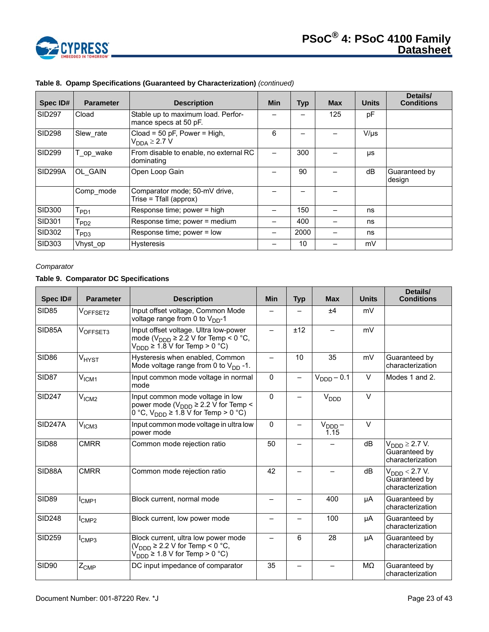

| Spec ID#             | <b>Parameter</b>          | <b>Description</b>                                          | <b>Min</b> | <b>Typ</b> | <b>Max</b> | <b>Units</b> | Details/<br><b>Conditions</b> |
|----------------------|---------------------------|-------------------------------------------------------------|------------|------------|------------|--------------|-------------------------------|
| <b>SID297</b>        | Cload                     | Stable up to maximum load. Perfor-<br>mance specs at 50 pF. |            |            | 125        | рF           |                               |
| <b>SID298</b>        | Slew rate                 | Cload = 50 pF, Power = High,<br>$V_{DDA} \geq 2.7 V$        | 6          |            |            | $V/\mu s$    |                               |
| SID <sub>299</sub>   | T_op_wake                 | From disable to enable, no external RC<br>dominating        |            | 300        |            | μs           |                               |
| SID <sub>299</sub> A | OL GAIN                   | Open Loop Gain                                              |            | 90         |            | dB           | Guaranteed by<br>design       |
|                      | Comp mode                 | Comparator mode; 50-mV drive,<br>Trise = Tfall (approx)     |            |            |            |              |                               |
| SID300               | $I_{PD1}$                 | Response time; power = high                                 |            | 150        |            | ns           |                               |
| <b>SID301</b>        | $I_{PD2}$                 | Response time; power = medium                               |            | 400        |            | ns           |                               |
| SID302               | $\mathsf{T}_\mathsf{PD3}$ | Response time; power = low                                  |            | 2000       |            | ns           |                               |
| <b>SID303</b>        | Vhyst op                  | <b>Hysteresis</b>                                           |            | 10         |            | mV           |                               |

# **Table 8. Opamp Specifications (Guaranteed by Characterization)** *(continued)*

# *Comparator*

# <span id="page-22-0"></span>**Table 9. Comparator DC Specifications**

| Spec ID#          | <b>Parameter</b>  | <b>Description</b>                                                                                                                                                | <b>Min</b> | <b>Typ</b> | <b>Max</b>                 | <b>Units</b> | Details/<br><b>Conditions</b>                                  |
|-------------------|-------------------|-------------------------------------------------------------------------------------------------------------------------------------------------------------------|------------|------------|----------------------------|--------------|----------------------------------------------------------------|
| SID85             | VOFFSET2          | Input offset voltage, Common Mode<br>voltage range from 0 to $V_{DD}$ -1                                                                                          |            |            | ±4                         | mV           |                                                                |
| SID85A            | VOFFSET3          | Input offset voltage. Ultra low-power<br>mode ( $V_{\text{DDD}} \ge 2.2$ V for Temp < 0 °C,<br>$V_{\text{DDD}}$ ≥ 1.8 V for Temp > 0 °C)                          |            | ±12        |                            | mV           |                                                                |
| SID <sub>86</sub> | V <sub>HYST</sub> | Hysteresis when enabled, Common<br>Mode voltage range from 0 to $V_{DD}$ -1.                                                                                      | —          | 10         | 35                         | mV           | Guaranteed by<br>characterization                              |
| SID87             | V <sub>ICM1</sub> | Input common mode voltage in normal<br>mode                                                                                                                       | $\Omega$   |            | $VDDD - 0.1$               | $\vee$       | Modes 1 and 2.                                                 |
| <b>SID247</b>     | V <sub>ICM2</sub> | Input common mode voltage in low<br>power mode ( $V_{\text{DDD}} \ge 2.2$ V for Temp <<br>0 °C, $V_{\text{DDD}} \ge 1.\overline{8} \overline{V}$ for Temp > 0 °C) | $\Omega$   |            | $V_{\text{DDD}}$           | $\vee$       |                                                                |
| <b>SID247A</b>    | V <sub>ICM3</sub> | Input common mode voltage in ultra low<br>power mode                                                                                                              | $\Omega$   |            | $V_{\text{DDD}} -$<br>1.15 | $\vee$       |                                                                |
| SID <sub>88</sub> | <b>CMRR</b>       | Common mode rejection ratio                                                                                                                                       | 50         |            |                            | dB           | $VDDD \geq 2.7 V.$<br>Guaranteed by<br>characterization        |
| SID88A            | <b>CMRR</b>       | Common mode rejection ratio                                                                                                                                       | 42         |            |                            | dB           | $V_{\text{DDD}}$ < 2.7 V.<br>Guaranteed by<br>characterization |
| SID <sub>89</sub> | $I_{CMP1}$        | Block current, normal mode                                                                                                                                        |            |            | 400                        | μA           | Guaranteed by<br>characterization                              |
| <b>SID248</b>     | $I_{\text{CMP2}}$ | Block current, low power mode                                                                                                                                     |            |            | 100                        | μA           | Guaranteed by<br>characterization                              |
| <b>SID259</b>     | I <sub>CMP3</sub> | Block current, ultra low power mode<br>$(V_{\text{DDD}} \ge 2.2$ V for Temp < 0 °C,<br>$V_{\text{DDD}} \ge 1.8$ V for Temp > 0 °C)                                |            | 6          | 28                         | μA           | Guaranteed by<br>characterization                              |
| <b>SID90</b>      | $Z_{\text{CMP}}$  | DC input impedance of comparator                                                                                                                                  | 35         |            |                            | MΩ           | Guaranteed by<br>characterization                              |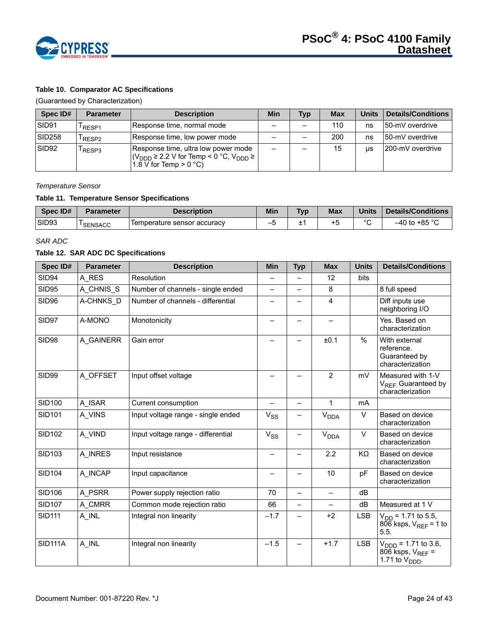

# **Table 10. Comparator AC Specifications**

(Guaranteed by Characterization)

| Spec ID#          | <b>Parameter</b>  | <b>Description</b>                                                                                                                                            | Min | <b>Typ</b> | <b>Max</b> | <b>Units</b> | <b>Details/Conditions</b> |
|-------------------|-------------------|---------------------------------------------------------------------------------------------------------------------------------------------------------------|-----|------------|------------|--------------|---------------------------|
| SID91             | RESP1             | Response time, normal mode                                                                                                                                    |     |            | 110        | ns           | 150-mV overdrive          |
| <b>SID258</b>     | RESP <sub>2</sub> | Response time, low power mode                                                                                                                                 |     |            | 200        | ns           | 50-mV overdrive           |
| SID <sub>92</sub> | RESP3             | Response time, ultra low power mode<br>$ (V_{\text{DDD}} \geq 2.2 \text{ V for Temp} < 0 \degree \text{C}, V_{\text{DDD}} \geq  $<br>1.8 V for Temp $> 0$ °C) | -   |            | 15         | <b>US</b>    | 200-mV overdrive          |

#### *Temperature Sensor*

# **Table 11. Temperature Sensor Specifications**

| Spec ID# | <b>Parameter</b> | Description                 | <b>Min</b> | <b>Typ</b> | <b>Max</b> | <b>Units</b> | Details/Conditions |
|----------|------------------|-----------------------------|------------|------------|------------|--------------|--------------------|
| SID93    | <b>SENSACC</b>   | Temperature sensor accuracy | -          | -          | +5         | $\sim$       | .∿ 85°r.<br>–40 to |

#### *SAR ADC*

#### **Table 12. SAR ADC DC Specifications**

| Spec ID#       | <b>Parameter</b> | <b>Description</b>                 | <b>Min</b>               | <b>Typ</b>               | <b>Max</b>                  | <b>Units</b> | <b>Details/Conditions</b>                                                              |
|----------------|------------------|------------------------------------|--------------------------|--------------------------|-----------------------------|--------------|----------------------------------------------------------------------------------------|
| <b>SID94</b>   | A RES            | Resolution                         | $\overline{\phantom{0}}$ |                          | 12                          | bits         |                                                                                        |
| <b>SID95</b>   | A CHNIS S        | Number of channels - single ended  | $\overline{\phantom{0}}$ |                          | 8                           |              | 8 full speed                                                                           |
| <b>SID96</b>   | A-CHNKS_D        | Number of channels - differential  |                          |                          | 4                           |              | Diff inputs use<br>neighboring I/O                                                     |
| SID97          | A-MONO           | Monotonicity                       |                          | —                        |                             |              | Yes. Based on<br>characterization                                                      |
| SID98          | A GAINERR        | Gain error                         |                          | —                        | ±0.1                        | %            | With external<br>reference.<br>Guaranteed by<br>characterization                       |
| <b>SID99</b>   | A_OFFSET         | Input offset voltage               |                          |                          | $\overline{2}$              | mV           | Measured with 1-V<br>V <sub>REF.</sub> Guaranteed by<br>characterization               |
| <b>SID100</b>  | A ISAR           | Current consumption                |                          | —                        | 1                           | <b>mA</b>    |                                                                                        |
| <b>SID101</b>  | A VINS           | Input voltage range - single ended | $V_{SS}$                 |                          | $\mathsf{V}_{\mathsf{DDA}}$ | V            | Based on device<br>characterization                                                    |
| <b>SID102</b>  | A VIND           | Input voltage range - differential | $V_{SS}$                 | —                        | <b>V<sub>DDA</sub></b>      | V            | Based on device<br>characterization                                                    |
| <b>SID103</b>  | A INRES          | Input resistance                   | —                        | Ξ,                       | 2.2                         | KΩ           | Based on device<br>characterization                                                    |
| <b>SID104</b>  | A INCAP          | Input capacitance                  |                          |                          | 10                          | pF           | Based on device<br>characterization                                                    |
| <b>SID106</b>  | A PSRR           | Power supply rejection ratio       | 70                       | $\overline{\phantom{0}}$ | $\overline{\phantom{0}}$    | dB           |                                                                                        |
| <b>SID107</b>  | A CMRR           | Common mode rejection ratio        | 66                       | —                        |                             | dB           | Measured at 1 V                                                                        |
| <b>SID111</b>  | A INL            | Integral non linearity             | $-1.7$                   |                          | $+2$                        | <b>LSB</b>   | $V_{DD}$ = 1.71 to 5.5,<br>$806$ ksps, $V_{RFF}$ = 1 to<br>5.5.                        |
| <b>SID111A</b> | A_INL            | Integral non linearity             | $-1.5$                   |                          | $+1.7$                      | <b>LSB</b>   | $V_{\text{DDD}}$ = 1.71 to 3.6,<br>806 ksps, $V_{REF}$ =<br>1.71 to $V_{\text{DDD}}$ . |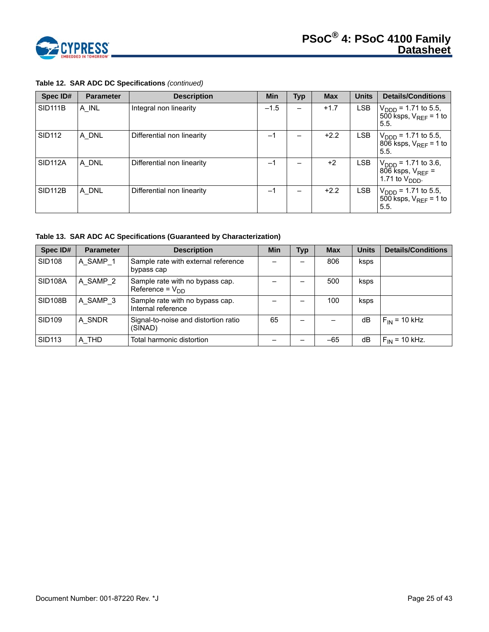

| Spec ID#             | <b>Parameter</b> | <b>Description</b>         | Min    | Typ | <b>Max</b> | <b>Units</b> | <b>Details/Conditions</b>                                                              |
|----------------------|------------------|----------------------------|--------|-----|------------|--------------|----------------------------------------------------------------------------------------|
| <b>SID111B</b>       | A INL            | Integral non linearity     | $-1.5$ |     | $+1.7$     | <b>LSB</b>   | $V_{\text{DDD}}$ = 1.71 to 5.5,<br>500 ksps, $V_{RFF}$ = 1 to<br>5.5.                  |
| <b>SID112</b>        | A DNL            | Differential non linearity | $-1$   |     | $+2.2$     | LSB          | $V_{\text{DDD}}$ = 1.71 to 5.5,<br>806 ksps, $V_{REF}$ = 1 to<br>5.5.                  |
| SID <sub>112</sub> A | A DNL            | Differential non linearity | $-1$   |     | $+2$       | LSB.         | $V_{\text{DDD}}$ = 1.71 to 3.6,<br>806 ksps, $V_{REF}$ =<br>1.71 to $V_{\text{DDD}}$ . |
| <b>SID112B</b>       | A DNL            | Differential non linearity | $-1$   |     | $+2.2$     | <b>LSB</b>   | $V_{\text{DDD}}$ = 1.71 to 5.5,<br>500 ksps, $V_{RFE}$ = 1 to<br>5.5.                  |

# **Table 12. SAR ADC DC Specifications** *(continued)*

<span id="page-24-0"></span>**Table 13. SAR ADC AC Specifications (Guaranteed by Characterization)**

| Spec ID#       | <b>Parameter</b> | <b>Description</b>                                      | <b>Min</b> | <b>Typ</b> | <b>Max</b> | <b>Units</b> | <b>Details/Conditions</b> |
|----------------|------------------|---------------------------------------------------------|------------|------------|------------|--------------|---------------------------|
| <b>SID108</b>  | A SAMP 1         | Sample rate with external reference<br>bypass cap       |            |            | 806        | ksps         |                           |
| <b>SID108A</b> | A SAMP 2         | Sample rate with no bypass cap.<br>Reference = $V_{DD}$ |            |            | 500        | ksps         |                           |
| <b>SID108B</b> | A SAMP 3         | Sample rate with no bypass cap.<br>Internal reference   |            |            | 100        | ksps         |                           |
| <b>SID109</b>  | A_SNDR           | Signal-to-noise and distortion ratio<br>(SINAD)         | 65         |            |            | dB           | $F_{IN}$ = 10 kHz         |
| <b>SID113</b>  | A THD            | Total harmonic distortion                               |            |            | $-65$      | dB           | $F_{IN}$ = 10 kHz.        |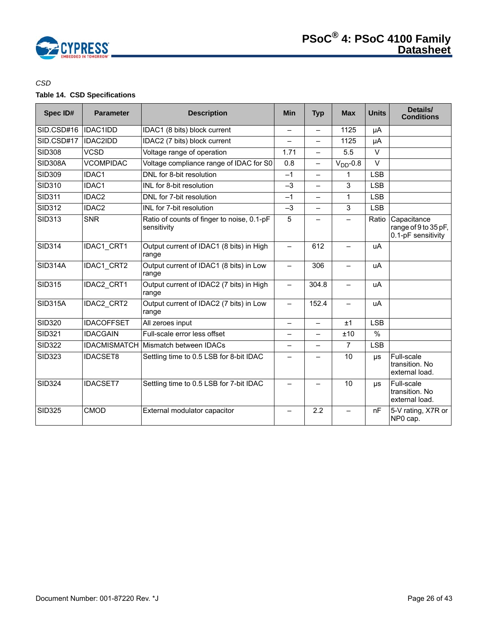

# *CSD*

# **Table 14. CSD Specifications**

| Spec ID#       | <b>Parameter</b>  | <b>Description</b>                                        | <b>Min</b>               | <b>Typ</b>               | <b>Max</b>               | <b>Units</b>  | Details/<br><b>Conditions</b>                             |
|----------------|-------------------|-----------------------------------------------------------|--------------------------|--------------------------|--------------------------|---------------|-----------------------------------------------------------|
| SID.CSD#16     | <b>IDAC1IDD</b>   | IDAC1 (8 bits) block current                              |                          | —                        | 1125                     | μA            |                                                           |
| SID.CSD#17     | <b>IDAC2IDD</b>   | IDAC2 (7 bits) block current                              |                          | $\overline{\phantom{0}}$ | 1125                     | μA            |                                                           |
| <b>SID308</b>  | <b>VCSD</b>       | Voltage range of operation                                | 1.71                     | $\overline{\phantom{0}}$ | 5.5                      | $\vee$        |                                                           |
| <b>SID308A</b> | <b>VCOMPIDAC</b>  | Voltage compliance range of IDAC for S0                   | 0.8                      | <u>.</u>                 | $VDD - 0.8$              | $\vee$        |                                                           |
| <b>SID309</b>  | IDAC1             | DNL for 8-bit resolution                                  | $-1$                     | $\overline{\phantom{0}}$ | 1                        | <b>LSB</b>    |                                                           |
| <b>SID310</b>  | IDAC1             | INL for 8-bit resolution                                  | $-3$                     | $\overline{\phantom{0}}$ | 3                        | <b>LSB</b>    |                                                           |
| <b>SID311</b>  | IDAC2             | DNL for 7-bit resolution                                  | $-1$                     | $\overline{\phantom{0}}$ | 1                        | <b>LSB</b>    |                                                           |
| <b>SID312</b>  | IDAC2             | INL for 7-bit resolution                                  | $-3$                     | —                        | 3                        | <b>LSB</b>    |                                                           |
| <b>SID313</b>  | <b>SNR</b>        | Ratio of counts of finger to noise, 0.1-pF<br>sensitivity | 5                        |                          |                          | Ratio         | Capacitance<br>range of 9 to 35 pF,<br>0.1-pF sensitivity |
| <b>SID314</b>  | IDAC1 CRT1        | Output current of IDAC1 (8 bits) in High<br>range         | $\overline{\phantom{0}}$ | 612                      |                          | uA            |                                                           |
| <b>SID314A</b> | IDAC1 CRT2        | Output current of IDAC1 (8 bits) in Low<br>range          | $\qquad \qquad -$        | 306                      | $\overline{\phantom{0}}$ | uA            |                                                           |
| <b>SID315</b>  | <b>IDAC2 CRT1</b> | Output current of IDAC2 (7 bits) in High<br>range         |                          | 304.8                    |                          | uA            |                                                           |
| <b>SID315A</b> | IDAC2 CRT2        | Output current of IDAC2 (7 bits) in Low<br>range          | $\qquad \qquad -$        | 152.4                    | $\overline{\phantom{0}}$ | uA            |                                                           |
| <b>SID320</b>  | <b>IDACOFFSET</b> | All zeroes input                                          | $\overline{\phantom{0}}$ | $\overline{\phantom{0}}$ | ±1                       | <b>LSB</b>    |                                                           |
| <b>SID321</b>  | <b>IDACGAIN</b>   | Full-scale error less offset                              |                          | $\overline{\phantom{0}}$ | ±10                      | $\frac{9}{6}$ |                                                           |
| <b>SID322</b>  |                   | <b>IDACMISMATCH Mismatch between IDACs</b>                |                          |                          | $\overline{7}$           | <b>LSB</b>    |                                                           |
| <b>SID323</b>  | <b>IDACSET8</b>   | Settling time to 0.5 LSB for 8-bit IDAC                   |                          |                          | 10                       | <b>US</b>     | Full-scale<br>transition. No<br>external load.            |
| <b>SID324</b>  | <b>IDACSET7</b>   | Settling time to 0.5 LSB for 7-bit IDAC                   |                          |                          | 10                       | μs            | Full-scale<br>transition. No<br>external load.            |
| <b>SID325</b>  | CMOD              | External modulator capacitor                              |                          | 2.2                      |                          | nF            | 5-V rating, X7R or<br>NP0 cap.                            |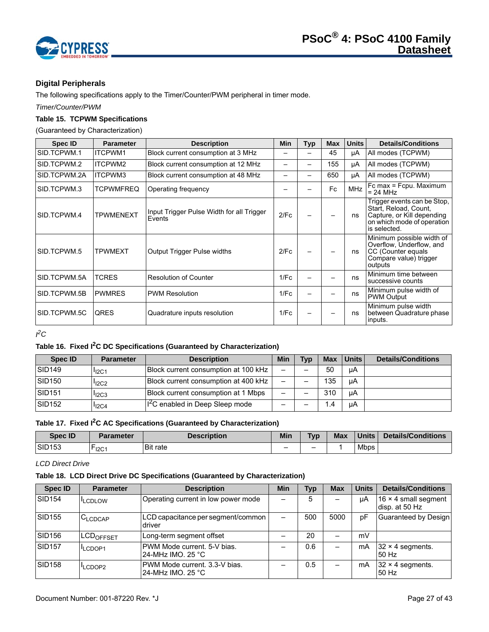

# <span id="page-26-0"></span>**Digital Peripherals**

The following specifications apply to the Timer/Counter/PWM peripheral in timer mode.

*Timer/Counter/PWM*

# **Table 15. TCPWM Specifications**

(Guaranteed by Characterization)

| Spec ID      | <b>Parameter</b> | <b>Description</b>                                  | Min  | Typ | <b>Max</b> | <b>Units</b> | <b>Details/Conditions</b>                                                                                                        |
|--------------|------------------|-----------------------------------------------------|------|-----|------------|--------------|----------------------------------------------------------------------------------------------------------------------------------|
| SID.TCPWM.1  | ITCPWM1          | Block current consumption at 3 MHz                  |      |     | 45         | μA           | All modes (TCPWM)                                                                                                                |
| SID.TCPWM.2  | ITCPWM2          | Block current consumption at 12 MHz                 |      | -   | 155        | μA           | All modes (TCPWM)                                                                                                                |
| SID.TCPWM.2A | ITCPWM3          | Block current consumption at 48 MHz                 |      |     | 650        | μA           | All modes (TCPWM)                                                                                                                |
| SID.TCPWM.3  | <b>TCPWMFREQ</b> | Operating frequency                                 |      |     | Fc         | <b>MHz</b>   | Fc max = Fcpu. Maximum<br>$= 24 MHz$                                                                                             |
| SID.TCPWM.4  | <b>TPWMENEXT</b> | Input Trigger Pulse Width for all Trigger<br>Events | 2/Fc |     |            | ns           | Trigger events can be Stop,<br>Start, Reload, Count,<br>Capture, or Kill depending<br>on which mode of operation<br>is selected. |
| SID.TCPWM.5  | <b>TPWMEXT</b>   | <b>Output Trigger Pulse widths</b>                  | 2/Fc |     |            | ns           | Minimum possible width of<br>Overflow, Underflow, and<br>CC (Counter equals<br>Compare value) trigger<br>outputs                 |
| SID.TCPWM.5A | <b>TCRES</b>     | <b>Resolution of Counter</b>                        | 1/Fc |     |            | ns           | Minimum time between<br>successive counts                                                                                        |
| SID.TCPWM.5B | <b>PWMRES</b>    | <b>PWM Resolution</b>                               | 1/Fc |     |            | ns           | Minimum pulse width of<br><b>PWM Output</b>                                                                                      |
| SID.TCPWM.5C | <b>QRES</b>      | Quadrature inputs resolution                        | 1/Fc |     |            | ns           | Minimum pulse width<br>between Quadrature phase<br>inputs.                                                                       |

*I 2C* 

# **Table 16. Fixed I2C DC Specifications (Guaranteed by Characterization)**

| Spec ID            | <b>Parameter</b> | <b>Description</b>                          | Min                      | <b>Tvp</b>               | <b>Max</b> | ∣Units I | <b>Details/Conditions</b> |
|--------------------|------------------|---------------------------------------------|--------------------------|--------------------------|------------|----------|---------------------------|
| SID <sub>149</sub> | $I_{12C1}$       | Block current consumption at 100 kHz        | $\overline{\phantom{0}}$ | $\overline{\phantom{0}}$ | 50         | uA       |                           |
| SID <sub>150</sub> | $I_{12C2}$       | Block current consumption at 400 kHz        | $\overline{\phantom{0}}$ |                          | 135        | uA       |                           |
| SID <sub>151</sub> | $I_{12C3}$       | Block current consumption at 1 Mbps         | $\overline{\phantom{0}}$ |                          | 310        | uA       |                           |
| SID <sub>152</sub> | $I_{12C4}$       | I <sup>2</sup> C enabled in Deep Sleep mode | -                        |                          | $\cdot$    | uA       |                           |

# **Table 17. Fixed I2C AC Specifications (Guaranteed by Characterization)**

| Spec ID            | Parameter | <b>Description</b> | Min | <b>Typ</b> | <b>Max</b> | <b>Units</b> | <b>Details/Conditions</b> |
|--------------------|-----------|--------------------|-----|------------|------------|--------------|---------------------------|
| SID <sub>153</sub> | $r$ 12C1  | <b>Bit rate</b>    | -   | -          |            | <b>Mbps</b>  |                           |

# *LCD Direct Drive*

# <span id="page-26-1"></span>**Table 18. LCD Direct Drive DC Specifications (Guaranteed by Characterization)**

| <b>Spec ID</b>     | <b>Parameter</b>             | <b>Description</b>                                 | Min | <b>Typ</b> | <b>Max</b> | <b>Units</b> | <b>Details/Conditions</b>                     |
|--------------------|------------------------------|----------------------------------------------------|-----|------------|------------|--------------|-----------------------------------------------|
| <b>SID154</b>      | <b>LCDLOW</b>                | Operating current in low power mode                |     | 5          |            | uA           | 16 $\times$ 4 small segment<br>disp. at 50 Hz |
| SID <sub>155</sub> | C <sub>LCDCAP</sub>          | LCD capacitance per segment/common<br>driver       |     | 500        | 5000       | pF           | Guaranteed by Design                          |
| <b>SID156</b>      | <b>ILCD<sub>OFFSET</sub></b> | Long-term segment offset                           |     | 20         |            | mV           |                                               |
| <b>SID157</b>      | LCDOP1                       | PWM Mode current, 5-V bias.<br>24-MHz IMO, 25 °C   |     | 0.6        |            | mA           | $32 \times 4$ segments.<br>50 Hz              |
| <b>SID158</b>      | <sup>I</sup> LCDOP2          | PWM Mode current, 3.3-V bias.<br>24-MHz IMO, 25 °C |     | 0.5        |            | mA           | $32 \times 4$ segments.<br>50 Hz              |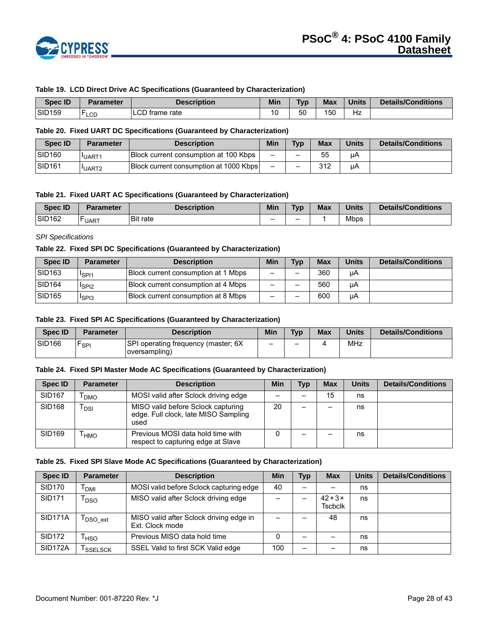

#### **Table 19. LCD Direct Drive AC Specifications (Guaranteed by Characterization)**

| <b>Spec ID</b>     | Parameter         | <b>Description</b> | Min | <b>Typ</b> | <b>Max</b> | <b>Units</b> | Details/Conditions |
|--------------------|-------------------|--------------------|-----|------------|------------|--------------|--------------------|
| SID <sub>159</sub> | . H<br><b>LCD</b> | LCD frame rate     | 10  | 50         | 150        | Hz           |                    |

## **Table 20. Fixed UART DC Specifications (Guaranteed by Characterization)**

| <b>Spec ID</b>      | Parameter         | <b>Description</b>                     | Min                      | Typ | <b>Max</b> | <b>Units</b> | <b>Details/Conditions</b> |
|---------------------|-------------------|----------------------------------------|--------------------------|-----|------------|--------------|---------------------------|
| ISID <sub>160</sub> | <b>IUART1</b>     | Block current consumption at 100 Kbps  | $\overline{\phantom{0}}$ | -   | 55         | uА           |                           |
| <b>SID161</b>       | UART <sub>2</sub> | Block current consumption at 1000 Kbps | $\overline{\phantom{0}}$ | -   | 312        | μA           |                           |

#### **Table 21. Fixed UART AC Specifications (Guaranteed by Characterization)**

| Spec ID            | Parameter    | Description     | Min | <b>Typ</b> | <b>Max</b> | <b>Units</b> | <b>Details/Conditions</b> |
|--------------------|--------------|-----------------|-----|------------|------------|--------------|---------------------------|
| SID <sub>162</sub> | <b>LUART</b> | <b>Bit rate</b> | -   | -          |            | Mbps         |                           |

## *SPI Specifications*

#### **Table 22. Fixed SPI DC Specifications (Guaranteed by Characterization)**

| Spec ID            | <b>Parameter</b>              | <b>Description</b>                  | Min                      | <b>Typ</b> | <b>Max</b> | <b>Units</b> | <b>Details/Conditions</b> |
|--------------------|-------------------------------|-------------------------------------|--------------------------|------------|------------|--------------|---------------------------|
| SID <sub>163</sub> | <sup>1</sup> SPI1             | Block current consumption at 1 Mbps | -                        |            | 360        | μA           |                           |
| SID <sub>164</sub> | <sup>I</sup> SPI <sub>2</sub> | Block current consumption at 4 Mbps | $\overline{\phantom{0}}$ | -          | 560        | μA           |                           |
| SID <sub>165</sub> | <sup>I</sup> SPI3             | Block current consumption at 8 Mbps | -                        |            | 600        | uA           |                           |

#### **Table 23. Fixed SPI AC Specifications (Guaranteed by Characterization)**

| <b>Spec ID</b>     | <b>Parameter</b> | <b>Description</b>                                   | Min | <b>Typ</b> | Max | <b>Units</b> | <b>Details/Conditions</b> |
|--------------------|------------------|------------------------------------------------------|-----|------------|-----|--------------|---------------------------|
| SID <sub>166</sub> | `SPI             | SPI operating frequency (master; 6X<br>oversampling) | -   | -          |     | MHz          |                           |

#### **Table 24. Fixed SPI Master Mode AC Specifications (Guaranteed by Characterization)**

| Spec ID       | <b>Parameter</b> | <b>Description</b>                                                                 | Min | Typ | <b>Max</b> | <b>Units</b> | <b>Details/Conditions</b> |
|---------------|------------------|------------------------------------------------------------------------------------|-----|-----|------------|--------------|---------------------------|
| <b>SID167</b> | <b>DMO</b>       | MOSI valid after Sclock driving edge                                               |     |     | 15         | ns           |                           |
| <b>SID168</b> | <b>DSI</b>       | MISO valid before Sclock capturing<br>edge. Full clock, late MISO Sampling<br>used | 20  |     |            | ns           |                           |
| SID169        | <b>HMO</b>       | Previous MOSI data hold time with<br>respect to capturing edge at Slave            |     |     |            | ns           |                           |

#### **Table 25. Fixed SPI Slave Mode AC Specifications (Guaranteed by Characterization)**

| <b>Spec ID</b>       | <b>Parameter</b>                 | <b>Description</b>                                         | Min | Typ | <b>Max</b>                     | <b>Units</b> | <b>Details/Conditions</b> |
|----------------------|----------------------------------|------------------------------------------------------------|-----|-----|--------------------------------|--------------|---------------------------|
| <b>SID170</b>        | <b>DMI</b>                       | MOSI valid before Sclock capturing edge                    | 40  |     |                                | ns           |                           |
| <b>SID171</b>        | l DSO                            | MISO valid after Sclock driving edge                       |     |     | $42+3\times$<br><b>Tscbclk</b> | ns           |                           |
| SID <sub>171</sub> A | $\mathsf{T}_{\mathsf{DSO\_ext}}$ | MISO valid after Sclock driving edge in<br>Ext. Clock mode |     |     | 48                             | ns           |                           |
| <b>SID172</b>        | <sup>I</sup> HSO                 | Previous MISO data hold time                               | 0   | -   |                                | ns           |                           |
| SID <sub>172</sub> A | <sup>I</sup> SSELSCK             | SSEL Valid to first SCK Valid edge                         | 100 |     |                                | ns           |                           |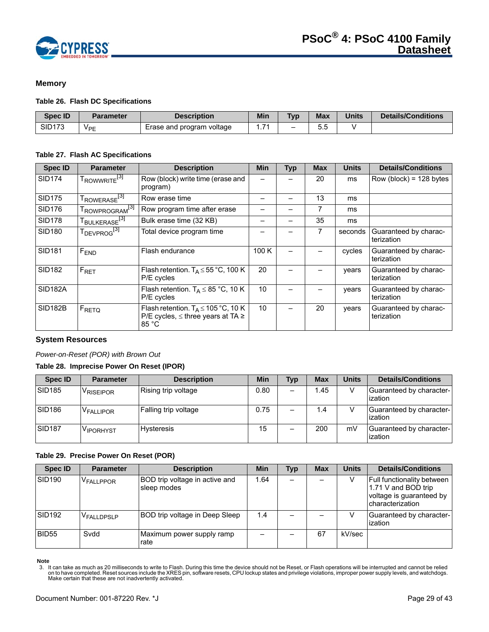

# <span id="page-28-0"></span>**Memory**

#### **Table 26. Flash DC Specifications**

| <b>Spec ID</b> | <b>Parameter</b>      | <b>Description</b>        | <b>Min</b> | <b>Typ</b>      | <b>Max</b> | <b>Units</b> | Details/Conditions |
|----------------|-----------------------|---------------------------|------------|-----------------|------------|--------------|--------------------|
| <b>SID173</b>  | <b>V<sub>PE</sub></b> | Erase and program voltage |            | $\qquad \qquad$ | ບ.ບ        |              |                    |

#### **Table 27. Flash AC Specifications**

| <b>Spec ID</b>      | <b>Parameter</b>                      | <b>Description</b>                                                                                      | <b>Min</b> | Typ | <b>Max</b> | <b>Units</b> | <b>Details/Conditions</b>           |
|---------------------|---------------------------------------|---------------------------------------------------------------------------------------------------------|------------|-----|------------|--------------|-------------------------------------|
| <b>SID174</b>       | T <sub>ROWWRITE</sub> <sup>[3]</sup>  | Row (block) write time (erase and<br>program)                                                           |            |     | 20         | ms           | Row (block) = $128$ bytes           |
| <b>SID175</b>       | T <sub>ROWERASE<sup>[3]</sup></sub>   | Row erase time                                                                                          |            |     | 13         | ms           |                                     |
| <b>SID176</b>       | T <sub>ROWPROGRAM<sup>[3]</sup></sub> | Row program time after erase                                                                            |            |     | 7          | ms           |                                     |
| <b>SID178</b>       | T <sub>BULKERASE<sup>[3]</sup></sub>  | Bulk erase time (32 KB)                                                                                 |            |     | 35         | ms           |                                     |
| <b>SID180</b>       | T <sub>DEVPROG<sup>[3]</sup></sub>    | Total device program time                                                                               |            |     | 7          | seconds      | Guaranteed by charac-<br>terization |
| <b>SID181</b>       | F <sub>END</sub>                      | Flash endurance                                                                                         | 100 K      |     |            | cycles       | Guaranteed by charac-<br>terization |
| <b>SID182</b>       | $F_{\text{RET}}$                      | Flash retention. $T_A \le 55^{\circ}$ C, 100 K<br>P/E cycles                                            | 20         |     |            | vears        | Guaranteed by charac-<br>terization |
| SID <sub>182A</sub> |                                       | Flash retention. $T_A \leq 85$ °C, 10 K<br>P/E cycles                                                   | 10         |     |            | vears        | Guaranteed by charac-<br>terization |
| <b>SID182B</b>      | FRETQ                                 | Flash retention. $T_A \le 105 \degree C$ , 10 K<br>P/E cycles, $\leq$ three years at TA $\geq$<br>85 °C | 10         |     | 20         | vears        | Guaranteed by charac-<br>terization |

#### <span id="page-28-1"></span>**System Resources**

#### *Power-on-Reset (POR) with Brown Out*

# **Table 28. Imprecise Power On Reset (IPOR)**

| <b>Spec ID</b>     | <b>Parameter</b>      | <b>Description</b>   | Min  | <b>Typ</b> | <b>Max</b> | <b>Units</b> | <b>Details/Conditions</b>           |
|--------------------|-----------------------|----------------------|------|------------|------------|--------------|-------------------------------------|
| <b>SID185</b>      | <sup>V</sup> RISEIPOR | Rising trip voltage  | 0.80 |            | 1.45       |              | Guaranteed by character-<br>ization |
| SID <sub>186</sub> | V <sub>FALLIPOR</sub> | Falling trip voltage | 0.75 |            | 1.4        |              | Guaranteed by character-<br>ization |
| <b>SID187</b>      | V <sub>IPORHYST</sub> | Hysteresis           | 15   |            | 200        | mV           | Guaranteed by character-<br>ization |

#### **Table 29. Precise Power On Reset (POR)**

| <b>Spec ID</b>     | <b>Parameter</b>       | <b>Description</b>                            | <b>Min</b> | Typ | <b>Max</b> | <b>Units</b> | <b>Details/Conditions</b>                                                                                |
|--------------------|------------------------|-----------------------------------------------|------------|-----|------------|--------------|----------------------------------------------------------------------------------------------------------|
| SID <sub>190</sub> | V <sub>FALLPPOR</sub>  | BOD trip voltage in active and<br>sleep modes | 1.64       |     |            |              | <b>Full functionality between</b><br>1.71 V and BOD trip<br>voltage is guaranteed by<br>characterization |
| SID <sub>192</sub> | V <sub>FALLDPSLP</sub> | BOD trip voltage in Deep Sleep                | 1.4        |     |            |              | Guaranteed by character-<br>ization                                                                      |
| <b>BID55</b>       | Svdd                   | Maximum power supply ramp<br>rate             |            |     | 67         | kV/sec       |                                                                                                          |

<span id="page-28-2"></span>Note<br>3. It can take as much as 20 milliseconds to write to Flash. During this time the device should not be Reset, or Flash operations will be interrupted and cannot be relied<br>on to have completed. Reset sources include th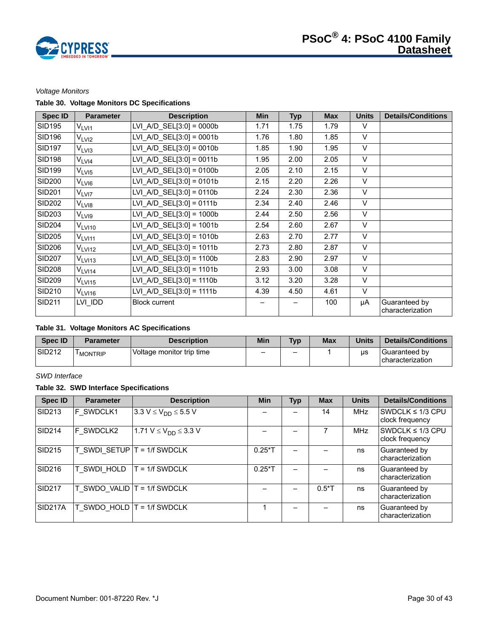

## *Voltage Monitors*

# **Table 30. Voltage Monitors DC Specifications**

| <b>Spec ID</b> | <b>Parameter</b>   | <b>Description</b>          | <b>Min</b> | <b>Typ</b> | <b>Max</b> | <b>Units</b> | <b>Details/Conditions</b>         |
|----------------|--------------------|-----------------------------|------------|------------|------------|--------------|-----------------------------------|
| <b>SID195</b>  | $\rm V_{LVI1}$     | $LVI_A/D_SEL[3:0] = 0000b$  | 1.71       | 1.75       | 1.79       | V            |                                   |
| <b>SID196</b>  | V <sub>LVI2</sub>  | LVI A/D SEL $[3:0] = 0001b$ | 1.76       | 1.80       | 1.85       | V            |                                   |
| <b>SID197</b>  | V <sub>LVI3</sub>  | LVI A/D SEL $[3:0] = 0010b$ | 1.85       | 1.90       | 1.95       | $\vee$       |                                   |
| <b>SID198</b>  | V <sub>LVI4</sub>  | LVI A/D $SEL[3:0] = 0011b$  | 1.95       | 2.00       | 2.05       | $\vee$       |                                   |
| <b>SID199</b>  | $V_{LV15}$         | LVI A/D SEL $[3:0] = 0100b$ | 2.05       | 2.10       | 2.15       | $\vee$       |                                   |
| <b>SID200</b>  | V <sub>LVI6</sub>  | $LVI_A/D_SEL[3:0] = 0101b$  | 2.15       | 2.20       | 2.26       | $\vee$       |                                   |
| <b>SID201</b>  | V <sub>LVI7</sub>  | LVI A/D $SEL[3:0] = 0110b$  | 2.24       | 2.30       | 2.36       | $\vee$       |                                   |
| <b>SID202</b>  | V <sub>LVI8</sub>  | LVI A/D SEL $[3:0] = 0111b$ | 2.34       | 2.40       | 2.46       | $\vee$       |                                   |
| <b>SID203</b>  | V <sub>LVI9</sub>  | LVI A/D $SEL[3:0] = 1000b$  | 2.44       | 2.50       | 2.56       | $\vee$       |                                   |
| <b>SID204</b>  | V <sub>LVI10</sub> | LVI A/D SEL $[3:0] = 1001b$ | 2.54       | 2.60       | 2.67       | $\vee$       |                                   |
| <b>SID205</b>  | V <sub>LVI11</sub> | LVI A/D SEL $[3:0] = 1010b$ | 2.63       | 2.70       | 2.77       | $\vee$       |                                   |
| <b>SID206</b>  | V <sub>LVI12</sub> | LVI A/D SEL $[3:0] = 1011b$ | 2.73       | 2.80       | 2.87       | $\vee$       |                                   |
| <b>SID207</b>  | $V_{LV113}$        | LVI A/D SEL $[3:0] = 1100b$ | 2.83       | 2.90       | 2.97       | $\vee$       |                                   |
| <b>SID208</b>  | $V_{LV114}$        | LVI A/D SEL $[3:0] = 1101b$ | 2.93       | 3.00       | 3.08       | $\vee$       |                                   |
| <b>SID209</b>  | $V_{LV115}$        | LVI A/D $SEL[3:0] = 1110b$  | 3.12       | 3.20       | 3.28       | $\vee$       |                                   |
| SID210         | $V_{LV116}$        | LVI A/D SEL $[3:0] = 1111b$ | 4.39       | 4.50       | 4.61       | $\vee$       |                                   |
| <b>SID211</b>  | LVI IDD            | <b>Block current</b>        |            |            | 100        | μA           | Guaranteed by<br>characterization |

## **Table 31. Voltage Monitors AC Specifications**

| Spec ID            | <b>Parameter</b>     | <b>Description</b>        | Min                      | <b>Tvp</b> | <b>Max</b> | <b>Units</b> | <b>Details/Conditions</b>         |
|--------------------|----------------------|---------------------------|--------------------------|------------|------------|--------------|-----------------------------------|
| SID <sub>212</sub> | <sup>I</sup> MONTRIP | Voltage monitor trip time | $\overline{\phantom{0}}$ | -          |            | us           | Guaranteed by<br>characterization |

# *SWD Interface*

# **Table 32. SWD Interface Specifications**

| <b>Spec ID</b>       | <b>Parameter</b>                | <b>Description</b>                         | <b>Min</b> | <b>Typ</b> | <b>Max</b> | <b>Units</b> | <b>Details/Conditions</b>                |
|----------------------|---------------------------------|--------------------------------------------|------------|------------|------------|--------------|------------------------------------------|
| SID <sub>213</sub>   | F SWDCLK1                       | 3.3 $V \le V_{DD} \le 5.5 V$               |            |            | 14         | <b>MHz</b>   | SWDCLK $\leq 1/3$ CPU<br>clock frequency |
| <b>SID214</b>        | F SWDCLK2                       | 1.71 V $\leq$ V <sub>DD</sub> $\leq$ 3.3 V |            |            |            | <b>MHz</b>   | SWDCLK $\leq$ 1/3 CPU<br>clock frequency |
| <b>SID215</b>        |                                 | T SWDI SETUP $T = 1/f$ SWDCLK              | $0.25*$ T  |            |            | ns           | Guaranteed by<br>characterization        |
| <b>SID216</b>        | T SWDI HOLD                     | $T = 1/f$ SWDCLK                           | $0.25*T$   |            |            | ns           | Guaranteed by<br>characterization        |
| <b>SID217</b>        | $T$ SWDO VALID $T = 1/f$ SWDCLK |                                            |            |            | $0.5*$ T   | ns           | Guaranteed by<br>characterization        |
| SID <sub>217</sub> A |                                 | $T$ SWDO HOLD $T = 1/f$ SWDCLK             |            |            |            | ns           | Guaranteed by<br>characterization        |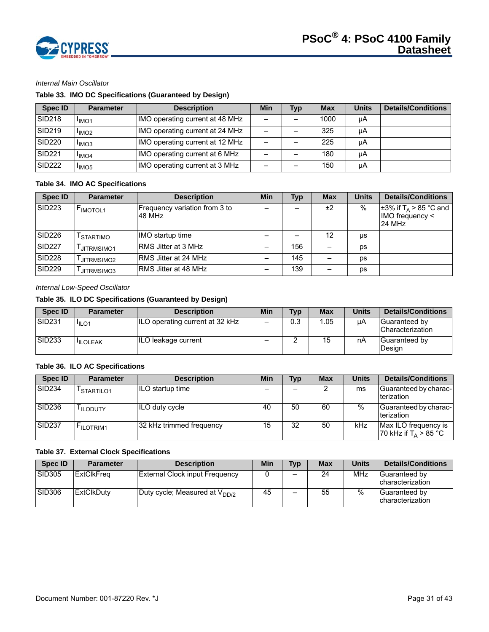

# *Internal Main Oscillator*

# **Table 33. IMO DC Specifications (Guaranteed by Design)**

| Spec ID            | <b>Parameter</b>              | <b>Description</b>              | Min                      | <b>Typ</b> | <b>Max</b> | <b>Units</b> | <b>Details/Conditions</b> |
|--------------------|-------------------------------|---------------------------------|--------------------------|------------|------------|--------------|---------------------------|
| <b>SID218</b>      | <sup>I</sup> IMO <sub>1</sub> | IMO operating current at 48 MHz | $\overline{\phantom{0}}$ |            | 1000       | μA           |                           |
| SID <sub>219</sub> | <sup>I</sup> IMO <sub>2</sub> | IMO operating current at 24 MHz | -                        |            | 325        | μA           |                           |
| <b>SID220</b>      | <sup>I</sup> IMO <sub>3</sub> | IMO operating current at 12 MHz | $\overline{\phantom{0}}$ |            | 225        | μA           |                           |
| <b>SID221</b>      | <sup>I</sup> IMO <sub>4</sub> | IMO operating current at 6 MHz  | -                        |            | 180        | uA           |                           |
| <b>SID222</b>      | <sup>I</sup> IMO <sub>5</sub> | IMO operating current at 3 MHz  | -                        |            | 150        | μA           |                           |

# **Table 34. IMO AC Specifications**

| <b>Spec ID</b>     | <b>Parameter</b>      | <b>Description</b>                      | Min | <b>Typ</b> | <b>Max</b> | <b>Units</b>  | <b>Details/Conditions</b>                                                         |
|--------------------|-----------------------|-----------------------------------------|-----|------------|------------|---------------|-----------------------------------------------------------------------------------|
| <b>SID223</b>      | F <sub>IMOTOL1</sub>  | Frequency variation from 3 to<br>48 MHz |     |            | ±2         | $\frac{0}{0}$ | $\pm$ 3% if T <sub>A</sub> > 85 °C and<br>$IMO$ frequency $\leq$<br><b>24 MHz</b> |
| SID <sub>226</sub> | <sup>I</sup> STARTIMO | IMO startup time                        |     |            | 12         | us            |                                                                                   |
| <b>SID227</b>      | JITRMSIMO1            | RMS Jitter at 3 MHz                     |     | 156        |            | ps            |                                                                                   |
| <b>SID228</b>      | JITRMSIMO2            | RMS Jitter at 24 MHz                    |     | 145        |            | DS            |                                                                                   |
| <b>SID229</b>      | JITRMSIMO3            | RMS Jitter at 48 MHz                    |     | 139        |            | ps            |                                                                                   |

#### *Internal Low-Speed Oscillator*

# **Table 35. ILO DC Specifications (Guaranteed by Design)**

| Spec ID            | Parameter         | <b>Description</b>              | Min                      | Typ | Max  | Units | <b>Details/Conditions</b>           |
|--------------------|-------------------|---------------------------------|--------------------------|-----|------|-------|-------------------------------------|
| SID <sub>231</sub> | I <sub>ILO1</sub> | ILO operating current at 32 kHz | $\qquad \qquad$          | 0.3 | 1.05 | uА    | Guaranteed by<br>l Characterization |
| SID <sub>233</sub> | <b>ILOLEAK</b>    | ILO leakage current             | $\overline{\phantom{0}}$ | _   | 15   | nA    | Guaranteed by<br>Design             |

## **Table 36. ILO AC Specifications**

| Spec ID            | <b>Parameter</b>       | <b>Description</b>       | Min | <b>Typ</b> | <b>Max</b> | <b>Units</b> | <b>Details/Conditions</b>                       |
|--------------------|------------------------|--------------------------|-----|------------|------------|--------------|-------------------------------------------------|
| SID <sub>234</sub> | <sup>I</sup> STARTILO1 | ILO startup time         |     | -          |            | ms           | Guaranteed by charac-<br>terization             |
| SID <sub>236</sub> | <sup>I</sup> ILODUTY   | ILO duty cycle           | 40  | 50         | 60         | $\%$         | Guaranteed by charac-<br>terization             |
| SID <sub>237</sub> | <b>FILOTRIM1</b>       | 32 kHz trimmed frequency | 15  | 32         | 50         | kHz          | Max ILO frequency is<br>70 kHz if $T_A > 85$ °C |

## **Table 37. External Clock Specifications**

| <b>Spec ID</b> | <b>Parameter</b> | <b>Description</b>                 | Min | <b>Typ</b>               | <b>Max</b> | Units | <b>Details/Conditions</b>                  |
|----------------|------------------|------------------------------------|-----|--------------------------|------------|-------|--------------------------------------------|
| <b>SID305</b>  | ExtClkFreq       | External Clock input Frequency     |     | $\overline{\phantom{0}}$ | 24         | MHz   | Guaranteed by<br><b>I</b> characterization |
| SID306         | ExtClkDuty       | Duty cycle; Measured at $V_{DD/2}$ | 45  |                          | 55         | %     | Guaranteed by<br><b>characterization</b>   |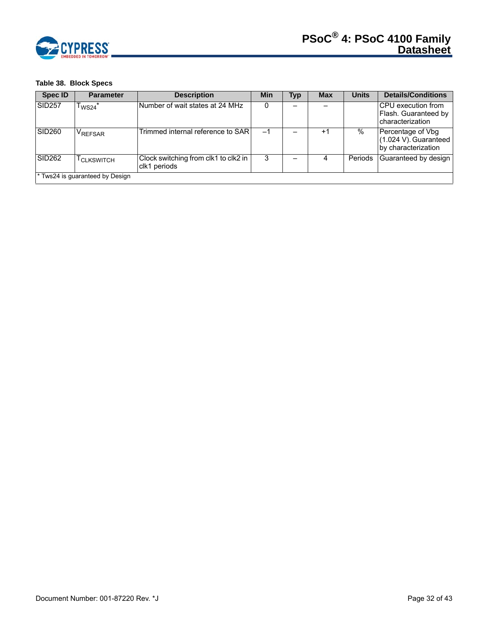

# **Table 38. Block Specs**

| <b>Spec ID</b> | <b>Parameter</b>                | <b>Description</b>                                   | Min | Typ | <b>Max</b>       | <b>Units</b> | <b>Details/Conditions</b>                                              |
|----------------|---------------------------------|------------------------------------------------------|-----|-----|------------------|--------------|------------------------------------------------------------------------|
| <b>SID257</b>  | $\mathsf{\Gamma_{WS24}}^*$      | Number of wait states at 24 MHz                      |     |     |                  |              | <b>ICPU</b> execution from<br>Flash. Guaranteed by<br>characterization |
| <b>SID260</b>  | <b>VREFSAR</b>                  | Trimmed internal reference to SARI                   | -1  |     | $^{\mathrm{+1}}$ | $\%$         | Percentage of Vbg<br>$(1.024 V)$ . Guaranteed<br>by characterization   |
| <b>SID262</b>  | <sup>I</sup> CLKSWITCH          | Clock switching from clk1 to clk2 in<br>clk1 periods | 3   |     |                  | Periods      | Guaranteed by design                                                   |
|                | * Tws24 is guaranteed by Design |                                                      |     |     |                  |              |                                                                        |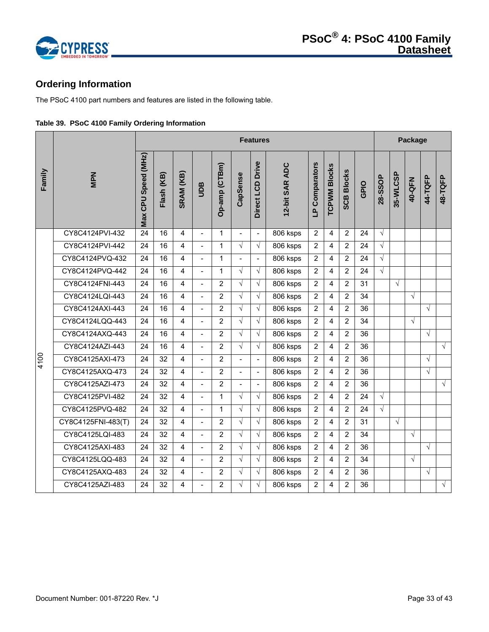

# <span id="page-32-0"></span>**Ordering Information**

The PSoC 4100 part numbers and features are listed in the following table.

|  |  | Table 39. PSoC 4100 Family Ordering Information |
|--|--|-------------------------------------------------|
|  |  |                                                 |

|        |                    |                     | <b>Features</b> |                |                          |                |                |                          |                |                | Package             |                   |      |            |            |            |            |            |
|--------|--------------------|---------------------|-----------------|----------------|--------------------------|----------------|----------------|--------------------------|----------------|----------------|---------------------|-------------------|------|------------|------------|------------|------------|------------|
| Family | <b>MPN</b>         | Max CPU Speed (MHz) | Flash (KB)      | SRAM (KB)      | gan                      | Op-amp (CTBm)  | CapSense       | Direct LCD Drive         | 12-bit SAR ADC | LP Comparators | <b>TCPWM Blocks</b> | <b>SCB Blocks</b> | GPIO | 28-SSOP    | 35-WLCSP   | 40-QFN     | 44-TQFP    | 48-TQFP    |
|        | CY8C4124PVI-432    | $\overline{24}$     | 16              | 4              |                          | $\mathbf{1}$   |                | $\blacksquare$           | 806 ksps       | $\overline{2}$ | 4                   | $\overline{2}$    | 24   | $\sqrt{ }$ |            |            |            |            |
|        | CY8C4124PVI-442    | 24                  | 16              | $\overline{4}$ | $\overline{a}$           | $\mathbf{1}$   | $\sqrt{ }$     | $\sqrt{ }$               | 806 ksps       | $\overline{2}$ | 4                   | 2                 | 24   | $\sqrt{}$  |            |            |            |            |
|        | CY8C4124PVQ-432    | 24                  | 16              | 4              | $\blacksquare$           | $\mathbf{1}$   | $\blacksquare$ | $\blacksquare$           | 806 ksps       | 2              | 4                   | $\overline{2}$    | 24   | $\sqrt{ }$ |            |            |            |            |
|        | CY8C4124PVQ-442    | 24                  | 16              | $\overline{4}$ | $\overline{a}$           | $\mathbf{1}$   | $\sqrt{ }$     | $\sqrt{}$                | 806 ksps       | $\overline{2}$ | 4                   | 2                 | 24   | $\sqrt{ }$ |            |            |            |            |
|        | CY8C4124FNI-443    | 24                  | 16              | $\overline{4}$ | $\overline{a}$           | $\overline{2}$ | $\sqrt{}$      | $\sqrt{ }$               | 806 ksps       | $\overline{2}$ | 4                   | $\overline{2}$    | 31   |            | $\sqrt{ }$ |            |            |            |
|        | CY8C4124LQI-443    | 24                  | 16              | $\overline{4}$ | $\overline{a}$           | $\overline{2}$ | $\sqrt{ }$     | $\sqrt{2}$               | 806 ksps       | 2              | 4                   | $\overline{2}$    | 34   |            |            | $\sqrt{ }$ |            |            |
|        | CY8C4124AXI-443    | 24                  | 16              | $\overline{4}$ | $\blacksquare$           | 2              | $\sqrt{ }$     | $\sqrt{ }$               | 806 ksps       | $\overline{2}$ | 4                   | $\overline{2}$    | 36   |            |            |            | $\sqrt{ }$ |            |
|        | CY8C4124LQQ-443    | 24                  | 16              | $\overline{4}$ | $\blacksquare$           | 2              | $\sqrt{ }$     | $\sqrt{2}$               | 806 ksps       | $\overline{2}$ | 4                   | $\overline{2}$    | 34   |            |            | $\sqrt{2}$ |            |            |
|        | CY8C4124AXQ-443    | 24                  | 16              | $\overline{4}$ | $\overline{\phantom{a}}$ | $\overline{2}$ | $\sqrt{2}$     | $\sqrt{ }$               | 806 ksps       | $\overline{2}$ | 4                   | $\overline{2}$    | 36   |            |            |            | $\sqrt{ }$ |            |
|        | CY8C4124AZI-443    | 24                  | 16              | $\overline{4}$ | $\blacksquare$           | $\overline{2}$ | $\sqrt{ }$     | $\sqrt{ }$               | 806 ksps       | $\overline{2}$ | 4                   | $\overline{2}$    | 36   |            |            |            |            | $\sqrt{ }$ |
| 4100   | CY8C4125AXI-473    | 24                  | 32              | $\overline{4}$ | $\overline{a}$           | 2              | $\overline{a}$ | $\blacksquare$           | 806 ksps       | $\overline{2}$ | 4                   | 2                 | 36   |            |            |            | $\sqrt{ }$ |            |
|        | CY8C4125AXQ-473    | 24                  | 32              | 4              | $\blacksquare$           | $\overline{2}$ | $\blacksquare$ | $\overline{\phantom{a}}$ | 806 ksps       | $\overline{2}$ | 4                   | $\overline{2}$    | 36   |            |            |            | $\sqrt{}$  |            |
|        | CY8C4125AZI-473    | 24                  | 32              | $\overline{4}$ | $\overline{a}$           | $\overline{2}$ | $\blacksquare$ | $\blacksquare$           | 806 ksps       | 2              | 4                   | $\overline{2}$    | 36   |            |            |            |            | $\sqrt{2}$ |
|        | CY8C4125PVI-482    | 24                  | 32              | $\overline{4}$ |                          | $\mathbf{1}$   | $\sqrt{ }$     | $\sqrt{2}$               | 806 ksps       | $\overline{2}$ | 4                   | $\overline{2}$    | 24   | $\sqrt{ }$ |            |            |            |            |
|        | CY8C4125PVQ-482    | 24                  | 32              | 4              | $\overline{a}$           | $\mathbf{1}$   | $\sqrt{}$      | $\sqrt{ }$               | 806 ksps       | $\overline{2}$ | 4                   | $\overline{2}$    | 24   | $\sqrt{ }$ |            |            |            |            |
|        | CY8C4125FNI-483(T) | 24                  | 32              | $\overline{4}$ | $\overline{a}$           | 2              | $\sqrt{ }$     | $\sqrt{ }$               | 806 ksps       | $\overline{2}$ | 4                   | 2                 | 31   |            | $\sqrt{ }$ |            |            |            |
|        | CY8C4125LQI-483    | 24                  | 32              | 4              | $\overline{a}$           | 2              | $\sqrt{ }$     | $\sqrt{2}$               | 806 ksps       | $\overline{2}$ | 4                   | $\overline{2}$    | 34   |            |            | $\sqrt{ }$ |            |            |
|        | CY8C4125AXI-483    | 24                  | 32              | $\overline{4}$ | $\blacksquare$           | $\overline{2}$ | $\sqrt{ }$     | $\sqrt{ }$               | $806$ ksps     | $\overline{2}$ | 4                   | $\overline{2}$    | 36   |            |            |            | $\sqrt{ }$ |            |
|        | CY8C4125LQQ-483    | 24                  | 32              | 4              | $\overline{\phantom{a}}$ | $\overline{2}$ | $\sqrt{ }$     | $\sqrt{ }$               | 806 ksps       | 2              | 4                   | $\overline{2}$    | 34   |            |            | $\sqrt{ }$ |            |            |
|        | CY8C4125AXQ-483    | 24                  | 32              | 4              | $\blacksquare$           | $\overline{2}$ | $\sqrt{ }$     | $\sqrt{ }$               | 806 ksps       | $\overline{2}$ | 4                   | $\overline{2}$    | 36   |            |            |            | $\sqrt{ }$ |            |
|        | CY8C4125AZI-483    | 24                  | 32              | 4              | $\blacksquare$           | $\overline{2}$ | $\sqrt{ }$     | $\sqrt{ }$               | 806 ksps       | 2              | 4                   | 2                 | 36   |            |            |            |            | $\sqrt{ }$ |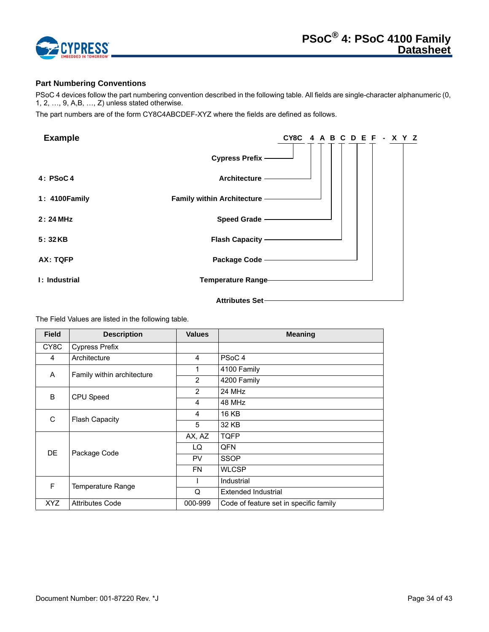

# <span id="page-33-0"></span>**Part Numbering Conventions**

PSoC 4 devices follow the part numbering convention described in the following table. All fields are single-character alphanumeric (0, 1, 2, …, 9, A,B, …, Z) unless stated otherwise.

The part numbers are of the form CY8C4ABCDEF-XYZ where the fields are defined as follows.

| <b>Example</b> | CY8C 4 A B C D E F - X Y Z   |
|----------------|------------------------------|
|                | Cypress Prefix -             |
| 4: PSOC4       | Architecture -               |
| 1: 4100 Family | Family within Architecture - |
| 2:24 MHz       | Speed Grade -                |
| 5:32KB         | <b>Flash Capacity</b> ——     |
| AX: TQFP       | Package Code ----------      |
| I: Industrial  | Temperature Range            |
|                | Attributes Set-              |

The Field Values are listed in the following table.

| <b>Field</b> | <b>Description</b>         | <b>Values</b>  | <b>Meaning</b>                         |
|--------------|----------------------------|----------------|----------------------------------------|
| CY8C         | <b>Cypress Prefix</b>      |                |                                        |
| 4            | Architecture               | 4              | PSoC <sub>4</sub>                      |
| A            | Family within architecture | 1              | 4100 Family                            |
|              |                            | $\overline{2}$ | 4200 Family                            |
| B.           | CPU Speed                  | 2              | 24 MHz                                 |
|              |                            | 4              | 48 MHz                                 |
| C            | <b>Flash Capacity</b>      | 4              | <b>16 KB</b>                           |
|              |                            | 5              | 32 KB                                  |
|              |                            | AX, AZ         | <b>TQFP</b>                            |
| <b>DE</b>    | Package Code               | LQ             | QFN                                    |
|              |                            | <b>PV</b>      | <b>SSOP</b>                            |
|              |                            | <b>FN</b>      | <b>WLCSP</b>                           |
| F            | Temperature Range          |                | Industrial                             |
|              |                            | Q              | Extended Industrial                    |
| XYZ          | <b>Attributes Code</b>     | 000-999        | Code of feature set in specific family |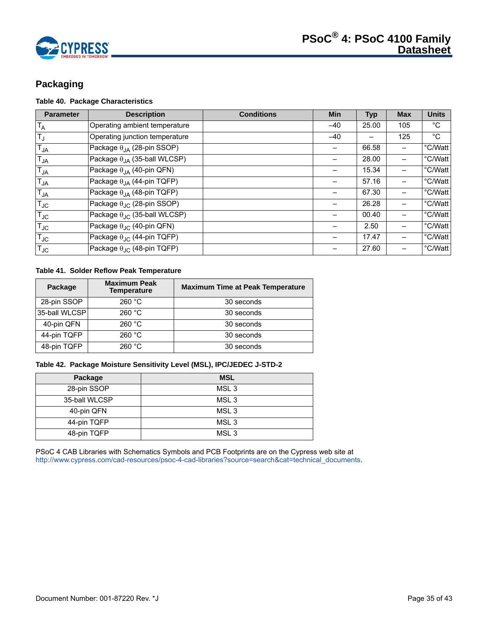

# <span id="page-34-0"></span>**Packaging**

# **Table 40. Package Characteristics**

| <b>Parameter</b> | <b>Description</b>                           | <b>Conditions</b> | <b>Min</b> | <b>Typ</b> | <b>Max</b> | <b>Units</b> |
|------------------|----------------------------------------------|-------------------|------------|------------|------------|--------------|
| $T_A$            | Operating ambient temperature                |                   | $-40$      | 25.00      | 105        | $^{\circ}C$  |
| $T_{\text{J}}$   | Operating junction temperature               |                   | $-40$      |            | 125        | $^{\circ}C$  |
| $T_{JA}$         | Package $\theta_{IA}$ (28-pin SSOP)          |                   |            | 66.58      |            | °C/Watt      |
| $T_{JA}$         | Package $\theta_{JA}$ (35-ball WLCSP)        |                   |            | 28.00      |            | °C/Watt      |
| $T_{JA}$         | Package $\theta_{IA}$ (40-pin QFN)           |                   |            | 15.34      |            | °C/Watt      |
| $T_{JA}$         | Package $\theta_{JA}$ (44-pin TQFP)          |                   |            | 57.16      |            | °C/Watt      |
| $T_{JA}$         | Package $\theta_{JA}$ (48-pin TQFP)          |                   |            | 67.30      |            | °C/Watt      |
| $T_{\text{JC}}$  | Package $\theta_{\text{JC}}$ (28-pin SSOP)   |                   |            | 26.28      |            | °C/Watt      |
| $T_{JC}$         | Package $\theta_{\text{JC}}$ (35-ball WLCSP) |                   |            | 00.40      |            | °C/Watt      |
| $T_{JC}$         | Package $\theta_{\text{JC}}$ (40-pin QFN)    |                   |            | 2.50       |            | °C/Watt      |
| $T_{JC}$         | Package $\theta_{\text{JC}}$ (44-pin TQFP)   |                   |            | 17.47      |            | °C/Watt      |
| $T_{\text{JC}}$  | Package $\theta_{\text{JC}}$ (48-pin TQFP)   |                   |            | 27.60      |            | °C/Watt      |

# **Table 41. Solder Reflow Peak Temperature**

| Package       | <b>Maximum Peak</b><br><b>Temperature</b> | <b>Maximum Time at Peak Temperature</b> |
|---------------|-------------------------------------------|-----------------------------------------|
| 28-pin SSOP   | 260 °C                                    | 30 seconds                              |
| 35-ball WLCSP | 260 °C                                    | 30 seconds                              |
| 40-pin QFN    | 260 °C                                    | 30 seconds                              |
| 44-pin TQFP   | 260 °C                                    | 30 seconds                              |
| 48-pin TQFP   | 260 °C                                    | 30 seconds                              |

#### **Table 42. Package Moisture Sensitivity Level (MSL), IPC/JEDEC J-STD-2**

| Package       | <b>MSL</b>       |
|---------------|------------------|
| 28-pin SSOP   | MSL <sub>3</sub> |
| 35-ball WLCSP | MSL <sub>3</sub> |
| 40-pin QFN    | MSL <sub>3</sub> |
| 44-pin TQFP   | MSL <sub>3</sub> |
| 48-pin TQFP   | MSL <sub>3</sub> |

PSoC 4 CAB Libraries with Schematics Symbols and PCB Footprints are on the Cypress web site at [http://www.cypress.com/cad-resources/psoc-4-cad-libraries?source=search&cat=technical\\_documents.](http://www.cypress.com/cad-resources/psoc-4-cad-libraries?source=search&cat=technical_documents)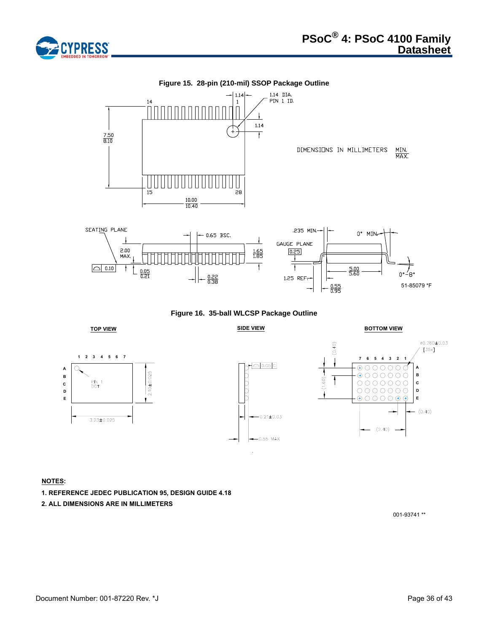



**Figure 16. 35-ball WLCSP Package Outline**











# **NOTES:**

- **1. REFERENCE JEDEC PUBLICATION 95, DESIGN GUIDE 4.18**
- **2. ALL DIMENSIONS ARE IN MILLIMETERS**

001-93741 \*\*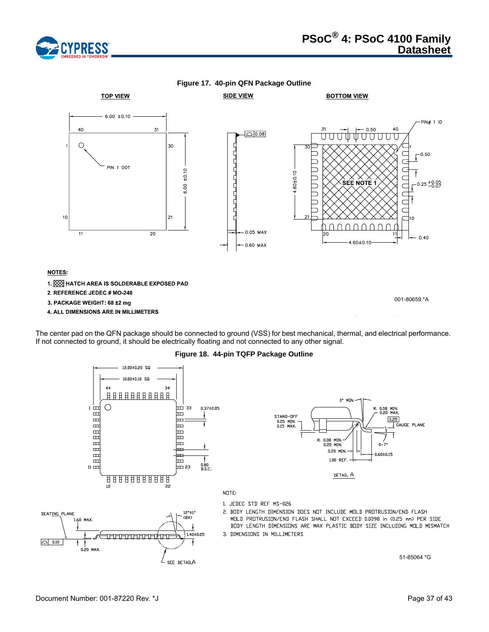





The center pad on the QFN package should be connected to ground (VSS) for best mechanical, thermal, and electrical performance. If not connected to ground, it should be electrically floating and not connected to any other signal.

**Figure 18. 44-pin TQFP Package Outline**

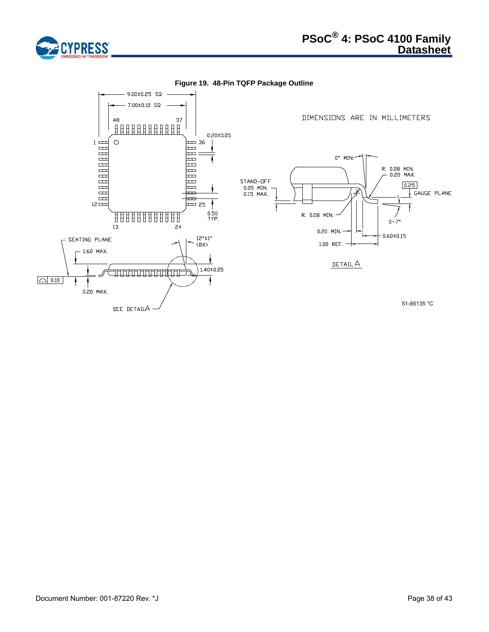

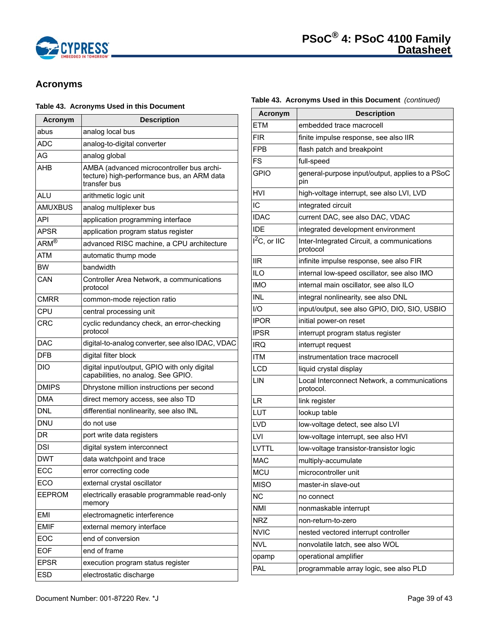

# <span id="page-38-0"></span>**Acronyms**

# **Table 43. Acronyms Used in this Document**

| Acronym                                | <b>Description</b>                                                                                      |
|----------------------------------------|---------------------------------------------------------------------------------------------------------|
| abus                                   | analog local bus                                                                                        |
| ADC                                    | analog-to-digital converter                                                                             |
| AG                                     | analog global                                                                                           |
| AHB                                    | AMBA (advanced microcontroller bus archi-<br>tecture) high-performance bus, an ARM data<br>transfer bus |
| ALU                                    | arithmetic logic unit                                                                                   |
| <b>AMUXBUS</b>                         | analog multiplexer bus                                                                                  |
| API                                    | application programming interface                                                                       |
| APSR                                   | application program status register                                                                     |
| $\overline{\mathsf{ARM}^{\mathsf{B}}}$ | advanced RISC machine, a CPU architecture                                                               |
| ATM                                    | automatic thump mode                                                                                    |
| ВW                                     | bandwidth                                                                                               |
| CAN                                    | Controller Area Network, a communications<br>protocol                                                   |
| CMRR                                   | common-mode rejection ratio                                                                             |
| CPU                                    | central processing unit                                                                                 |
| CRC                                    | cyclic redundancy check, an error-checking<br>protocol                                                  |
| DAC                                    | digital-to-analog converter, see also IDAC, VDAC                                                        |
| DFB                                    | digital filter block                                                                                    |
| DIO                                    | digital input/output, GPIO with only digital<br>capabilities, no analog. See GPIO.                      |
| DMIPS                                  | Dhrystone million instructions per second                                                               |
| DMA                                    | direct memory access, see also TD                                                                       |
| DNL                                    | differential nonlinearity, see also INL                                                                 |
| DNU                                    | do not use                                                                                              |
| DR                                     | port write data registers                                                                               |
| DSI                                    | digital system interconnect                                                                             |
| DWT                                    | data watchpoint and trace                                                                               |
| ECC                                    | error correcting code                                                                                   |
| ECO                                    | external crystal oscillator                                                                             |
| EEPROM                                 | electrically erasable programmable read-only<br>memory                                                  |
| <b>EMI</b>                             | electromagnetic interference                                                                            |
| <b>EMIF</b>                            | external memory interface                                                                               |
| EOC                                    | end of conversion                                                                                       |
| <b>EOF</b>                             | end of frame                                                                                            |
| <b>EPSR</b>                            | execution program status register                                                                       |
| <b>ESD</b>                             | electrostatic discharge                                                                                 |

# **Table 43. Acronyms Used in this Document** *(continued)*

| <b>Acronym</b> | <b>Description</b>                                        |
|----------------|-----------------------------------------------------------|
| ETM            | embedded trace macrocell                                  |
| <b>FIR</b>     | finite impulse response, see also IIR                     |
| FPB            | flash patch and breakpoint                                |
| <b>FS</b>      | full-speed                                                |
| <b>GPIO</b>    | general-purpose input/output, applies to a PSoC<br>pin    |
| HVI            | high-voltage interrupt, see also LVI, LVD                 |
| IC             | integrated circuit                                        |
| <b>IDAC</b>    | current DAC, see also DAC, VDAC                           |
| <b>IDE</b>     | integrated development environment                        |
| $I2C$ , or IIC | Inter-Integrated Circuit, a communications<br>protocol    |
| llR.           | infinite impulse response, see also FIR                   |
| <b>ILO</b>     | internal low-speed oscillator, see also IMO               |
| IMO            | internal main oscillator, see also ILO                    |
| <b>INL</b>     | integral nonlinearity, see also DNL                       |
| I/O            | input/output, see also GPIO, DIO, SIO, USBIO              |
| <b>IPOR</b>    | initial power-on reset                                    |
| <b>IPSR</b>    | interrupt program status register                         |
| IRQ            | interrupt request                                         |
| <b>ITM</b>     | instrumentation trace macrocell                           |
| <b>LCD</b>     | liquid crystal display                                    |
| LIN            | Local Interconnect Network, a communications<br>protocol. |
| LR             | link register                                             |
| LUT            | lookup table                                              |
| LVD            | low-voltage detect, see also LVI                          |
| LVI            | low-voltage interrupt, see also HVI                       |
| LVTTL          | low-voltage transistor-transistor logic                   |
| <b>MAC</b>     | multiply-accumulate                                       |
| <b>MCU</b>     | microcontroller unit                                      |
| <b>MISO</b>    | master-in slave-out                                       |
| <b>NC</b>      | no connect                                                |
| <b>NMI</b>     | nonmaskable interrupt                                     |
| <b>NRZ</b>     | non-return-to-zero                                        |
| <b>NVIC</b>    | nested vectored interrupt controller                      |
| <b>NVL</b>     | nonvolatile latch, see also WOL                           |
| opamp          | operational amplifier                                     |
| PAL            | programmable array logic, see also PLD                    |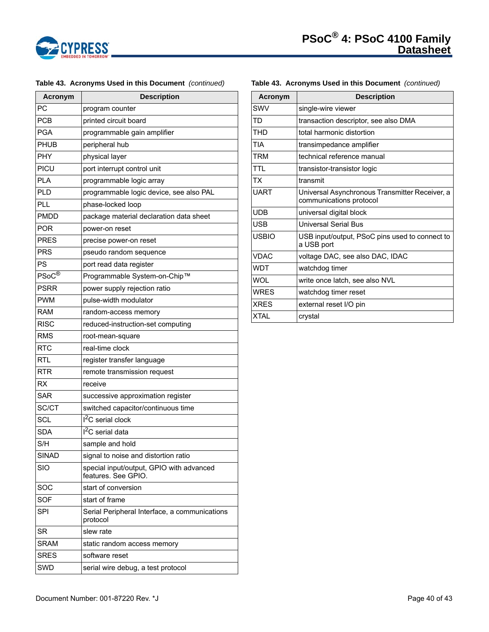

| <b>Acronym</b>              | <b>Description</b>                                              |
|-----------------------------|-----------------------------------------------------------------|
| РC                          | program counter                                                 |
| <b>PCB</b>                  | printed circuit board                                           |
| <b>PGA</b>                  | programmable gain amplifier                                     |
| PHUB                        | peripheral hub                                                  |
| PHY                         | physical layer                                                  |
| PICU                        | port interrupt control unit                                     |
| <b>PLA</b>                  | programmable logic array                                        |
| PLD                         | programmable logic device, see also PAL                         |
| PLL                         | phase-locked loop                                               |
| PMDD                        | package material declaration data sheet                         |
| <b>POR</b>                  | power-on reset                                                  |
| PRES                        | precise power-on reset                                          |
| PRS                         | pseudo random sequence                                          |
| PS                          | port read data register                                         |
| $\mathsf{PSoC}^{\circledR}$ | Programmable System-on-Chip™                                    |
| PSRR                        | power supply rejection ratio                                    |
| <b>PWM</b>                  | pulse-width modulator                                           |
| RAM                         | random-access memory                                            |
| <b>RISC</b>                 | reduced-instruction-set computing                               |
| RMS                         | root-mean-square                                                |
| <b>RTC</b>                  | real-time clock                                                 |
| RTL                         | register transfer language                                      |
| <b>RTR</b>                  | remote transmission request                                     |
| RX                          | receive                                                         |
| <b>SAR</b>                  | successive approximation register                               |
| SC/CT                       | switched capacitor/continuous time                              |
| SCL                         | <sup>2</sup> C serial clock                                     |
| SDA                         | I <sup>2</sup> C serial data                                    |
| S/H                         | sample and hold                                                 |
| <b>SINAD</b>                | signal to noise and distortion ratio                            |
| <b>SIO</b>                  | special input/output, GPIO with advanced<br>features. See GPIO. |
| SOC                         | start of conversion                                             |
| <b>SOF</b>                  | start of frame                                                  |
| <b>SPI</b>                  | Serial Peripheral Interface, a communications<br>protocol       |
| <b>SR</b>                   | slew rate                                                       |
| <b>SRAM</b>                 | static random access memory                                     |
| <b>SRES</b>                 | software reset                                                  |
| SWD                         | serial wire debug, a test protocol                              |

# **Table 43. Acronyms Used in this Document** *(continued)*

# SWV single-wire viewer TD transaction descriptor, see also DMA THD total harmonic distortion TIA **transimpedance amplifier** TRM **technical reference manual** TTL **transistor-transistor logic** TX transmit UART Universal Asynchronous Transmitter Receiver, a communications protocol UDB universal digital block USB **Universal Serial Bus** USBIO USB input/output, PSoC pins used to connect to a USB port VDAC voltage DAC, see also DAC, IDAC WDT | watchdog timer WOL write once latch, see also NVL WRES watchdog timer reset XRES external reset I/O pin XTAL crystal **Acronym Description**

**Table 43. Acronyms Used in this Document** *(continued)* 

# Document Number: 001-87220 Rev. \*J Page 40 of 43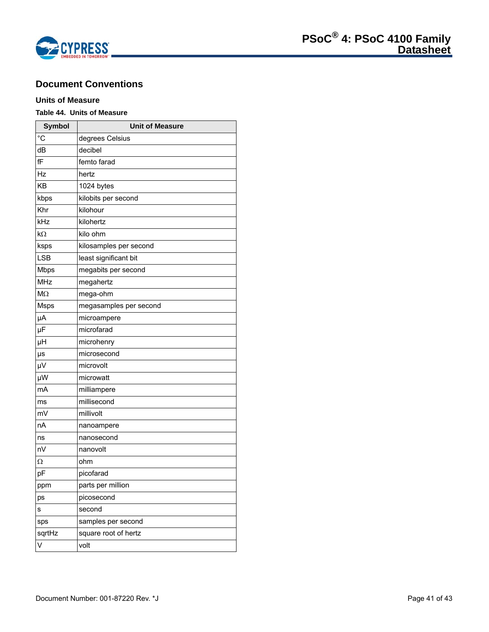

# <span id="page-40-0"></span>**Document Conventions**

# <span id="page-40-1"></span>**Units of Measure**

# **Table 44. Units of Measure**

| <b>Symbol</b>           | <b>Unit of Measure</b> |
|-------------------------|------------------------|
| $\overline{C}$          | degrees Celsius        |
| dB                      | decibel                |
| fF                      | femto farad            |
| Hz                      | hertz                  |
| <b>KB</b>               | 1024 bytes             |
| kbps                    | kilobits per second    |
| Khr                     | kilohour               |
| kHz                     | kilohertz              |
| kΩ                      | kilo ohm               |
| ksps                    | kilosamples per second |
| <b>LSB</b>              | least significant bit  |
| <b>Mbps</b>             | megabits per second    |
| <b>MHz</b>              | megahertz              |
| M <sub>2</sub>          | mega-ohm               |
| <b>Msps</b>             | megasamples per second |
| μA                      | microampere            |
| μF                      | microfarad             |
| μH                      | microhenry             |
| μs                      | microsecond            |
| μV                      | microvolt              |
| μW                      | microwatt              |
| mA                      | milliampere            |
| ms                      | millisecond            |
| mV                      | millivolt              |
| nA                      | nanoampere             |
| ns                      | nanosecond             |
| nV                      | nanovolt               |
| Ω                       | ohm                    |
| pF                      | picofarad              |
| ppm                     | parts per million      |
| ps                      | picosecond             |
| S                       | second                 |
| sps                     | samples per second     |
| sqrtHz                  | square root of hertz   |
| $\overline{\mathsf{v}}$ | volt                   |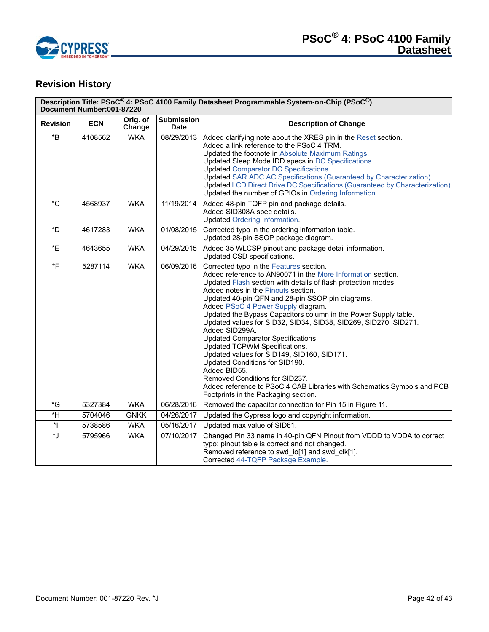

# <span id="page-41-0"></span>**Revision History**

| Description Title: PSoC <sup>®</sup> 4: PSoC 4100 Family Datasheet Programmable System-on-Chip (PSoC <sup>®</sup> )<br>Document Number:001-87220 |            |                    |                                  |                                                                                                                                                                                                                                                                                                                                                                                                                                                                                                                                                                                                                                                                                                                                                                                              |  |
|--------------------------------------------------------------------------------------------------------------------------------------------------|------------|--------------------|----------------------------------|----------------------------------------------------------------------------------------------------------------------------------------------------------------------------------------------------------------------------------------------------------------------------------------------------------------------------------------------------------------------------------------------------------------------------------------------------------------------------------------------------------------------------------------------------------------------------------------------------------------------------------------------------------------------------------------------------------------------------------------------------------------------------------------------|--|
| <b>Revision</b>                                                                                                                                  | <b>ECN</b> | Orig. of<br>Change | <b>Submission</b><br><b>Date</b> | <b>Description of Change</b>                                                                                                                                                                                                                                                                                                                                                                                                                                                                                                                                                                                                                                                                                                                                                                 |  |
| $\boldsymbol{B}^*$                                                                                                                               | 4108562    | <b>WKA</b>         | 08/29/2013                       | Added clarifying note about the XRES pin in the Reset section.<br>Added a link reference to the PSoC 4 TRM.<br>Updated the footnote in Absolute Maximum Ratings.<br>Updated Sleep Mode IDD specs in DC Specifications.<br><b>Updated Comparator DC Specifications</b><br><b>Updated SAR ADC AC Specifications (Guaranteed by Characterization)</b><br><b>Updated LCD Direct Drive DC Specifications (Guaranteed by Characterization)</b><br>Updated the number of GPIOs in Ordering Information.                                                                                                                                                                                                                                                                                             |  |
| $^{\ast}$ C                                                                                                                                      | 4568937    | <b>WKA</b>         | 11/19/2014                       | Added 48-pin TQFP pin and package details.<br>Added SID308A spec details.<br><b>Updated Ordering Information.</b>                                                                                                                                                                                                                                                                                                                                                                                                                                                                                                                                                                                                                                                                            |  |
| *D                                                                                                                                               | 4617283    | <b>WKA</b>         | 01/08/2015                       | Corrected typo in the ordering information table.<br>Updated 28-pin SSOP package diagram.                                                                                                                                                                                                                                                                                                                                                                                                                                                                                                                                                                                                                                                                                                    |  |
| $E^*$                                                                                                                                            | 4643655    | <b>WKA</b>         | 04/29/2015                       | Added 35 WLCSP pinout and package detail information.<br>Updated CSD specifications.                                                                                                                                                                                                                                                                                                                                                                                                                                                                                                                                                                                                                                                                                                         |  |
| $\overline{F}$                                                                                                                                   | 5287114    | <b>WKA</b>         | 06/09/2016                       | Corrected typo in the Features section.<br>Added reference to AN90071 in the More Information section.<br>Updated Flash section with details of flash protection modes.<br>Added notes in the Pinouts section.<br>Updated 40-pin QFN and 28-pin SSOP pin diagrams.<br>Added PSoC 4 Power Supply diagram.<br>Updated the Bypass Capacitors column in the Power Supply table.<br>Updated values for SID32, SID34, SID38, SID269, SID270, SID271.<br>Added SID299A.<br>Updated Comparator Specifications.<br>Updated TCPWM Specifications.<br>Updated values for SID149, SID160, SID171.<br>Updated Conditions for SID190.<br>Added BID55.<br>Removed Conditions for SID237.<br>Added reference to PSoC 4 CAB Libraries with Schematics Symbols and PCB<br>Footprints in the Packaging section. |  |
| *G                                                                                                                                               | 5327384    | <b>WKA</b>         | 06/28/2016                       | Removed the capacitor connection for Pin 15 in Figure 11.                                                                                                                                                                                                                                                                                                                                                                                                                                                                                                                                                                                                                                                                                                                                    |  |
| ۴Ī                                                                                                                                               | 5704046    | <b>GNKK</b>        | 04/26/2017                       | Updated the Cypress logo and copyright information.                                                                                                                                                                                                                                                                                                                                                                                                                                                                                                                                                                                                                                                                                                                                          |  |
| $\ddot{\phantom{0}}$                                                                                                                             | 5738586    | <b>WKA</b>         | 05/16/2017                       | Updated max value of SID61.                                                                                                                                                                                                                                                                                                                                                                                                                                                                                                                                                                                                                                                                                                                                                                  |  |
| *J                                                                                                                                               | 5795966    | <b>WKA</b>         | 07/10/2017                       | Changed Pin 33 name in 40-pin QFN Pinout from VDDD to VDDA to correct<br>typo; pinout table is correct and not changed.<br>Removed reference to swd_io[1] and swd_clk[1].<br>Corrected 44-TQFP Package Example.                                                                                                                                                                                                                                                                                                                                                                                                                                                                                                                                                                              |  |